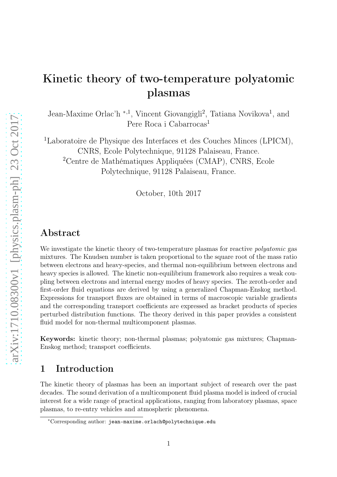# Kinetic theory of two-temperature polyatomic plasmas

Jean-Maxime Orlac'h <sup>\*,1</sup>, Vincent Giovangigli<sup>2</sup>, Tatiana Novikova<sup>1</sup>, and Pere Roca i Cabarrocas<sup>1</sup>

<sup>1</sup>Laboratoire de Physique des Interfaces et des Couches Minces (LPICM), CNRS, Ecole Polytechnique, 91128 Palaiseau, France. <sup>2</sup>Centre de Mathématiques Appliquées (CMAP), CNRS, Ecole Polytechnique, 91128 Palaiseau, France.

October, 10th 2017

# Abstract

We investigate the kinetic theory of two-temperature plasmas for reactive *polyatomic* gas mixtures. The Knudsen number is taken proportional to the square root of the mass ratio between electrons and heavy-species, and thermal non-equilibrium between electrons and heavy species is allowed. The kinetic non-equilibrium framework also requires a weak coupling between electrons and internal energy modes of heavy species. The zeroth-order and first-order fluid equations are derived by using a generalized Chapman-Enskog method. Expressions for transport fluxes are obtained in terms of macroscopic variable gradients and the corresponding transport coefficients are expressed as bracket products of species perturbed distribution functions. The theory derived in this paper provides a consistent fluid model for non-thermal multicomponent plasmas.

Keywords: kinetic theory; non-thermal plasmas; polyatomic gas mixtures; Chapman-Enskog method; transport coefficients.

# 1 Introduction

The kinetic theory of plasmas has been an important subject of research over the past decades. The sound derivation of a multicomponent fluid plasma model is indeed of crucial interest for a wide range of practical applications, ranging from laboratory plasmas, space plasmas, to re-entry vehicles and atmospheric phenomena.

<sup>∗</sup>Corresponding author: jean-maxime.orlach@polytechnique.edu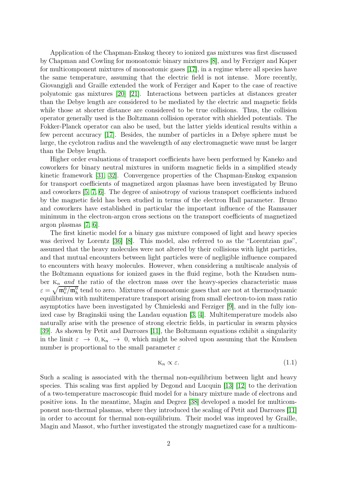Application of the Chapman-Enskog theory to ionized gas mixtures was first discussed by Chapman and Cowling for monoatomic binary mixtures [\[8\]](#page-62-0), and by Ferziger and Kaper for multicomponent mixtures of monoatomic gases [\[17\]](#page-63-0), in a regime where all species have the same temperature, assuming that the electric field is not intense. More recently, Giovangigli and Graille extended the work of Ferziger and Kaper to the case of reactive polyatomic gas mixtures [\[20\]](#page-63-1) [\[21\]](#page-63-2). Interactions between particles at distances greater than the Debye length are considered to be mediated by the electric and magnetic fields while those at shorter distance are considered to be true collisions. Thus, the collision operator generally used is the Boltzmann collision operator with shielded potentials. The Fokker-Planck operator can also be used, but the latter yields identical results within a few percent accuracy [\[17\]](#page-63-0). Besides, the number of particles in a Debye sphere must be large, the cyclotron radius and the wavelength of any electromagnetic wave must be larger than the Debye length.

Higher order evaluations of transport coefficients have been performed by Kaneko and coworkers for binary neutral mixtures in uniform magnetic fields in a simplified steady kinetic framework [\[31,](#page-64-0) [32\]](#page-64-1). Convergence properties of the Chapman-Enskog expansion for transport coefficients of magnetized argon plasmas have been investigated by Bruno and coworkers [\[5,](#page-62-1) [7,](#page-62-2) [6\]](#page-62-3). The degree of anisotropy of various transport coefficients induced by the magnetic field has been studied in terms of the electron Hall parameter. Bruno and coworkers have established in particular the important influence of the Ramsauer minimum in the electron-argon cross sections on the transport coefficients of magnetized argon plasmas [\[7,](#page-62-2) [6\]](#page-62-3).

The first kinetic model for a binary gas mixture composed of light and heavy species was derived by Lorentz [\[36\]](#page-64-2) [\[8\]](#page-62-0). This model, also referred to as the "Lorentzian gas", assumed that the heavy molecules were not altered by their collisions with light particles, and that mutual encounters between light particles were of negligible influence compared to encounters with heavy molecules. However, when considering a multiscale analysis of the Boltzmann equations for ionized gases in the fluid regime, both the Knudsen number  $K_n$  and the ratio of the electron mass over the heavy-species characteristic mass  $\varepsilon = \sqrt{\mathfrak{m}_e^0/\mathfrak{m}_h^0}$  tend to zero. Mixtures of monoatomic gases that are not at thermodynamic equilibrium with multitemperature transport arising from small electron-to-ion mass ratio asymptotics have been investigated by Chmieleski and Ferziger [\[9\]](#page-62-4), and in the fully ionized case by Braginskii using the Landau equation [\[3,](#page-62-5) [4\]](#page-62-6). Multitemperature models also naturally arise with the presence of strong electric fields, in particular in swarm physics [\[39\]](#page-64-3). As shown by Petit and Darrozes [\[11\]](#page-62-7), the Boltzmann equations exhibit a singularity in the limit  $\varepsilon \to 0, K_n \to 0$ , which might be solved upon assuming that the Knudsen number is proportional to the small parameter  $\varepsilon$ 

$$
K_n \propto \varepsilon. \tag{1.1}
$$

Such a scaling is associated with the thermal non-equilibrium between light and heavy species. This scaling was first applied by Degond and Lucquin [\[13\]](#page-63-3) [\[12\]](#page-62-8) to the derivation of a two-temperature macroscopic fluid model for a binary mixture made of electrons and positive ions. In the meantime, Magin and Degrez [\[38\]](#page-64-4) developed a model for multicomponent non-thermal plasmas, where they introduced the scaling of Petit and Darrozes [\[11\]](#page-62-7) in order to account for thermal non-equilibrium. Their model was improved by Graille, Magin and Massot, who further investigated the strongly magnetized case for a multicom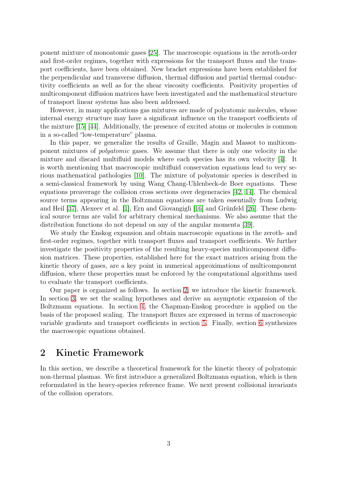ponent mixture of monoatomic gases [\[25\]](#page-63-4). The macroscopic equations in the zeroth-order and first-order regimes, together with expressions for the transport fluxes and the transport coefficients, have been obtained. New bracket expressions have been established for the perpendicular and transverse diffusion, thermal diffusion and partial thermal conductivity coefficients as well as for the shear viscosity coefficients. Positivity properties of multicomponent diffusion matrices have been investigated and the mathematical structure of transport linear systems has also been addressed.

However, in many applications gas mixtures are made of polyatomic molecules, whose internal energy structure may have a significant influence on the transport coefficients of the mixture [\[15\]](#page-63-5) [\[44\]](#page-64-5). Additionally, the presence of excited atoms or molecules is common in a so-called "low-temperature" plasma.

In this paper, we generalize the results of Graille, Magin and Massot to multicomponent mixtures of polyatomic gases. We assume that there is only one velocity in the mixture and discard multifluid models where each species has its own velocity [\[4\]](#page-62-6). It is worth mentioning that macroscopic multifluid conservation equations lead to very serious mathematical pathologies [\[10\]](#page-62-9). The mixture of polyatomic species is described in a semi-classical framework by using Wang Chang-Uhlenbeck-de Boer equations. These equations preaverage the collision cross sections over degeneracies [\[42,](#page-64-6) [14\]](#page-63-6). The chemical source terms appearing in the Boltzmann equations are taken essentially from Ludwig and Heil [\[37\]](#page-64-7), Alexeev et al. [\[1\]](#page-62-10), Ern and Giovangigli [\[16\]](#page-63-7) and Grünfeld [\[26\]](#page-63-8). These chemical source terms are valid for arbitrary chemical mechanisms. We also assume that the distribution functions do not depend on any of the angular momenta [\[39\]](#page-64-3).

We study the Enskog expansion and obtain macroscopic equations in the zeroth- and first-order regimes, together with transport fluxes and transport coefficients. We further investigate the positivity properties of the resulting heavy-species multicomponent diffusion matrices. These properties, established here for the exact matrices arising from the kinetic theory of gases, are a key point in numerical approximations of multicomponent diffusion, where these properties must be enforced by the computational algorithms used to evaluate the transport coefficients.

Our paper is organized as follows. In section [2,](#page-2-0) we introduce the kinetic framework. In section [3,](#page-8-0) we set the scaling hypotheses and derive an asymptotic expansion of the Boltzmann equations. In section [4,](#page-21-0) the Chapman-Enskog procedure is applied on the basis of the proposed scaling. The transport fluxes are expressed in terms of macroscopic variable gradients and transport coefficients in section [5.](#page-43-0) Finally, section [6](#page-55-0) synthesizes the macroscopic equations obtained.

## <span id="page-2-0"></span>2 Kinetic Framework

In this section, we describe a theoretical framework for the kinetic theory of polyatomic non-thermal plasmas. We first introduce a generalized Boltzmann equation, which is then reformulated in the heavy-species reference frame. We next present collisional invariants of the collision operators.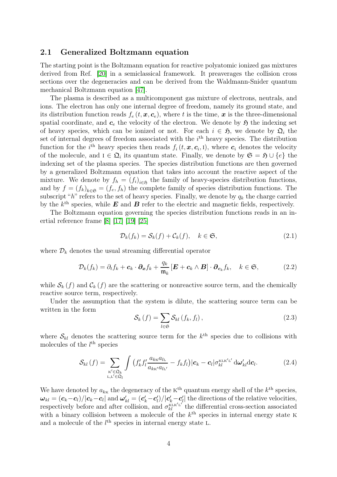#### 2.1 Generalized Boltzmann equation

The starting point is the Boltzmann equation for reactive polyatomic ionized gas mixtures derived from Ref. [\[20\]](#page-63-1) in a semiclassical framework. It preaverages the collision cross sections over the degeneracies and can be derived from the Waldmann-Snider quantum mechanical Boltzmann equation [\[47\]](#page-64-8).

The plasma is described as a multicomponent gas mixture of electrons, neutrals, and ions. The electron has only one internal degree of freedom, namely its ground state, and its distribution function reads  $f_e(t, \mathbf{x}, \mathbf{c}_e)$ , where t is the time, x is the three-dimensional spatial coordinate, and  $c_e$  the velocity of the electron. We denote by  $\mathfrak{H}$  the indexing set of heavy species, which can be ionized or not. For each  $i \in \mathfrak{H}$ , we denote by  $\mathfrak{Q}_i$  the set of internal degrees of freedom associated with the  $i<sup>th</sup>$  heavy species. The distribution function for the  $i^{\text{th}}$  heavy species then reads  $f_i(t, \mathbf{x}, \mathbf{c}_i, 1)$ , where  $\mathbf{c}_i$  denotes the velocity of the molecule, and  $I \in \mathfrak{Q}_i$  its quantum state. Finally, we denote by  $\mathfrak{S} = \mathfrak{H} \cup \{e\}$  the indexing set of the plasma species. The species distribution functions are then governed by a generalized Boltzmann equation that takes into account the reactive aspect of the mixture. We denote by  $f_h = (f_i)_{i \in \mathfrak{H}}$  the family of heavy-species distribution functions, and by  $f = (f_k)_{k \in \mathfrak{S}} = (f_e, f_h)$  the complete family of species distribution functions. The subscript "h" refers to the set of heavy species. Finally, we denote by  $q_k$  the charge carried by the  $k^{\text{th}}$  species, while **E** and **B** refer to the electric and magnetic fields, respectively.

The Boltzmann equation governing the species distribution functions reads in an inertial reference frame [\[8\]](#page-62-0) [\[17\]](#page-63-0) [\[19\]](#page-63-9) [\[25\]](#page-63-4)

<span id="page-3-1"></span>
$$
\mathcal{D}_k(f_k) = \mathcal{S}_k(f) + \mathcal{C}_k(f), \quad k \in \mathfrak{S},\tag{2.1}
$$

where  $\mathcal{D}_k$  denotes the usual streaming differential operator

$$
\mathcal{D}_k(f_k) = \partial_t f_k + \mathbf{c}_k \cdot \partial_x f_k + \frac{q_k}{\mathfrak{m}_k} \left[ \mathbf{E} + \mathbf{c}_k \wedge \mathbf{B} \right] \cdot \partial_{\mathbf{c}_k} f_k, \quad k \in \mathfrak{S}, \tag{2.2}
$$

while  $S_k(f)$  and  $C_k(f)$  are the scattering or nonreactive source term, and the chemically reactive source term, respectively.

Under the assumption that the system is dilute, the scattering source term can be written in the form

$$
\mathcal{S}_{k}\left(f\right) = \sum_{l \in \mathfrak{S}} \mathcal{S}_{kl}\left(f_{k}, f_{l}\right),\tag{2.3}
$$

where  $\mathcal{S}_{kl}$  denotes the scattering source term for the  $k^{\text{th}}$  species due to collisions with molecules of the  $l^{\text{th}}$  species

<span id="page-3-0"></span>
$$
S_{kl}(f) = \sum_{\substack{\kappa' \in \mathfrak{Q}_k \\ \mathbf{L}, \mathbf{L}' \in \mathfrak{Q}_l}} \int \left( f'_k f'_l \frac{a_{k\kappa} a_{l\mathbf{L}}}{a_{k\kappa'} a_{l\mathbf{L}'}} - f_k f_l \right) |\mathbf{c}_k - \mathbf{c}_l| \sigma_{kl}^{\kappa \mathbf{L} \kappa' \mathbf{L}'} d\boldsymbol{\omega}'_{kl} d\mathbf{c}_l. \tag{2.4}
$$

We have denoted by  $a_{k\kappa}$  the degeneracy of the  $\kappa^{\text{th}}$  quantum energy shell of the  $k^{\text{th}}$  species,  $\bm{\omega}_{kl} = (\bm{c}_k - \bm{c}_l)/|\bm{c}_k - \bm{c}_l|$  and  $\bm{\omega}_{kl}' = (\bm{c}_k' - \bm{c}_l')/|\bm{c}_k' - \bm{c}_l'|$  the directions of the relative velocities, respectively before and after collision, and  $\sigma_{kl}^{\text{KLK'L'}}$  the differential cross-section associated with a binary collision between a molecule of the  $k^{\text{th}}$  species in internal energy state K and a molecule of the  $l<sup>th</sup>$  species in internal energy state L.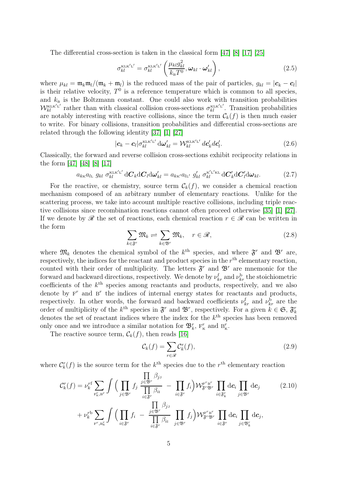The differential cross-section is taken in the classical form [\[47\]](#page-64-8) [\[8\]](#page-62-0) [\[17\]](#page-63-0) [\[25\]](#page-63-4)

$$
\sigma_{kl}^{\text{KLK}'L'} = \sigma_{kl}^{\text{KLK}'L'} \left( \frac{\mu_{kl} g_{kl}^2}{k_{\text{B}} T^0}, \boldsymbol{\omega}_{kl} \cdot \boldsymbol{\omega}_{kl}' \right), \qquad (2.5)
$$

where  $\mu_{kl} = \mathfrak{m}_k \mathfrak{m}_l / (\mathfrak{m}_k + \mathfrak{m}_l)$  is the reduced mass of the pair of particles,  $g_{kl} = |\mathbf{c}_k - \mathbf{c}_l|$ is their relative velocity,  $T^0$  is a reference temperature which is common to all species, and  $k_B$  is the Boltzmann constant. One could also work with transition probabilities  $W_{kl}^{\text{KLK}'\text{L}'}$  rather than with classical collision cross-sections  $\sigma_{kl}^{\text{KLK}'\text{L}'}$ . Transition probabilities are notably interesting with reactive collisions, since the term  $\mathcal{C}_k(f)$  is then much easier to write. For binary collisions, transition probabilities and differential cross-sections are related through the following identity [\[37\]](#page-64-7) [\[1\]](#page-62-10) [\[27\]](#page-63-10)

$$
|\boldsymbol{c}_k - \boldsymbol{c}_l| \sigma_{kl}^{\text{KLK}'\text{L}'} d\boldsymbol{\omega}_{kl}' = \mathcal{W}_{kl}^{\text{KLK}'\text{L}'} d\boldsymbol{c}_k' d\boldsymbol{c}_l'. \tag{2.6}
$$

Classically, the forward and reverse collision cross-sections exhibit reciprocity relations in the form [\[47\]](#page-64-8) [\[48\]](#page-64-9) [\[8\]](#page-62-0) [\[17\]](#page-63-0)

<span id="page-4-1"></span>
$$
a_{k\kappa}a_{l\kappa} g_{kl} \sigma_{kl}^{\kappa \kappa' \kappa' \iota'} dC_k dC_l d\omega'_{kl} = a_{k\kappa'} a_{l\kappa'} g'_{kl} \sigma_{kl}^{\kappa' \kappa' \kappa} dC'_k dC'_l d\omega_{kl}.
$$
 (2.7)

For the reactive, or chemistry, source term  $\mathcal{C}_k(f)$ , we consider a chemical reaction mechanism composed of an arbitrary number of elementary reactions. Unlike for the scattering process, we take into account multiple reactive collisions, including triple reactive collisions since recombination reactions cannot often proceed otherwise [\[35\]](#page-64-10) [\[1\]](#page-62-10) [\[27\]](#page-63-10). If we denote by R the set of reactions, each chemical reaction  $r \in \mathcal{R}$  can be written in the form

$$
\sum_{k \in \mathfrak{F}^r} \mathfrak{M}_k \rightleftharpoons \sum_{k \in \mathfrak{B}^r} \mathfrak{M}_k, \quad r \in \mathcal{R}, \tag{2.8}
$$

where  $\mathfrak{M}_k$  denotes the chemical symbol of the  $k^{\text{th}}$  species, and where  $\mathfrak{F}^r$  and  $\mathfrak{B}^r$  are, respectively, the indices for the reactant and product species in the  $r<sup>th</sup>$  elementary reaction, counted with their order of multiplicity. The letters  $\mathfrak{F}^r$  and  $\mathfrak{B}^r$  are mnemonic for the forward and backward directions, respectively. We denote by  $\nu_{kr}^{\text{f}}$  and  $\nu_{kr}^{\text{b}}$  the stoichiometric coefficients of the  $k^{\text{th}}$  species among reactants and products, respectively, and we also denote by  $F^r$  and  $B^r$  the indices of internal energy states for reactants and products, respectively. In other words, the forward and backward coefficients  $\nu_{kr}^{\text{f}}$  and  $\nu_{kr}^{\text{b}}$  are the order of multiplicity of the  $k^{\text{th}}$  species in  $\mathfrak{F}^r$  and  $\mathfrak{B}^r$ , respectively. For a given  $k \in \mathfrak{S}$ ,  $\mathfrak{F}_k^r$ denotes the set of reactant indices where the index for the  $k^{\text{th}}$  species has been removed only once and we introduce a similar notation for  $\mathfrak{B}^r_k$ ,  $F^r_k$  and  $B^r_k$ .

The reactive source term,  $\mathcal{C}_k(f)$ , then reads [\[16\]](#page-63-7)

<span id="page-4-2"></span><span id="page-4-0"></span>
$$
\mathcal{C}_k(f) = \sum_{r \in \mathcal{R}} \mathcal{C}_k^r(f),\tag{2.9}
$$

where  $C_k^r(f)$  is the source term for the  $k^{\text{th}}$  species due to the  $r^{\text{th}}$  elementary reaction

$$
\mathcal{C}_{k}^{r}(f) = \nu_{k}^{r f} \sum_{\mathbf{F}_{\mathbf{K},\mathbf{B}^{r}}^{r}} \int \Big( \prod_{j \in \mathfrak{B}^{r}} f_{j} \frac{\prod_{j \in \mathfrak{B}^{r}} \beta_{j}}{\prod_{i \in \mathfrak{F}^{r}} \beta_{i}} - \prod_{i \in \mathfrak{F}^{r}} f_{i} \Big) \mathcal{W}_{\mathfrak{F}^{r} \mathfrak{B}^{r}}^{\mathbf{F}^{r} \mathbf{B}^{r}} \prod_{i \in \mathfrak{F}^{r}} \mathrm{d} \mathbf{c}_{i} \prod_{j \in \mathfrak{B}^{r}} \mathrm{d} \mathbf{c}_{j} \qquad (2.10)
$$
\n
$$
+ \nu_{k}^{r b} \sum_{\mathbf{F}^{r}, \mathbf{B}_{\mathbf{K}}^{r}} \int \Big( \prod_{i \in \mathfrak{F}^{r}} f_{i} - \frac{\prod_{j \in \mathfrak{B}^{r}} \beta_{j}}{\prod_{i \in \mathfrak{F}^{r}} \beta_{i}} \prod_{j \in \mathfrak{B}^{r}} f_{j} \Big) \mathcal{W}_{\mathfrak{F}^{r} \mathfrak{B}^{r}}^{\mathbf{F}^{r} \mathbf{B}^{r}} \prod_{i \in \mathfrak{F}^{r}} \mathrm{d} \mathbf{c}_{i} \prod_{j \in \mathfrak{B}^{r}} \mathrm{d} \mathbf{c}_{j},
$$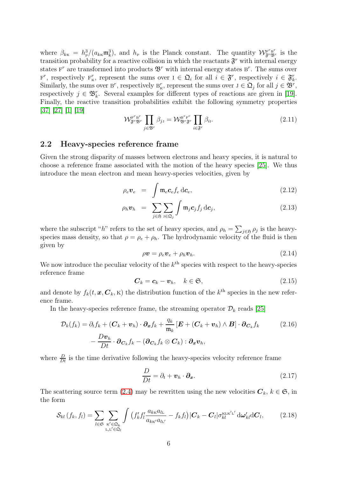where  $\beta_{k\kappa} = h_p^3/(a_{k\kappa} \mathfrak{m}_k^3)$ , and  $h_p$  is the Planck constant. The quantity  $\mathcal{W}_{\mathfrak{F}^r \mathfrak{B}^r}^{\mathfrak{F}^r}$  is the transition probability for a reactive collision in which the reactants  $\mathfrak{F}^r$  with internal energy states  $F^r$  are transformed into products  $\mathfrak{B}^r$  with internal energy states  $B^r$ . The sums over  $F^r$ , respectively  $F^r_{\kappa}$ , represent the sums over  $I \in \mathfrak{Q}_i$  for all  $i \in \mathfrak{F}^r$ , respectively  $i \in \mathfrak{F}^r_k$ . Similarly, the sums over B<sup>r</sup>, respectively B<sub>K</sub><sup>r</sup>, represent the sums over  $J \in \mathfrak{Q}_j$  for all  $j \in \mathfrak{B}^r$ , respectively  $j \in \mathfrak{B}_k^r$ . Several examples for different types of reactions are given in [\[19\]](#page-63-9). Finally, the reactive transition probabilities exhibit the following symmetry properties [\[37\]](#page-64-7) [\[27\]](#page-63-10) [\[1\]](#page-62-10) [\[19\]](#page-63-9)

$$
\mathcal{W}_{\mathfrak{F}^r \mathfrak{B}^r}^{\mathbf{F}^r \mathbf{B}^r} \prod_{j \in \mathfrak{B}^r} \beta_{j\mathbf{J}} = \mathcal{W}_{\mathfrak{B}^r \mathfrak{F}^r}^{\mathbf{B}^r \mathbf{F}^r} \prod_{i \in \mathfrak{F}^r} \beta_{i\mathbf{I}}.
$$
\n(2.11)

#### 2.2 Heavy-species reference frame

Given the strong disparity of masses between electrons and heavy species, it is natural to choose a reference frame associated with the motion of the heavy species [\[25\]](#page-63-4). We thus introduce the mean electron and mean heavy-species velocities, given by

$$
\rho_e \mathbf{v}_e = \int \mathfrak{m}_e \mathbf{c}_e f_e \, \mathrm{d} \mathbf{c}_e, \qquad (2.12)
$$

$$
\rho_h \boldsymbol{v}_h = \sum_{j \in \mathfrak{H}} \sum_{\mathfrak{J} \in \mathfrak{Q}_j} \int \mathfrak{m}_j \boldsymbol{c}_j f_j \,\mathrm{d} \boldsymbol{c}_j,\tag{2.13}
$$

where the subscript "h" refers to the set of heavy species, and  $\rho_h = \sum_{j \in \mathfrak{H}} \rho_j$  is the heavyspecies mass density, so that  $\rho = \rho_e + \rho_h$ . The hydrodynamic velocity of the fluid is then given by

$$
\rho \mathbf{v} = \rho_e \mathbf{v}_e + \rho_h \mathbf{v}_h. \tag{2.14}
$$

We now introduce the peculiar velocity of the  $k^{\text{th}}$  species with respect to the heavy-species reference frame

$$
\boldsymbol{C}_k = \boldsymbol{c}_k - \boldsymbol{v}_h, \quad k \in \mathfrak{S}, \tag{2.15}
$$

and denote by  $f_k(t, \mathbf{x}, \mathbf{C}_k, \mathbf{k})$  the distribution function of the  $k^{\text{th}}$  species in the new reference frame.

In the heavy-species reference frame, the streaming operator  $\mathcal{D}_k$  reads [\[25\]](#page-63-4)

$$
\mathcal{D}_k(f_k) = \partial_t f_k + (\mathbf{C}_k + \mathbf{v}_h) \cdot \partial_x f_k + \frac{q_k}{\mathfrak{m}_k} [\mathbf{E} + (\mathbf{C}_k + \mathbf{v}_h) \wedge \mathbf{B}] \cdot \partial_{\mathbf{C}_k} f_k \qquad (2.16)
$$

$$
- \frac{D\mathbf{v}_h}{Dt} \cdot \partial_{\mathbf{C}_k} f_k - (\partial_{\mathbf{C}_k} f_k \otimes \mathbf{C}_k) : \partial_x \mathbf{v}_h,
$$

where  $\frac{D}{Dt}$  is the time derivative following the heavy-species velocity reference frame

$$
\frac{D}{Dt} = \partial_t + \boldsymbol{v}_h \cdot \boldsymbol{\partial}_x. \tag{2.17}
$$

The scattering source term [\(2.4\)](#page-3-0) may be rewritten using the new velocities  $C_k$ ,  $k \in \mathfrak{S}$ , in the form

$$
\mathcal{S}_{kl}(f_k, f_l) = \sum_{l \in \mathfrak{S}} \sum_{\substack{\kappa' \in \mathfrak{Q}_k \\ \mathbf{L}, \mathbf{L}' \in \mathfrak{Q}_l}} \int \left( f'_k f'_l \frac{a_{k\kappa} a_{l\kappa}}{a_{k\kappa'} a_{l\kappa'}} - f_k f_l \right) |\mathbf{C}_k - \mathbf{C}_l| \sigma_{kl}^{\kappa \mathbf{L} \kappa' \mathbf{L}'} d\mathbf{\omega}_{kl}' d\mathbf{C}_l, \tag{2.18}
$$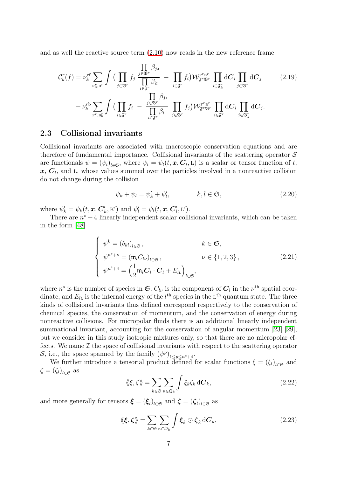and as well the reactive source term [\(2.10\)](#page-4-0) now reads in the new reference frame

$$
\mathcal{C}_{k}^{r}(f) = \nu_{k}^{r} \sum_{\mathbf{F}_{k}^{r}, \mathbf{B}^{r}} \int \left( \prod_{j \in \mathfrak{B}^{r}} f_{j} \frac{\prod_{j \in \mathfrak{B}^{r}} \beta_{j}}{\prod_{i \in \mathfrak{F}^{r}} \beta_{i}} - \prod_{i \in \mathfrak{F}^{r}} f_{i} \right) \mathcal{W}_{\mathfrak{F}^{r} \mathfrak{B}^{r}}^{\mathbf{F}^{r} \mathbf{B}^{r}} \prod_{i \in \mathfrak{F}^{r}} \mathrm{d}C_{i} \prod_{j \in \mathfrak{B}^{r}} \mathrm{d}C_{j} \qquad (2.19)
$$
\n
$$
+ \nu_{k}^{r} \sum_{\mathbf{F}^{r}, \mathbf{B}_{k}^{r}} \int \left( \prod_{i \in \mathfrak{F}^{r}} f_{i} - \frac{\prod_{j \in \mathfrak{B}^{r}} \beta_{j}}{\prod_{i \in \mathfrak{F}^{r}} \beta_{i}} \prod_{j \in \mathfrak{B}^{r}} f_{j} \right) \mathcal{W}_{\mathfrak{F}^{r} \mathfrak{B}^{r}}^{\mathbf{F}^{r} \mathbf{B}^{r}} \prod_{i \in \mathfrak{F}^{r}} \mathrm{d}C_{i} \prod_{j \in \mathfrak{B}^{r}} \mathrm{d}C_{j}.
$$

## 2.3 Collisional invariants

Collisional invariants are associated with macroscopic conservation equations and are therefore of fundamental importance. Collisional invariants of the scattering operator  $\mathcal S$ are functionals  $\psi = (\psi_l)_{l \in \mathfrak{S}}$ , where  $\psi_l = \psi_l(t, \mathbf{x}, \mathbf{C}_l, L)$  is a scalar or tensor function of t,  $x, C<sub>l</sub>$ , and L, whose values summed over the particles involved in a nonreactive collision do not change during the collision

<span id="page-6-0"></span>
$$
\psi_k + \psi_l = \psi'_k + \psi'_l, \qquad k, l \in \mathfrak{S}, \qquad (2.20)
$$

where  $\psi'_k = \psi_k(t, \boldsymbol{x}, \boldsymbol{C}'_k)$  $\psi'_k$ , K') and  $\psi'_l = \psi_l(t, \mathbf{x}, \mathbf{C}'_l)$  $\mathbf{L}'$ ,  $\mathbf{L}'$ ).

There are  $n^{s} + 4$  linearly independent scalar collisional invariants, which can be taken in the form [\[48\]](#page-64-9)

$$
\begin{cases}\n\psi^k = (\delta_{kl})_{l \in \mathfrak{S}}, & k \in \mathfrak{S}, \\
\psi^{n^s + \nu} = (\mathfrak{m}_l C_{l\nu})_{l \in \mathfrak{S}}, & \nu \in \{1, 2, 3\}, \\
\psi^{n^s + 4} = \left(\frac{1}{2} \mathfrak{m}_l \mathbf{C}_l \cdot \mathbf{C}_l + E_{l\mathbf{L}}\right)_{l \in \mathfrak{S}},\n\end{cases}
$$
\n(2.21)

where  $n^s$  is the number of species in  $\mathfrak{S}, C_{l\nu}$  is the component of  $\mathbf{C}_l$  in the  $\nu^{\text{th}}$  spatial coordinate, and  $E_{l_{\rm L}}$  is the internal energy of the  $l^{\rm th}$  species in the L<sup>th</sup> quantum state. The three kinds of collisional invariants thus defined correspond respectively to the conservation of chemical species, the conservation of momentum, and the conservation of energy during nonreactive collisions. For micropolar fluids there is an additional linearly independent summational invariant, accounting for the conservation of angular momentum [\[23\]](#page-63-11) [\[29\]](#page-63-12), but we consider in this study isotropic mixtures only, so that there are no micropolar effects. We name  $\mathcal I$  the space of collisional invariants with respect to the scattering operator S, i.e., the space spanned by the family  $(\psi^p)_{1 \leq p \leq n^s + 4}$ .

We further introduce a tensorial product defined for scalar functions  $\xi = (\xi_l)_{l \in \mathfrak{S}}$  and  $\zeta = (\zeta_l)_{l \in \mathfrak{S}}$  as

$$
\langle \langle \xi, \zeta \rangle \rangle = \sum_{k \in \mathfrak{S}} \sum_{\kappa \in \mathfrak{Q}_k} \int \xi_k \zeta_k \, d\mathbf{C}_k, \tag{2.22}
$$

and more generally for tensors  $\boldsymbol{\xi} = (\boldsymbol{\xi}_l)_{l \in \mathfrak{S}}$  and  $\boldsymbol{\zeta} = (\boldsymbol{\zeta}_l)_{l \in \mathfrak{S}}$  as

$$
\langle \langle \boldsymbol{\xi}, \boldsymbol{\zeta} \rangle \rangle = \sum_{k \in \mathfrak{S}} \sum_{\kappa \in \mathfrak{Q}_k} \int \boldsymbol{\xi}_k \odot \boldsymbol{\zeta}_k \, d\boldsymbol{C}_k, \tag{2.23}
$$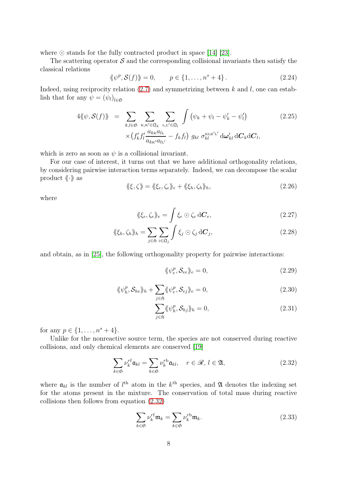where ⊙ stands for the fully contracted product in space [\[14\]](#page-63-6) [\[23\]](#page-63-11).

The scattering operator  $\mathcal S$  and the corresponding collisional invariants then satisfy the classical relations

$$
\langle \psi^p, \mathcal{S}(f) \rangle = 0, \qquad p \in \{1, ..., n^s + 4\}.
$$
 (2.24)

Indeed, using reciprocity relation  $(2.7)$  and symmetrizing between k and l, one can establish that for any  $\psi = (\psi_l)_{l \in \mathfrak{S}}$ 

$$
4\langle\!\langle \psi, \mathcal{S}(f) \rangle\!\rangle = \sum_{k,l \in \mathfrak{S}} \sum_{\mathbf{K}, \mathbf{K}' \in \mathfrak{Q}_k} \sum_{\mathbf{L}, \mathbf{L}' \in \mathfrak{Q}_l} \int \left( \psi_k + \psi_l - \psi'_k - \psi'_l \right) \tag{2.25}
$$

$$
\times \left( f'_k f'_l \frac{a_{k\mathbf{K}} a_{l\mathbf{L}}}{a_{k\mathbf{K}'} a_{l\mathbf{L}'}} - f_k f_l \right) g_{kl} \sigma_{kl}^{\text{KLK'L}'} d\omega'_{kl} dC_k dC_l,
$$

which is zero as soon as  $\psi$  is a collisional invariant.

For our case of interest, it turns out that we have additional orthogonality relations, by considering pairwise interaction terms separately. Indeed, we can decompose the scalar product  $\langle \cdot \rangle$  as

$$
\langle \langle \xi, \zeta \rangle \rangle = \langle \langle \xi_e, \zeta_e \rangle \rangle_e + \langle \langle \xi_h, \zeta_h \rangle \rangle_h, \tag{2.26}
$$

where

$$
\langle \langle \xi_e, \zeta_e \rangle \rangle_e = \int \xi_e \odot \zeta_e d\mathbf{C}_e, \qquad (2.27)
$$

$$
\langle \langle \xi_h, \zeta_h \rangle \rangle_h = \sum_{j \in \mathfrak{H}} \sum_{\mathbf{j} \in \mathfrak{Q}_j} \int \xi_j \odot \zeta_j \, d\mathbf{C}_j,\tag{2.28}
$$

and obtain, as in [\[25\]](#page-63-4), the following orthogonality property for pairwise interactions:

<span id="page-7-1"></span>
$$
\langle \langle \psi_e^p, \mathcal{S}_{ee} \rangle \rangle_e = 0, \tag{2.29}
$$

$$
\langle \langle \psi_h^p, \mathcal{S}_{he} \rangle \rangle_h + \sum_{j \in \mathfrak{H}} \langle \langle \psi_e^p, \mathcal{S}_{eg} \rangle \rangle_e = 0, \tag{2.30}
$$

$$
\sum_{j \in \mathfrak{H}} \langle \psi_h^p, \mathcal{S}_{hj} \rangle_h = 0, \tag{2.31}
$$

for any  $p \in \{1, ..., n^s + 4\}.$ 

Unlike for the nonreactive source term, the species are not conserved during reactive collisions, and only chemical elements are conserved [\[19\]](#page-63-9)

<span id="page-7-0"></span>
$$
\sum_{k \in \mathfrak{S}} \nu_k^{r\mathbf{f}} \mathfrak{a}_{kl} = \sum_{k \in \mathfrak{S}} \nu_k^{r\mathbf{b}} \mathfrak{a}_{kl}, \quad r \in \mathcal{R}, \ l \in \mathfrak{A}, \tag{2.32}
$$

where  $a_{kl}$  is the number of  $l^{\text{th}}$  atom in the  $k^{\text{th}}$  species, and  $\mathfrak A$  denotes the indexing set for the atoms present in the mixture. The conservation of total mass during reactive collisions then follows from equation [\(2.32\)](#page-7-0)

<span id="page-7-2"></span>
$$
\sum_{k \in \mathfrak{S}} \nu_k^{rf} \mathfrak{m}_k = \sum_{k \in \mathfrak{S}} \nu_k^{rb} \mathfrak{m}_k. \tag{2.33}
$$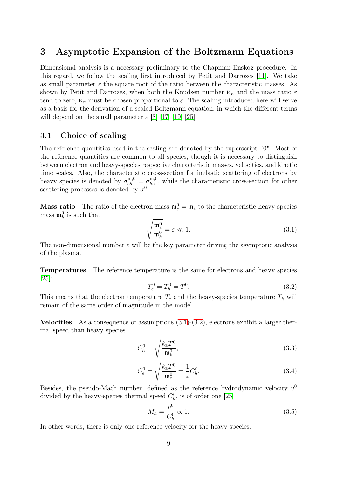# <span id="page-8-0"></span>3 Asymptotic Expansion of the Boltzmann Equations

Dimensional analysis is a necessary preliminary to the Chapman-Enskog procedure. In this regard, we follow the scaling first introduced by Petit and Darrozes [\[11\]](#page-62-7). We take as small parameter  $\varepsilon$  the square root of the ratio between the characteristic masses. As shown by Petit and Darrozes, when both the Knudsen number  $K_n$  and the mass ratio  $\varepsilon$ tend to zero,  $K_n$  must be chosen proportional to  $\varepsilon$ . The scaling introduced here will serve as a basis for the derivation of a scaled Boltzmann equation, in which the different terms will depend on the small parameter  $\varepsilon$  [\[8\]](#page-62-0) [\[17\]](#page-63-0) [\[19\]](#page-63-9) [\[25\]](#page-63-4).

## 3.1 Choice of scaling

The reference quantities used in the scaling are denoted by the superscript "0". Most of the reference quantities are common to all species, though it is necessary to distinguish between electron and heavy-species respective characteristic masses, velocities, and kinetic time scales. Also, the characteristic cross-section for inelastic scattering of electrons by heavy species is denoted by  $\sigma_{eh}^{\text{in},0} = \sigma_{he}^{\text{in},0}$ , while the characteristic cross-section for other scattering processes is denoted by  $\sigma^0$ .

**Mass ratio** The ratio of the electron mass  $\mathfrak{m}_e^0 = \mathfrak{m}_e$  to the characteristic heavy-species mass  $\mathfrak{m}_h^0$  is such that

<span id="page-8-1"></span>
$$
\sqrt{\frac{\mathfrak{m}_e^0}{\mathfrak{m}_h^0}} = \varepsilon \ll 1.
$$
\n(3.1)

The non-dimensional number  $\varepsilon$  will be the key parameter driving the asymptotic analysis of the plasma.

Temperatures The reference temperature is the same for electrons and heavy species [\[25\]](#page-63-4):

<span id="page-8-2"></span>
$$
T_e^0 = T_h^0 = T^0. \tag{3.2}
$$

This means that the electron temperature  $T_e$  and the heavy-species temperature  $T_h$  will remain of the same order of magnitude in the model.

**Velocities** As a consequence of assumptions  $(3.1)-(3.2)$  $(3.1)-(3.2)$ , electrons exhibit a larger thermal speed than heavy species

<span id="page-8-3"></span>
$$
C_h^0 = \sqrt{\frac{k_\mathrm{B} T^0}{\mathfrak{m}_h^0}},\tag{3.3}
$$

$$
C_e^0 = \sqrt{\frac{k_{\rm B} T^0}{m_e^0}} = \frac{1}{\varepsilon} C_h^0.
$$
 (3.4)

Besides, the pseudo-Mach number, defined as the reference hydrodynamic velocity  $v^0$ divided by the heavy-species thermal speed  $C_h^0$ , is of order one [\[25\]](#page-63-4)

<span id="page-8-5"></span><span id="page-8-4"></span>
$$
M_h = \frac{v^0}{C_h^0} \propto 1. \tag{3.5}
$$

In other words, there is only one reference velocity for the heavy species.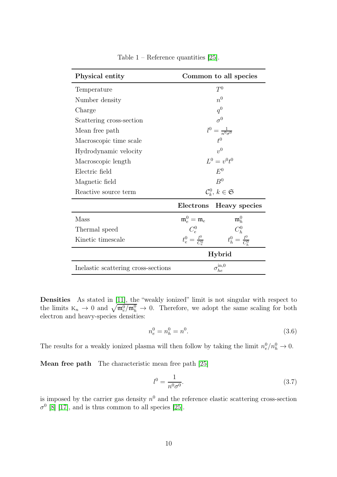<span id="page-9-0"></span>

| Physical entity                     | Common to all species                     |                           |
|-------------------------------------|-------------------------------------------|---------------------------|
| Temperature                         | $T^0$                                     |                           |
| Number density                      | $n^0$                                     |                           |
| Charge                              | $q^0$                                     |                           |
| Scattering cross-section            | $\sigma^0$                                |                           |
| Mean free path                      | $l^0 = \frac{1}{n^0 \sigma^0}$            |                           |
| Macroscopic time scale              | $t^0$                                     |                           |
| Hydrodynamic velocity               | $v^0$                                     |                           |
| Macroscopic length                  | $L^0 = v^0 t^0$                           |                           |
| Electric field                      | $E^0$                                     |                           |
| Magnetic field                      | B <sup>0</sup>                            |                           |
| Reactive source term                | $\mathcal{C}_{k}^{0}, k \in \mathfrak{S}$ |                           |
|                                     | Electrons                                 | Heavy species             |
| Mass                                | $\mathfrak{m}_e^0=\mathfrak{m}_e$         | $\mathfrak{m}_h^0$        |
| Thermal speed                       | $C_e^0$                                   | $C_h^0$                   |
| Kinetic timescale                   | $t_e^0 = \frac{l^0}{C^0}$                 | $t_h^0 = \frac{l^0}{C^0}$ |
|                                     | <b>Hybrid</b>                             |                           |
| Inelastic scattering cross-sections | $\sigma^{\rm in,0}_{he}$                  |                           |

Table  $1$  – Reference quantities [\[25\]](#page-63-4).

Densities As stated in [\[11\]](#page-62-7), the "weakly ionized" limit is not singular with respect to the limits  $K_n \to 0$  and  $\sqrt{\mathfrak{m}_e^0/\mathfrak{m}_h^0} \to 0$ . Therefore, we adopt the same scaling for both electron and heavy-species densities:

$$
n_e^0 = n_h^0 = n^0. \tag{3.6}
$$

The results for a weakly ionized plasma will then follow by taking the limit  $n_e^0/n_h^0 \to 0$ .

Mean free path The characteristic mean free path [\[25\]](#page-63-4)

$$
l^0 = \frac{1}{n^0 \sigma^0}.\tag{3.7}
$$

is imposed by the carrier gas density  $n<sup>0</sup>$  and the reference elastic scattering cross-section  $\sigma^0$  [\[8\]](#page-62-0) [\[17\]](#page-63-0), and is thus common to all species [\[25\]](#page-63-4).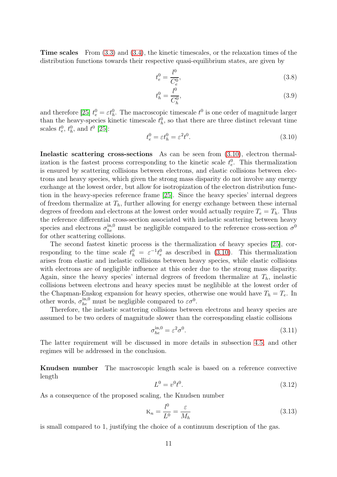Time scales From [\(3.3\)](#page-8-3) and [\(3.4\)](#page-8-4), the kinetic timescales, or the relaxation times of the distribution functions towards their respective quasi-equilibrium states, are given by

$$
t_e^0 = \frac{l^0}{C_e^0},\tag{3.8}
$$

$$
t_h^0 = \frac{l^0}{C_h^0},\tag{3.9}
$$

and therefore [\[25\]](#page-63-4)  $t_e^0 = \varepsilon t_h^0$ . The macroscopic timescale  $t^0$  is one order of magnitude larger than the heavy-species kinetic timescale  $t<sub>h</sub><sup>0</sup>$ , so that there are three distinct relevant time scales  $t_e^0$ ,  $t_h^0$ , and  $t^0$  [\[25\]](#page-63-4):

<span id="page-10-0"></span>
$$
t_e^0 = \varepsilon t_h^0 = \varepsilon^2 t^0. \tag{3.10}
$$

Inelastic scattering cross-sections As can be seen from [\(3.10\)](#page-10-0), electron thermalization is the fastest process corresponding to the kinetic scale  $t_e^0$ . This thermalization is ensured by scattering collisions between electrons, and elastic collisions between electrons and heavy species, which given the strong mass disparity do not involve any energy exchange at the lowest order, but allow for isotropization of the electron distribution function in the heavy-species reference frame [\[25\]](#page-63-4). Since the heavy species' internal degrees of freedom thermalize at  $T_h$ , further allowing for energy exchange between these internal degrees of freedom and electrons at the lowest order would actually require  $T_e = T_h$ . Thus the reference differential cross-section associated with inelastic scattering between heavy species and electrons  $\sigma_{he}^{\text{in},0}$  must be negligible compared to the reference cross-section  $\sigma^0$ for other scattering collisions.

The second fastest kinetic process is the thermalization of heavy species [\[25\]](#page-63-4), corresponding to the time scale  $t_h^0 = \varepsilon^{-1} t_e^0$  as described in [\(3.10\)](#page-10-0). This thermalization arises from elastic and inelastic collisions between heavy species, while elastic collisions with electrons are of negligible influence at this order due to the strong mass disparity. Again, since the heavy species' internal degrees of freedom thermalize at  $T_h$ , inelastic collisions between electrons and heavy species must be neglibible at the lowest order of the Chapman-Enskog expansion for heavy species, otherwise one would have  $T_h = T_e$ . In other words,  $\sigma_{he}^{\text{in},0}$  must be negligible compared to  $\varepsilon \sigma^0$ .

Therefore, the inelastic scattering collisions between electrons and heavy species are assumed to be two orders of magnitude slower than the corresponding elastic collisions

$$
\sigma_{he}^{\text{in},0} = \varepsilon^2 \sigma^0. \tag{3.11}
$$

The latter requirement will be discussed in more details in subsection [4.5,](#page-30-0) and other regimes will be addressed in the conclusion.

Knudsen number The macroscopic length scale is based on a reference convective length

$$
L^0 = v^0 t^0.
$$
\n(3.12)

As a consequence of the proposed scaling, the Knudsen number

$$
K_n = \frac{l^0}{L^0} = \frac{\varepsilon}{M_h} \tag{3.13}
$$

is small compared to 1, justifying the choice of a continuum description of the gas.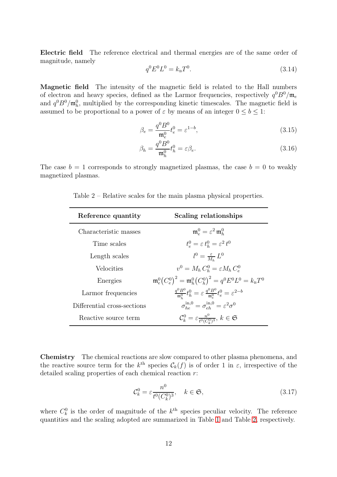Electric field The reference electrical and thermal energies are of the same order of magnitude, namely

$$
q^0 E^0 L^0 = k_{\rm B} T^0. \tag{3.14}
$$

Magnetic field The intensity of the magnetic field is related to the Hall numbers of electron and heavy species, defined as the Larmor frequencies, respectively  $q^{0}B^{0}/\mathfrak{m}_{e}$ and  $q^0B^0/\mathfrak{m}_h^0$ , multiplied by the corresponding kinetic timescales. The magnetic field is assumed to be proportional to a power of  $\varepsilon$  by means of an integer  $0 \leq b \leq 1$ :

$$
\beta_e = \frac{q^0 B^0}{\mathfrak{m}_e^0} t_e^0 = \varepsilon^{1-b},\tag{3.15}
$$

$$
\beta_h = \frac{q^0 B^0}{\mathfrak{m}_h^0} t_h^0 = \varepsilon \beta_e. \tag{3.16}
$$

<span id="page-11-0"></span>The case  $b = 1$  corresponds to strongly magnetized plasmas, the case  $b = 0$  to weakly magnetized plasmas.

| Reference quantity          | Scaling relationships                                                                                  |
|-----------------------------|--------------------------------------------------------------------------------------------------------|
| Characteristic masses       | $\mathfrak{m}_e^0 = \varepsilon^2 \mathfrak{m}_h^0$                                                    |
| Time scales                 | $t_e^0 = \varepsilon t_h^0 = \varepsilon^2 t^0$                                                        |
| Length scales               | $l^0 = \frac{\varepsilon}{M} L^0$                                                                      |
| Velocities                  | $v^0 = M_h C_h^0 = \varepsilon M_h C_e^0$                                                              |
| Energies                    | ${\mathfrak m}_{\rm e}^0(C_{\rm e}^0)^2={\mathfrak m}_{\rm b}^0(C_{\rm b}^0)^2=q^0E^0L^0=k_{\rm B}T^0$ |
| Larmor frequencies          | $\frac{q^0 B^0}{m^0} t_h^0 = \varepsilon \frac{q^0 B^0}{m^0} t_e^0 = \varepsilon^{2-b}$                |
| Differential cross-sections | $\sigma_{be}^{\text{in},0} = \sigma_{eb}^{\text{in},0} = \varepsilon^2 \sigma^0$                       |
| Reactive source term        | $\mathcal{C}_k^0 = \varepsilon \frac{n^0}{t^0 (C_k^0)^3}, k \in \mathfrak{S}$                          |

Table 2 – Relative scales for the main plasma physical properties.

Chemistry The chemical reactions are slow compared to other plasma phenomena, and the reactive source term for the  $k^{\text{th}}$  species  $\mathcal{C}_k(f)$  is of order 1 in  $\varepsilon$ , irrespective of the detailed scaling properties of each chemical reaction  $r$ :

$$
\mathcal{C}_k^0 = \varepsilon \frac{n^0}{t^0 (C_k^0)^3}, \quad k \in \mathfrak{S}, \tag{3.17}
$$

where  $C_k^0$  is the order of magnitude of the  $k^{\text{th}}$  species peculiar velocity. The reference quantities and the scaling adopted are summarized in Table [1](#page-9-0) and Table [2,](#page-11-0) respectively.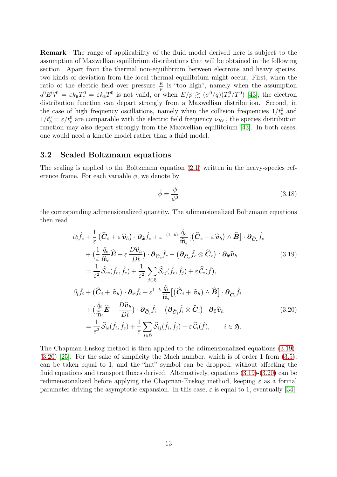Remark The range of applicability of the fluid model derived here is subject to the assumption of Maxwellian equilibrium distributions that will be obtained in the following section. Apart from the thermal non-equilibrium between electrons and heavy species, two kinds of deviation from the local thermal equilibrium might occur. First, when the ratio of the electric field over pressure  $\frac{E}{p}$  is "too high", namely when the assumption  $q^0E^0l^0 = \varepsilon k_\text{B}T_e^0 = \varepsilon k_\text{B}T^0$  is not valid, or when  $E/p \gtrsim (\sigma^0/q)(T_e^0/T^0)$  [\[43\]](#page-64-11), the electron distribution function can depart strongly from a Maxwellian distribution. Second, in the case of high frequency oscillations, namely when the collision frequencies  $1/t_e^0$  and  $1/t_h^0 = \varepsilon/t_e^0$  are comparable with the electric field frequency  $\nu_{RF}$ , the species distribution function may also depart strongly from the Maxwellian equilibrium [\[43\]](#page-64-11). In both cases, one would need a kinetic model rather than a fluid model.

## 3.2 Scaled Boltzmann equations

The scaling is applied to the Boltzmann equation [\(2.1\)](#page-3-1) written in the heavy-species reference frame. For each variable  $\phi$ , we denote by

<span id="page-12-1"></span><span id="page-12-0"></span>
$$
\hat{\phi} = \frac{\phi}{\phi^0} \tag{3.18}
$$

the corresponding adimensionalized quantity. The adimensionalized Boltzmann equations then read

$$
\partial_{\hat{t}}\hat{f}_{e} + \frac{1}{\varepsilon} \left( \hat{C}_{e} + \varepsilon \hat{v}_{h} \right) \cdot \partial_{\hat{\mathfrak{X}}} \hat{f}_{e} + \varepsilon^{-(1+b)} \frac{\hat{q}_{e}}{\hat{\mathfrak{m}}_{e}} \left[ \left( \hat{C}_{e} + \varepsilon \hat{v}_{h} \right) \wedge \hat{B} \right] \cdot \partial_{\hat{C}_{e}} \hat{f}_{e} \n+ \left( \frac{1}{\varepsilon} \frac{\hat{q}_{e}}{\hat{\mathfrak{m}}_{e}} \hat{E} - \varepsilon \frac{D \hat{v}_{h}}{D \hat{t}} \right) \cdot \partial_{\hat{C}_{e}} \hat{f}_{e} - \left( \partial_{\hat{C}_{e}} \hat{f}_{e} \otimes \hat{C}_{e} \right) : \partial_{\hat{\mathfrak{X}}} \hat{v}_{h} \n= \frac{1}{\varepsilon^{2}} \hat{S}_{ee} (\hat{f}_{e}, \hat{f}_{e}) + \frac{1}{\varepsilon^{2}} \sum_{j \in \mathfrak{H}} \hat{S}_{ej} (\hat{f}_{e}, \hat{f}_{j}) + \varepsilon \hat{C}_{e} (\hat{f}), \n\partial_{\hat{t}} \hat{f}_{i} + \left( \hat{C}_{i} + \hat{v}_{h} \right) \cdot \partial_{\hat{\mathfrak{X}}} \hat{f}_{i} + \varepsilon^{1-b} \frac{\hat{q}_{i}}{\hat{\mathfrak{m}}_{i}} \left[ \left( \hat{C}_{i} + \hat{v}_{h} \right) \wedge \hat{B} \right] \cdot \partial_{\hat{C}_{i}} \hat{f}_{i} \n+ \left( \frac{\hat{q}_{i}}{\hat{\mathfrak{m}}_{i}} \hat{E} - \frac{D \hat{v}_{h}}{D \hat{t}} \right) \cdot \partial_{\hat{C}_{i}} \hat{f}_{i} - \left( \partial_{\hat{C}_{i}} \hat{f}_{i} \otimes \hat{C}_{i} \right) : \partial_{\hat{\mathfrak{X}}} \hat{v}_{h} \n= \frac{1}{\varepsilon^{2}} \hat{S}_{ie} (\hat{f}_{i}, \hat{f}_{e}) + \frac{1}{\varepsilon} \sum_{j \in \mathfrak{H}} \hat{S}_{ij} (\hat{f}_{i}, \hat{
$$

The Chapman-Enskog method is then applied to the adimensionalized equations [\(3.19\)](#page-12-0)- [\(3.20\)](#page-12-1) [\[25\]](#page-63-4). For the sake of simplicity the Mach number, which is of order 1 from [\(3.5\)](#page-8-5), can be taken equal to 1, and the "hat" symbol can be dropped, without affecting the fluid equations and transport fluxes derived. Alternatively, equations [\(3.19\)](#page-12-0)-[\(3.20\)](#page-12-1) can be redimensionalized before applying the Chapman-Enskog method, keeping  $\varepsilon$  as a formal parameter driving the asymptotic expansion. In this case,  $\varepsilon$  is equal to 1, eventually [\[34\]](#page-64-12).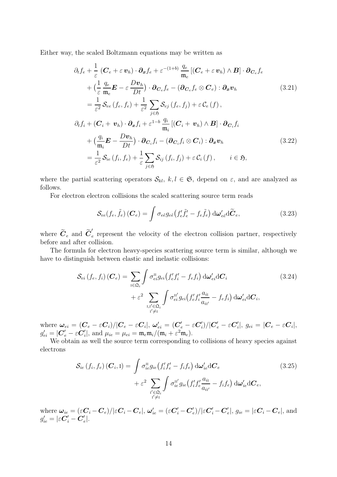Either way, the scaled Boltzmann equations may be written as

<span id="page-13-2"></span>
$$
\partial_{t}f_{e} + \frac{1}{\varepsilon} \left( \mathbf{C}_{e} + \varepsilon \,\mathbf{v}_{h} \right) \cdot \partial_{x}f_{e} + \varepsilon^{-(1+b)} \frac{q_{e}}{\mathfrak{m}_{e}} \left[ \left( \mathbf{C}_{e} + \varepsilon \,\mathbf{v}_{h} \right) \wedge \mathbf{B} \right] \cdot \partial_{\mathbf{C}_{e}}f_{e} \n+ \left( \frac{1}{\varepsilon} \frac{q_{e}}{\mathfrak{m}_{e}} \mathbf{E} - \varepsilon \frac{D\mathbf{v}_{h}}{Dt} \right) \cdot \partial_{\mathbf{C}_{e}}f_{e} - \left( \partial_{\mathbf{C}_{e}}f_{e} \otimes \mathbf{C}_{e} \right) : \partial_{x}\mathbf{v}_{h} \tag{3.21}
$$
\n
$$
= \frac{1}{\varepsilon^{2}} \mathcal{S}_{ee} \left( f_{e}, f_{e} \right) + \frac{1}{\varepsilon^{2}} \sum_{j \in \mathfrak{H}} \mathcal{S}_{ej} \left( f_{e}, f_{j} \right) + \varepsilon \mathcal{C}_{e} \left( f \right), \n\partial_{t}f_{i} + \left( \mathbf{C}_{i} + \mathbf{v}_{h} \right) \cdot \partial_{x}f_{i} + \varepsilon^{1-b} \frac{q_{i}}{\mathfrak{m}_{i}} \left[ \left( \mathbf{C}_{i} + \mathbf{v}_{h} \right) \wedge \mathbf{B} \right] \cdot \partial_{\mathbf{C}_{i}}f_{i} \n+ \left( \frac{q_{i}}{\mathfrak{m}_{i}} \mathbf{E} - \frac{D\mathbf{v}_{h}}{Dt} \right) \cdot \partial_{\mathbf{C}_{i}}f_{i} - \left( \partial_{\mathbf{C}_{i}}f_{i} \otimes \mathbf{C}_{i} \right) : \partial_{x}\mathbf{v}_{h} \tag{3.22}
$$
\n
$$
= \frac{1}{\varepsilon^{2}} \mathcal{S}_{ie} \left( f_{i}, f_{e} \right) + \frac{1}{\varepsilon} \sum_{j \in \mathfrak{H}} \mathcal{S}_{ij} \left( f_{i}, f_{j} \right) + \varepsilon \mathcal{C}_{i} \left( f \right), \qquad i \in \mathfrak{
$$

where the partial scattering operators  $S_{kl}$ ,  $k, l \in \mathfrak{S}$ , depend on  $\varepsilon$ , and are analyzed as follows.

For electron electron collisions the scaled scattering source term reads

<span id="page-13-4"></span><span id="page-13-3"></span><span id="page-13-1"></span>
$$
\mathcal{S}_{ee}(f_e, \tilde{f}_e) (\boldsymbol{C}_e) = \int \sigma_{e\tilde{e}} g_{e\tilde{e}} \left( f'_e \tilde{f}'_e - f_e \tilde{f}_e \right) d\boldsymbol{\omega}'_{e\tilde{e}} d\tilde{\boldsymbol{C}}_e, \qquad (3.23)
$$

where  $\widetilde{C}_e$  and  $\widetilde{C}'_e$ e represent the velocity of the electron collision partner, respectively before and after collision.

The formula for electron heavy-species scattering source term is similar, although we have to distinguish between elastic and inelastic collisions:

$$
\mathcal{S}_{ei}(f_e, f_i) (\boldsymbol{C}_e) = \sum_{\mathbf{i} \in \Omega_i} \int \sigma_{ei}^{\mathbf{u}} g_{ei} (f'_e f'_i - f_e f_i) d\boldsymbol{\omega}_{ei}' d\boldsymbol{C}_i \n+ \varepsilon^2 \sum_{\mathbf{i}, \mathbf{i}' \in \Omega_i} \int \sigma_{ei}^{\mathbf{u}'} g_{ei} (f'_e f'_i \frac{a_{i\mathbf{i}}}{a_{i\mathbf{i}'}} - f_e f_i) d\boldsymbol{\omega}_{ei}' d\boldsymbol{C}_i,
$$
\n(3.24)

where  $\bm{\omega}_{ei}=(\bm{C}_e-\varepsilon \bm{C}_i)/|\bm{C}_e-\varepsilon \bm{C}_i|,~\bm{\omega}'_{ei}=(\bm{C}'_e-\varepsilon \bm{C}'_i)$  $\epsilon'_i)/|{\boldsymbol C}'_e - \varepsilon {\boldsymbol C}'_i|$  $\mathcal{G}_i|, \ g_{ei} = |\boldsymbol{C}_e - \varepsilon \boldsymbol{C}_i|,$  $g'_{ei} = |\boldsymbol{C}'_e - \varepsilon \boldsymbol{C}'_i|$ '<sub>i</sub>|, and  $\mu_{ie} = \mu_{ei} = \mathfrak{m}_e \mathfrak{m}_i / (\mathfrak{m}_i + \varepsilon^2 \mathfrak{m}_e).$ 

We obtain as well the source term corresponding to collisions of heavy species against electrons

<span id="page-13-0"></span>
$$
S_{ie}(f_i, f_e) (C_i, I) = \int \sigma_{ie}^{II} g_{ie}(f_i' f_e' - f_i f_e) d\omega'_{ie} dC_e
$$
  
+ 
$$
\varepsilon^2 \sum_{\substack{i' \in \mathfrak{Q}_i \\ i' \neq I}} \int \sigma_{ie}^{II'} g_{ie}(f_i' f_e' \frac{a_{ii}}{a_{ii'}} - f_i f_e) d\omega'_{ie} dC_e,
$$
 (3.25)

where  $\bm{\omega}_{ie}=(\varepsilon \bm{C}_i-\bm{C}_e)/|\varepsilon \bm{C}_i-\bm{C}_e|,$   $\bm{\omega}_{ie}'=(\varepsilon \bm{C}_i'-\bm{C}_e')$  $\epsilon'_{e})/|\varepsilon \boldsymbol{C}_{i}' - \boldsymbol{C}_{\epsilon}'|$  $\mathcal{C}_{e}|,\, g_{ie}=|\varepsilon \boldsymbol{C}_{i}-\boldsymbol{C}_{e}|,\, \text{and}$  $g'_{ie} = |\varepsilon \boldsymbol{C}_i' - \boldsymbol{C}_e'$  $\frac{\prime}{e}$ .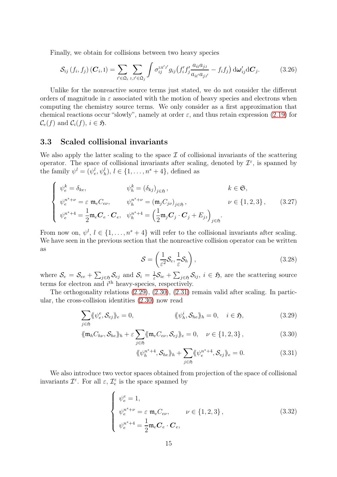Finally, we obtain for collisions between two heavy species

<span id="page-14-1"></span>
$$
S_{ij}\left(f_i,f_j\right)\left(\boldsymbol{C}_i,1\right)=\sum_{i'\in\mathfrak{Q}_i}\sum_{\substack{\boldsymbol{j},\boldsymbol{j}'\in\mathfrak{Q}_j}}\int\sigma_{ij}^{\text{III}'\boldsymbol{j}'}g_{ij}\left(f_i'f_j'\frac{a_{i1}a_{j1}}{a_{i1'}a_{j1'}}-f_if_j\right)\mathrm{d}\boldsymbol{\omega}_{ij}'\mathrm{d}\boldsymbol{C}_j.
$$
(3.26)

Unlike for the nonreactive source terms just stated, we do not consider the different orders of magnitude in  $\varepsilon$  associated with the motion of heavy species and electrons when computing the chemistry source terms. We only consider as a first approximation that chemical reactions occur "slowly", namely at order  $\varepsilon$ , and thus retain expression [\(2.19\)](#page-6-0) for  $\mathcal{C}_e(f)$  and  $\mathcal{C}_i(f)$ ,  $i \in \mathfrak{H}$ .

#### 3.3 Scaled collisional invariants

We also apply the latter scaling to the space  $\mathcal I$  of collisional invariants of the scattering operator. The space of collisional invariants after scaling, denoted by  $\mathcal{I}^{\varepsilon}$ , is spanned by the family  $\psi^l = (\psi^l_e, \psi^l_h), l \in \{1, \ldots, n^s + 4\},$  defined as

$$
\begin{cases}\n\psi_e^k = \delta_{ke}, & \psi_h^k = (\delta_{kj})_{j \in \mathfrak{H}}, & k \in \mathfrak{S}, \\
\psi_e^{n^s + \nu} = \varepsilon \mathfrak{m}_e C_{e\nu}, & \psi_h^{n^s + \nu} = (\mathfrak{m}_j C_{j\nu})_{j \in \mathfrak{H}}, & \nu \in \{1, 2, 3\}, \\
\psi_e^{n^s + 4} = \frac{1}{2} \mathfrak{m}_e \mathbf{C}_e \cdot \mathbf{C}_e, & \psi_h^{n^s + 4} = \left(\frac{1}{2} \mathfrak{m}_j \mathbf{C}_j \cdot \mathbf{C}_j + E_{j\jmath}\right)_{j \in \mathfrak{H}}.\n\end{cases}
$$
\n(3.27)

From now on,  $\psi^l, l \in \{1, \ldots, n^s + 4\}$  will refer to the collisional invariants after scaling. We have seen in the previous section that the nonreactive collision operator can be written as

$$
S = \left(\frac{1}{\varepsilon^2}S_e, \frac{1}{\varepsilon}S_h\right),\tag{3.28}
$$

where  $\mathcal{S}_e = \mathcal{S}_{ee} + \sum_{j \in \mathfrak{H}} \mathcal{S}_{ej}$  and  $\mathcal{S}_i = \frac{1}{\varepsilon}$  $\frac{1}{\varepsilon}S_{ie} + \sum_{j\in\mathfrak{H}}S_{ij}, i\in\mathfrak{H}$ , are the scattering source terms for electron and  $i^{\text{th}}$  heavy-species, respectively.

The orthogonality relations [\(2.29\)](#page-7-1), [\(2.30\)](#page-7-1), [\(2.31\)](#page-7-1) remain valid after scaling. In particular, the cross-collision identities [\(2.30\)](#page-7-1) now read

<span id="page-14-0"></span>
$$
\sum_{j\in\mathfrak{H}} \langle \psi_e^e, \mathcal{S}_{ej} \rangle_e = 0, \qquad \langle \psi_h^i, \mathcal{S}_{he} \rangle_h = 0, \quad i \in \mathfrak{H}, \qquad (3.29)
$$

$$
\langle \langle \mathfrak{m}_h C_{h\nu}, \mathcal{S}_{he} \rangle \rangle_h + \varepsilon \sum_{j \in \mathfrak{H}} \langle \langle \mathfrak{m}_e C_{e\nu}, \mathcal{S}_{ej} \rangle \rangle_e = 0, \quad \nu \in \{1, 2, 3\},\tag{3.30}
$$

$$
\langle \langle \psi_h^{n^s+4}, \mathcal{S}_{he} \rangle \rangle_h + \sum_{j \in \mathfrak{H}} \langle \langle \psi_e^{n^s+4}, \mathcal{S}_{ej} \rangle \rangle_e = 0. \tag{3.31}
$$

We also introduce two vector spaces obtained from projection of the space of collisional invariants  $\mathcal{I}^{\varepsilon}$ . For all  $\varepsilon$ ,  $\mathcal{I}_{e}^{\varepsilon}$  is the space spanned by

$$
\begin{cases}\n\psi_e^e = 1, \\
\psi_e^{n^s + \nu} = \varepsilon \ \mathfrak{m}_e C_{e\nu}, \\
\psi_e^{n^s + 4} = \frac{1}{2} \mathfrak{m}_e \mathbf{C}_e \cdot \mathbf{C}_e,\n\end{cases} \qquad \nu \in \{1, 2, 3\},
$$
\n(3.32)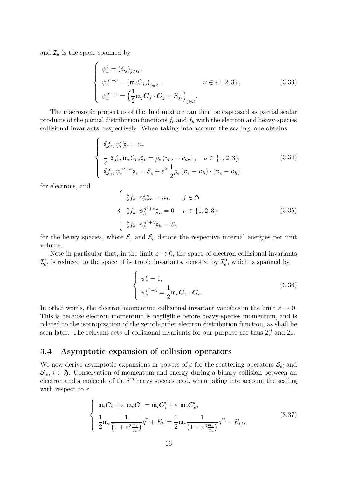and  $\mathcal{I}_h$  is the space spanned by

$$
\begin{cases}\n\psi_h^i = (\delta_{ij})_{j \in \mathfrak{H}}, \\
\psi_h^{n^s + \nu} = (\mathfrak{m}_j C_{j\nu})_{j \in \mathfrak{H}}, \\
\nu \in \{1, 2, 3\}, \\
\psi_h^{n^s + 4} = \left(\frac{1}{2} \mathfrak{m}_j \mathbf{C}_j \cdot \mathbf{C}_j + E_{j\nu}\right)_{j \in \mathfrak{H}}.\n\end{cases}
$$
\n(3.33)

The macrosopic properties of the fluid mixture can then be expressed as partial scalar products of the partial distribution functions  $f_e$  and  $f_h$  with the electron and heavy-species collisional invariants, respectively. When taking into account the scaling, one obtains

$$
\begin{cases} \langle \langle f_e, \psi_e^e \rangle \rangle_e = n_e \\ \frac{1}{\varepsilon} \langle \langle f_e, \mathfrak{m}_e C_{e\nu} \rangle \rangle_e = \rho_e (v_{e\nu} - v_{h\nu}), \quad \nu \in \{1, 2, 3\} \\ \langle \langle f_e, \psi_e^{n^s + 4} \rangle \rangle_e = \mathcal{E}_e + \varepsilon^2 \frac{1}{2} \rho_e (\mathbf{v}_e - \mathbf{v}_h) \cdot (\mathbf{v}_e - \mathbf{v}_h) \end{cases} \tag{3.34}
$$

for electrons, and

$$
\begin{cases} \langle \langle f_h, \psi_h^j \rangle_h = n_j, \quad j \in \mathfrak{H} \\ \langle \langle f_h, \psi_h^{n^s + \nu} \rangle_h = 0, \quad \nu \in \{1, 2, 3\} \\ \langle \langle f_h, \psi_h^{n^s + 4} \rangle_h = \mathcal{E}_h \end{cases} \tag{3.35}
$$

for the heavy species, where  $\mathcal{E}_e$  and  $\mathcal{E}_h$  denote the respective internal energies per unit volume.

Note in particular that, in the limit  $\varepsilon \to 0$ , the space of electron collisional invariants  $\mathcal{I}_e^{\varepsilon}$ , is reduced to the space of isotropic invariants, denoted by  $\mathcal{I}_e^0$ , which is spanned by

$$
\begin{cases}\n\psi_e^e = 1, \\
\psi_e^{n^s + 4} = \frac{1}{2} \mathfrak{m}_e \mathbf{C}_e \cdot \mathbf{C}_e.\n\end{cases} \tag{3.36}
$$

In other words, the electron momentum collisional invariant vanishes in the limit  $\varepsilon \to 0$ . This is because electron momentum is negligible before heavy-species momentum, and is related to the isotropization of the zeroth-order electron distribution function, as shall be seen later. The relevant sets of collisional invariants for our purpose are thus  $\mathcal{I}_e^0$  and  $\mathcal{I}_h$ .

## 3.4 Asymptotic expansion of collision operators

We now derive asymptotic expansions in powers of  $\varepsilon$  for the scattering operators  $\mathcal{S}_{ei}$  and  $\mathcal{S}_{ie}$ ,  $i \in \mathfrak{H}$ . Conservation of momentum and energy during a binary collision between an electron and a molecule of the  $i<sup>th</sup>$  heavy species read, when taking into account the scaling with respect to  $\varepsilon$ 

$$
\begin{cases}\n\mathfrak{m}_{i}C_{i} + \varepsilon \mathfrak{m}_{e}C_{e} = \mathfrak{m}_{i}C'_{i} + \varepsilon \mathfrak{m}_{e}C'_{e}, \\
\frac{1}{2}\mathfrak{m}_{e}\frac{1}{(1+\varepsilon^{2}\frac{\mathfrak{m}_{e}}{\mathfrak{m}_{i}})}g^{2} + E_{i\mathfrak{l}} = \frac{1}{2}\mathfrak{m}_{e}\frac{1}{(1+\varepsilon^{2}\frac{\mathfrak{m}_{e}}{\mathfrak{m}_{i}})}g'^{2} + E_{i\mathfrak{l}'},\n\end{cases}
$$
\n(3.37)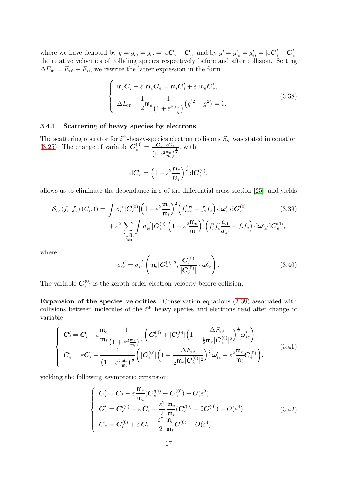where we have denoted by  $g = g_{ie} = g_{ei} = |\varepsilon \mathbf{C}_i - \mathbf{C}_e|$  and by  $g' = g'_{ie} = g'_{ei} = |\varepsilon \mathbf{C}'_i - \mathbf{C}'_e|$  $_{e}^{\prime}|$ the relative velocities of colliding species respectively before and after collision. Setting  $\Delta E_{\text{ii'}} = E_{ii'} - E_{i}$ , we rewrite the latter expression in the form

<span id="page-16-0"></span>
$$
\begin{cases}\n\mathfrak{m}_i C_i + \varepsilon \mathfrak{m}_e C_e = \mathfrak{m}_i C'_i + \varepsilon \mathfrak{m}_e C'_e, \\
\Delta E_{\mathfrak{n}'} + \frac{1}{2} \mathfrak{m}_e \frac{1}{\left(1 + \varepsilon^2 \frac{\mathfrak{m}_e}{\mathfrak{m}_i}\right)} \left(g'^2 - g^2\right) = 0.\n\end{cases} \tag{3.38}
$$

#### 3.4.1 Scattering of heavy species by electrons

The scattering operator for  $i<sup>th</sup>$ -heavy-species electron collisions  $\mathcal{S}_{ie}$  was stated in equation [\(3.25\)](#page-13-0). The change of variable  $C_e^{(0)} = \frac{C_e - \varepsilon C_i}{\sqrt{C_e - \varepsilon C_i}}$  $\Big(1{+}\varepsilon^2 \frac{\mathfrak{m}_e}{\mathfrak{m}_i}$  $\frac{i}{\sqrt{\frac{1}{2}}}$ , with

<span id="page-16-1"></span>
$$
\mathrm{d}\pmb{C}_e = \left(1+\varepsilon^2 \frac{\mathfrak{m}_e}{\mathfrak{m}_i}\right)^{\frac{3}{2}} \mathrm{d}\pmb{C}_e^{(0)},
$$

allows us to eliminate the dependance in  $\varepsilon$  of the differential cross-section [\[25\]](#page-63-4), and yields

$$
\mathcal{S}_{ie}(f_i, f_e) (C_i, I) = \int \sigma_{ie}^{II} |\mathbf{C}_{e}^{(0)}| \left(1 + \varepsilon^2 \frac{\mathfrak{m}_e}{\mathfrak{m}_i}\right)^2 \left(f_i' f_e' - f_i f_e\right) d\omega_{ie}' d\mathbf{C}_{e}^{(0)} \qquad (3.39)
$$

$$
+ \varepsilon^2 \sum_{\substack{\mathbf{i}' \in \mathfrak{Q}_i \\ \mathbf{i}' \neq \mathbf{i}}} \int \sigma_{ie}^{\mathbf{i}'} |\mathbf{C}_{e}^{(0)}| \left(1 + \varepsilon^2 \frac{\mathfrak{m}_e}{\mathfrak{m}_i}\right)^2 \left(f_i' f_e' \frac{a_{i\mathbf{i}}}{a_{i\mathbf{i}'}} - f_i f_e\right) d\omega_{ie}' d\mathbf{C}_{e}^{(0)},
$$

where

<span id="page-16-2"></span>
$$
\sigma_{ie}^{\text{II}'} = \sigma_{ie}^{\text{II}'} \left( \mathfrak{m}_e |\mathbf{C}_e^{(0)}|^2, \frac{\mathbf{C}_e^{(0)}}{|\mathbf{C}_e^{(0)}|} \cdot \boldsymbol{\omega}_{ie}' \right).
$$
 (3.40)

The variable  $C_e^{(0)}$  $e^{(0)}$  is the zeroth-order electron velocity before collision.

Expansion of the species velocities Conservation equations [\(3.38\)](#page-16-0) associated with collisions between molecules of the  $i<sup>th</sup>$  heavy species and electrons read after change of variable

$$
\begin{cases}\n\boldsymbol{C}'_{i} = \boldsymbol{C}_{i} + \varepsilon \frac{\mathfrak{m}_{e}}{\mathfrak{m}_{i}} \frac{1}{\left(1 + \varepsilon^{2} \frac{\mathfrak{m}_{e}}{\mathfrak{m}_{i}}\right)^{\frac{1}{2}}} \bigg( \boldsymbol{C}_{e}^{(0)} + |\boldsymbol{C}_{e}^{(0)}| \left(1 - \frac{\Delta E_{\Pi'}}{\frac{1}{2} \mathfrak{m}_{e} |\boldsymbol{C}_{e}^{(0)}|^{2}}\right)^{\frac{1}{2}} \boldsymbol{\omega}'_{ie} \bigg), \\
\boldsymbol{C}'_{e} = \varepsilon \boldsymbol{C}_{i} - \frac{1}{\left(1 + \varepsilon^{2} \frac{\mathfrak{m}_{e}}{\mathfrak{m}_{i}}\right)^{\frac{1}{2}}} \bigg( |\boldsymbol{C}_{e}^{(0)}| \left(1 - \frac{\Delta E_{\Pi'}}{\frac{1}{2} \mathfrak{m}_{e} |\boldsymbol{C}_{e}^{(0)}|^{2}}\right)^{\frac{1}{2}} \boldsymbol{\omega}'_{ie} - \varepsilon^{2} \frac{\mathfrak{m}_{e}}{\mathfrak{m}_{i}} \boldsymbol{C}_{e}^{(0)} \bigg), \end{cases} \tag{3.41}
$$

yielding the following asymptotic expansion:

$$
\begin{cases}\nC'_{i} = C_{i} - \varepsilon \frac{\mathfrak{m}_{e}}{\mathfrak{m}_{i}} (C'_{e}^{(0)} - C_{e}^{(0)}) + O(\varepsilon^{3}), \\
C'_{e} = C'_{e}^{(0)} + \varepsilon C_{i} - \frac{\varepsilon^{2}}{2} \frac{\mathfrak{m}_{e}}{\mathfrak{m}_{i}} (C'_{e}^{(0)} - 2C_{e}^{(0)}) + O(\varepsilon^{4}), \\
C_{e} = C_{e}^{(0)} + \varepsilon C_{i} + \frac{\varepsilon^{2}}{2} \frac{\mathfrak{m}_{e}}{\mathfrak{m}_{i}} C_{e}^{(0)} + O(\varepsilon^{4}),\n\end{cases}
$$
\n(3.42)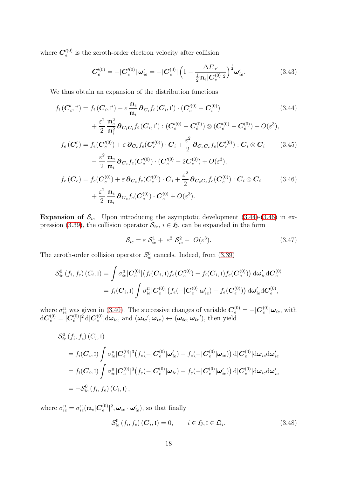where  $\bm{C}'^{(0)}_{e}$  $e^{i(0)}$  is the zeroth-order electron velocity after collision

<span id="page-17-0"></span>
$$
\boldsymbol{C}'^{(0)}_{e} = -|\boldsymbol{C}'^{(0)}_{e}| \boldsymbol{\omega}'_{ie} = -|\boldsymbol{C}^{(0)}_{e}| \left(1 - \frac{\Delta E_{\mathrm{II}'}}{\frac{1}{2} \mathfrak{m}_{e} |\boldsymbol{C}'^{(0)}_{e}|^{2}}\right)^{\frac{1}{2}} \boldsymbol{\omega}'_{ie}.
$$
 (3.43)

We thus obtain an expansion of the distribution functions

$$
f_i(C'_i, I') = f_i(C_i, I') - \varepsilon \frac{\mathfrak{m}_e}{\mathfrak{m}_i} \partial_{C_i} f_i(C_i, I') \cdot (C'_e^{(0)} - C_e^{(0)}) \qquad (3.44)
$$
  
+ 
$$
\frac{\varepsilon^2}{2} \frac{\mathfrak{m}_e^2}{\mathfrak{m}_i^2} \partial_{C_i C_i} f_i(C_i, I') : (C'_e^{(0)} - C_e^{(0)}) \otimes (C'_e^{(0)} - C_e^{(0)}) + O(\varepsilon^3),
$$
  

$$
f_e(C'_e) = f_e(C'_e^{(0)}) + \varepsilon \partial_{C_e} f_e(C'_e^{(0)}) \cdot C_i + \frac{\varepsilon^2}{2} \partial_{C_e C_e} f_e(C'_e^{(0)}) : C_i \otimes C_i \qquad (3.45)
$$
  

$$
- \frac{\varepsilon^2}{2} \frac{\mathfrak{m}_e}{\mathfrak{m}_i} \partial_{C_e} f_e(C'_e^{(0)}) \cdot (C'_e^{(0)} - 2C_e^{(0)}) + O(\varepsilon^3),
$$
  

$$
f_e(C_e) = f_e(C_e^{(0)}) + \varepsilon \partial_{C_e} f_e(C_e^{(0)}) \cdot C_i + \frac{\varepsilon^2}{2} \partial_{C_e C_e} f_e(C_e^{(0)}) : C_i \otimes C_i \qquad (3.46)
$$
  
+ 
$$
\frac{\varepsilon^2}{2} \frac{\mathfrak{m}_e}{\mathfrak{m}_i} \partial_{C_e} f_e(C_e^{(0)}) \cdot C_e^{(0)} + O(\varepsilon^3).
$$

**Expansion of**  $S_{ie}$  Upon introducing the asymptotic development  $(3.44)-(3.46)$  $(3.44)-(3.46)$  in ex-pression [\(3.39\)](#page-16-1), the collision operator  $S_{ie}$ ,  $i \in \mathfrak{H}$ , can be expanded in the form

<span id="page-17-1"></span>
$$
S_{ie} = \varepsilon \ S_{ie}^1 + \ \varepsilon^2 \ S_{ie}^2 + \ O(\varepsilon^3). \tag{3.47}
$$

The zeroth-order collision operator  $S_{ie}^0$  cancels. Indeed, from [\(3.39\)](#page-16-1)

$$
\mathcal{S}_{ie}^{0}(f_{i},f_{e})(C_{i},\mathbf{I}) = \int \sigma_{ie}^{\mathrm{II}} |\mathbf{C}_{e}^{(0)}| (f_{i}(\mathbf{C}_{i},\mathbf{I})f_{e}(\mathbf{C}_{e}^{\prime(0)}) - f_{i}(\mathbf{C}_{i},\mathbf{I})f_{e}(\mathbf{C}_{e}^{(0)}) ) d\omega_{ie}^{\prime} d\mathbf{C}_{e}^{(0)}
$$
  
=  $f_{i}(\mathbf{C}_{i},\mathbf{I}) \int \sigma_{ie}^{\mathrm{II}} |\mathbf{C}_{e}^{(0)}| (f_{e}(-|\mathbf{C}_{e}^{(0)}|\omega_{ie}^{\prime}) - f_{e}(\mathbf{C}_{e}^{(0)})) d\omega_{ie}^{\prime} d\mathbf{C}_{e}^{(0)},$ 

where  $\sigma_{ie}^{\text{II}}$  was given in [\(3.40\)](#page-16-2). The successive changes of variable  $\mathbf{C}_{e}^{(0)} = -|\mathbf{C}_{e}^{(0)}|\boldsymbol{\omega}_{ie}$ , with  $\mathrm{d}\boldsymbol{C}_{e}^{(0)} = |\boldsymbol{C}_{e}^{(0)}|$  $\int_e^{(0)} \rvert^2\,\mathrm{d}\lvert \bm{C}^{(0)}_e\rvert$  $|e^{(0)}|$ d $\omega_{ie}$ , and  $(\omega_{ie}', \omega_{ie}) \leftrightarrow (\omega_{ie}, \omega_{ie}')$ , then yield

$$
\mathcal{S}_{ie}^{0}(f_{i},f_{e})(C_{i},\mathbf{I})
$$
\n
$$
= f_{i}(\mathbf{C}_{i},\mathbf{I}) \int \sigma_{ie}^{\mathbf{II}} |\mathbf{C}_{e}^{(0)}|^{3} (f_{e}(-|\mathbf{C}_{e}^{(0)}|\boldsymbol{\omega}_{ie}') - f_{e}(-|\mathbf{C}_{e}^{(0)}|\boldsymbol{\omega}_{ie})) \, d|\mathbf{C}_{e}^{(0)}| d\boldsymbol{\omega}_{ie} d\boldsymbol{\omega}_{ie}'
$$
\n
$$
= f_{i}(\mathbf{C}_{i},\mathbf{I}) \int \sigma_{ie}^{\mathbf{II}} |\mathbf{C}_{e}^{(0)}|^{3} (f_{e}(-|\mathbf{C}_{e}^{(0)}|\boldsymbol{\omega}_{ie}) - f_{e}(-|\mathbf{C}_{e}^{(0)}|\boldsymbol{\omega}_{ie}') \, d|\mathbf{C}_{e}^{(0)}| d\boldsymbol{\omega}_{ie} d\boldsymbol{\omega}_{ie}'
$$
\n
$$
= -\mathcal{S}_{ie}^{0}(f_{i},f_{e})(C_{i},\mathbf{I}),
$$

where  $\sigma_{ie}^{\text{\tiny{II}}}=\sigma_{ie}^{\text{\tiny{II}}}(\mathfrak{m}_e | \boldsymbol{C}_e^{(0)})$  $_e^{(0)}|^2, \boldsymbol{\omega}_{ie} \cdot \boldsymbol{\omega}_{ie}^\prime$ ), so that finally

<span id="page-17-2"></span>
$$
\mathcal{S}_{ie}^{0}\left(f_{i},f_{e}\right)\left(\mathbf{C}_{i},\mathbf{I}\right)=0, \qquad i \in \mathfrak{H}, \mathbf{I} \in \mathfrak{Q}_{i}.\tag{3.48}
$$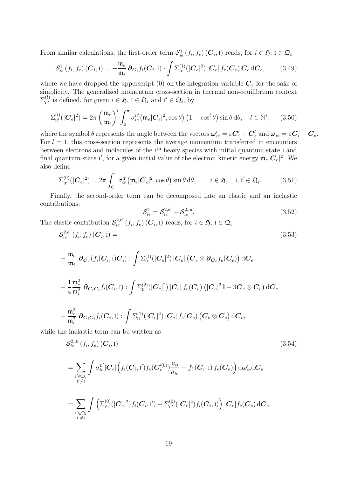From similar calculations, the first-order term  $\mathcal{S}_{ie}^1(f_i, f_e)$   $(\mathcal{C}_i, I)$  reads, for  $i \in \mathfrak{H}$ ,  $I \in \mathfrak{Q}_i$ 

<span id="page-18-0"></span>
$$
S_{ie}^{1}(f_i, f_e) (\boldsymbol{C}_i, I) = -\frac{\mathfrak{m}_e}{\mathfrak{m}_i} \partial_{\boldsymbol{C}_i} f_i(\boldsymbol{C}_i, I) \cdot \int \Sigma_{II}^{(1)}(|\boldsymbol{C}_e|^2) |\boldsymbol{C}_e| f_e(\boldsymbol{C}_e) \boldsymbol{C}_e d\boldsymbol{C}_e, \qquad (3.49)
$$

where we have dropped the upperscript  $(0)$  on the integration variable  $C_e$  for the sake of simplicity. The generalized momentum cross-section in thermal non-equilibrium context  $\Sigma_{\text{nr}}^{(l)}$  is defined, for given  $i \in \mathfrak{H}$ ,  $l \in \mathfrak{Q}_i$  and  $l' \in \mathfrak{Q}_i$ , by

$$
\Sigma_{\rm II'}^{(l)}(|\mathbf{C}_e|^2) = 2\pi \left(\frac{\mathfrak{m}_e}{\mathfrak{m}_i}\right)^l \int_0^\pi \sigma_{ie}^{\rm II'}\big(\mathfrak{m}_e|\mathbf{C}_e|^2, \cos\theta\big) \left(1 - \cos^l\theta\right) \sin\theta \,\mathrm{d}\theta, \quad l \in \mathbb{N}^*, \tag{3.50}
$$

where the symbol  $\theta$  represents the angle between the vectors  $\bm{\omega}'_{ie} = \varepsilon \bm{C}'_i - \bm{C}'_\epsilon$  $e^{'}_{e}$  and  $\boldsymbol{\omega}_{ie}=\varepsilon \boldsymbol{C}_{i}-\boldsymbol{C}_{e}.$ For  $l = 1$ , this cross-section represents the average momentum transferred in encounters between electrons and molecules of the  $i<sup>th</sup>$  heavy species with initial quantum state I and final quantum state I', for a given initial value of the electron kinetic energy  $\mathfrak{m}_e|\mathcal{C}_e|^2$ . We also define

$$
\Sigma_{\mathrm{II}'}^{(0)}(|\mathbf{C}_e|^2) = 2\pi \int_0^\pi \sigma_{ie}^{\mathrm{II}'}(\mathfrak{m}_e|\mathbf{C}_e|^2, \cos\theta)\sin\theta\,\mathrm{d}\theta, \qquad i \in \mathfrak{H}, \quad \mathrm{I}, \mathrm{I}' \in \mathfrak{Q}_i. \tag{3.51}
$$

Finally, the second-order term can be decomposed into an elastic and an inelastic contributions:

<span id="page-18-2"></span><span id="page-18-1"></span>
$$
S_{ie}^2 = S_{ie}^{2,el} + S_{ie}^{2,in}.
$$
 (3.52)

The elastic contribution  $S_{ie}^{2,el}(f_i, f_e)$   $(\mathbf{C}_i, I)$  reads, for  $i \in \mathfrak{H}$ ,  $I \in \mathfrak{Q}_i$ 

$$
\mathcal{S}_{ie}^{2,\text{el}}\left(f_i,f_e\right)\left(\boldsymbol{C}_i,\mathbf{I}\right) = \tag{3.53}
$$

$$
\begin{aligned} &-\frac{\mathfrak{m}_e}{\mathfrak{m}_i}~\pmb{\partial_{\boldsymbol{C}_i}}\left(f_i(\boldsymbol{C}_i,1)\boldsymbol{C}_i\right): \int \Sigma_{\text{II}}^{(1)}(|\boldsymbol{C}_e|^2)~|\boldsymbol{C}_e|~\big(\boldsymbol{C}_e\otimes \pmb{\partial_{\boldsymbol{C}_e}}f_e(\boldsymbol{C}_e)\big)~\text{d}\boldsymbol{C}_e\\& +\frac{1}{4}\frac{\mathfrak{m}_e^2}{\mathfrak{m}_i^2}~\pmb{\partial_{\boldsymbol{C}_i\boldsymbol{C}_i}}f_i(\boldsymbol{C}_i,1): \int \Sigma_{\text{II}}^{(2)}(|\boldsymbol{C}_e|^2)~|\boldsymbol{C}_e|~f_e(\boldsymbol{C}_e)~\big(|\boldsymbol{C}_e|^2\mathbb{I}-3\boldsymbol{C}_e\otimes \boldsymbol{C}_e\big)~\text{d}\boldsymbol{C}_e\\& +\frac{\mathfrak{m}_e^2}{\mathfrak{m}_i^2}~\pmb{\partial_{\boldsymbol{C}_i\boldsymbol{C}_i}}f_i(\boldsymbol{C}_i,1): \int \Sigma_{\text{II}}^{(1)}(|\boldsymbol{C}_e|^2)~|\boldsymbol{C}_e|~f_e(\boldsymbol{C}_e)\left(\boldsymbol{C}_e\otimes \boldsymbol{C}_e\right)~\text{d}\boldsymbol{C}_e, \end{aligned}
$$

while the inelastic term can be written as

$$
\mathcal{S}_{ie}^{2,\text{in}}\left(f_i, f_e\right)\left(\boldsymbol{C}_i, \mathbf{I}\right) \tag{3.54}
$$

$$
= \sum_{\substack{i' \in \mathfrak{Q}_i \\ i' \neq i}} \int \sigma_{ie}^{\mathfrak{u}'} |C_e| \Big( f_i(C_i, \mathfrak{t}') f_e(C_e'^{(0)}) \frac{a_{i_1}}{a_{i_1'}} - f_i(C_i, \mathfrak{t}) f_e(C_e) \Big) d\omega'_{ie} dC_e
$$
  

$$
= \sum_{\substack{i' \in \mathfrak{Q}_i \\ i' \neq i}} \int \left( \sum_{i' \mathfrak{l}}^{(0)} (|C_e|^2) f_i(C_i, \mathfrak{t}') - \sum_{\mathfrak{u}'}^{(0)} (|C_e|^2) f_i(C_i, \mathfrak{t}) \right) |C_e| f_e(C_e) dC_e.
$$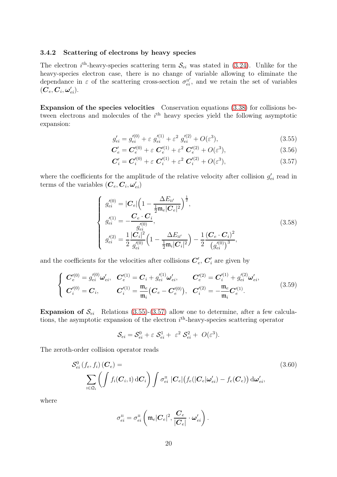#### 3.4.2 Scattering of electrons by heavy species

The electron  $i^{\text{th}}$ -heavy-species scattering term  $\mathcal{S}_{ei}$  was stated in [\(3.24\)](#page-13-1). Unlike for the heavy-species electron case, there is no change of variable allowing to eliminate the dependance in  $\varepsilon$  of the scattering cross-section  $\sigma_{ei}^{\text{II}'}$ , and we retain the set of variables  $(\boldsymbol{C}_{e},\boldsymbol{C}_{i},\boldsymbol{\omega}_{ei}^{\prime}).$ 

Expansion of the species velocities Conservation equations [\(3.38\)](#page-16-0) for collisions between electrons and molecules of the *i*<sup>th</sup> heavy species yield the following asymptotic expansion:

<span id="page-19-0"></span>
$$
g'_{ei} = g'^{(0)}_{ei} + \varepsilon \ g'^{(1)}_{ei} + \varepsilon^2 \ g'^{(2)}_{ei} + O(\varepsilon^3), \tag{3.55}
$$

$$
C'_{e} = C'^{(0)}_{e} + \varepsilon C'^{(1)}_{e} + \varepsilon^{2} C'^{(2)}_{e} + O(\varepsilon^{3}), \qquad (3.56)
$$

<span id="page-19-1"></span>
$$
C'_{i} = C'^{(0)}_{i} + \varepsilon C'^{(1)}_{i} + \varepsilon^{2} C'^{(2)}_{i} + O(\varepsilon^{3}),
$$
\n(3.57)

where the coefficients for the amplitude of the relative velocity after collision  $g'_{ei}$  read in terms of the variables  $(\boldsymbol{C}_{e}, \boldsymbol{C}_{i}, \boldsymbol{\omega}_{ei}')$ 

$$
\begin{cases}\ng'_{ei}^{(0)} = |C_e| \left( 1 - \frac{\Delta E_{\text{II}'}}{\frac{1}{2} \mathfrak{m}_e |C_e|^2} \right)^{\frac{1}{2}},\\ \ng'^{(1)}_{ei} = -\frac{C_e \cdot C_i}{g'^{(0)}_{ei}},\\ \ng'^{(2)}_{ei} = \frac{1}{2} \frac{|C_i|^2}{g'^{(0)}_{ei}} \left( 1 - \frac{\Delta E_{\text{II}'}}{\frac{1}{2} \mathfrak{m}_i |C_i|^2} \right) - \frac{1}{2} \frac{(C_e \cdot C_i)^2}{(g'^{(0)}_{ei})^3},\n\end{cases} (3.58)
$$

and the coefficients for the velocities after collisions  $C'_{\epsilon}$  $\mathbf{C}'_i$  are given by

$$
\begin{cases}\n\boldsymbol{C}_{e}^{\prime(0)} = g_{ei}^{\prime(0)} \boldsymbol{\omega}_{ei}^{\prime}, & \boldsymbol{C}_{e}^{\prime(1)} = \boldsymbol{C}_{i} + g_{ei}^{\prime(1)} \boldsymbol{\omega}_{ei}^{\prime}, & \boldsymbol{C}_{e}^{\prime(2)} = \boldsymbol{C}_{i}^{\prime(1)} + g_{ei}^{\prime(2)} \boldsymbol{\omega}_{ei}^{\prime}, \\
\boldsymbol{C}_{i}^{\prime(0)} = \boldsymbol{C}_{i}, & \boldsymbol{C}_{i}^{\prime(1)} = \frac{\mathfrak{m}_{e}}{\mathfrak{m}_{i}} (\boldsymbol{C}_{e} - \boldsymbol{C}_{e}^{\prime(0)}), & \boldsymbol{C}_{i}^{\prime(2)} = -\frac{\mathfrak{m}_{e}}{\mathfrak{m}_{i}} \boldsymbol{C}_{e}^{\prime(1)}.\n\end{cases}
$$
\n(3.59)

**Expansion of**  $\mathcal{S}_{ei}$  Relations [\(3.55\)](#page-19-0)-[\(3.57\)](#page-19-1) allow one to determine, after a few calculations, the asymptotic expansion of the electron  $i^{\text{th}}$ -heavy-species scattering operator

<span id="page-19-2"></span>
$$
\mathcal{S}_{ei} = \mathcal{S}_{ei}^0 + \varepsilon \mathcal{S}_{ei}^1 + \varepsilon^2 \mathcal{S}_{ei}^2 + O(\varepsilon^3).
$$

The zeroth-order collision operator reads

$$
\mathcal{S}_{ei}^{0}(f_e, f_i)(\mathbf{C}_e) = \sum_{\mathbf{i} \in \mathfrak{Q}_i} \left( \int f_i(\mathbf{C}_i, \mathbf{I}) d\mathbf{C}_i \right) \int \sigma_{ei}^{\mathbf{u}} |\mathbf{C}_e| \left( f_e(|\mathbf{C}_e| \boldsymbol{\omega}_{ei}') - f_e(\mathbf{C}_e) \right) d\boldsymbol{\omega}_{ei}', \tag{3.60}
$$

where

$$
\sigma_{ei}^{\text{\tiny II}}=\sigma_{ei}^{\text{\tiny II}}\left(\mathfrak{m}_{e}|\boldsymbol{C}_{e}|^{2},\frac{\boldsymbol{C}_{e}}{|\boldsymbol{C}_{e}|}\cdot\boldsymbol{\omega}_{ei}^{\prime}\right).
$$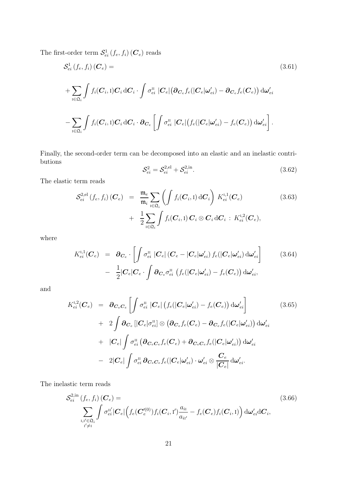The first-order term  $\mathcal{S}^1_{ei}(f_e, f_i)$   $(\mathcal{C}_e)$  reads

$$
S_{ei}^{1}(f_{e}, f_{i}) \left( \mathbf{C}_{e} \right) =
$$
\n
$$
+ \sum_{\mathbf{i} \in \mathfrak{Q}_{i}} \int f_{i}(\mathbf{C}_{i}, \mathbf{I}) \mathbf{C}_{i} d\mathbf{C}_{i} \cdot \int \sigma_{ei}^{\mathbf{u}} \left| \mathbf{C}_{e} \right| \left( \partial_{\mathbf{C}_{e}} f_{e} (|\mathbf{C}_{e}| \omega_{ei}') - \partial_{\mathbf{C}_{e}} f_{e} (\mathbf{C}_{e}) \right) d\omega_{ei}'
$$
\n
$$
- \sum_{\mathbf{i} \in \mathfrak{Q}_{i}} \int f_{i}(\mathbf{C}_{i}, \mathbf{I}) \mathbf{C}_{i} d\mathbf{C}_{i} \cdot \partial_{\mathbf{C}_{e}} \left[ \int \sigma_{ei}^{\mathbf{u}} \left| \mathbf{C}_{e} \right| \left( f_{e} (|\mathbf{C}_{e}| \omega_{ei}') - f_{e} (\mathbf{C}_{e}) \right) d\omega_{ei}' \right]. \tag{3.61}
$$

Finally, the second-order term can be decomposed into an elastic and an inelastic contributions

<span id="page-20-1"></span><span id="page-20-0"></span>
$$
S_{ei}^2 = S_{ei}^{2,el} + S_{ei}^{2,in}.
$$
 (3.62)

The elastic term reads

$$
\mathcal{S}_{ei}^{2,el}(f_e, f_i) (\boldsymbol{C}_e) = \frac{\mathfrak{m}_e}{\mathfrak{m}_i} \sum_{\mathfrak{l} \in \mathfrak{Q}_i} \left( \int f_i(\boldsymbol{C}_i, \mathfrak{l}) d\boldsymbol{C}_i \right) K_{ei}^{\mathfrak{l},1} (\boldsymbol{C}_e) + \frac{1}{2} \sum_{\mathfrak{l} \in \mathfrak{Q}_i} \int f_i(\boldsymbol{C}_i, \mathfrak{l}) \boldsymbol{C}_i \otimes \boldsymbol{C}_i d\boldsymbol{C}_i : K_{ei}^{\mathfrak{l},2} (\boldsymbol{C}_e),
$$
\n(3.63)

where

$$
K_{ei}^{1,1}(\boldsymbol{C}_e) = \boldsymbol{\partial}_{\boldsymbol{C}_e} \cdot \left[ \int \sigma_{ei}^{II} |\boldsymbol{C}_e| (\boldsymbol{C}_e - |\boldsymbol{C}_e| \boldsymbol{\omega}_{ei}') f_e(|\boldsymbol{C}_e| \boldsymbol{\omega}_{ei}') d\boldsymbol{\omega}_{ei}' \right] - \frac{1}{2} |\boldsymbol{C}_e| \boldsymbol{C}_e \cdot \int \boldsymbol{\partial}_{\boldsymbol{C}_e} \sigma_{ei}^{II} (f_e(|\boldsymbol{C}_e| \boldsymbol{\omega}_{ei}') - f_e(\boldsymbol{C}_e)) d\boldsymbol{\omega}_{ei}',
$$
(3.64)

and

$$
K_{ei}^{1,2}(\boldsymbol{C}_{e}) = \boldsymbol{\partial}_{\boldsymbol{C}_{e}\boldsymbol{C}_{e}} \left[ \int \sigma_{ei}^{II} | \boldsymbol{C}_{e} | \left( f_{e} (| \boldsymbol{C}_{e} | \boldsymbol{\omega}_{ei}' ) - f_{e} ( \boldsymbol{C}_{e} ) \right) d \boldsymbol{\omega}_{ei}' \right] + 2 \int \boldsymbol{\partial}_{\boldsymbol{C}_{e}} \left[ | \boldsymbol{C}_{e} | \sigma_{ei}^{II} | \otimes \left( \boldsymbol{\partial}_{\boldsymbol{C}_{e}} f_{e} ( \boldsymbol{C}_{e} ) - \boldsymbol{\partial}_{\boldsymbol{C}_{e}} f_{e} (| \boldsymbol{C}_{e} | \boldsymbol{\omega}_{ei}' ) \right) d \boldsymbol{\omega}_{ei}' \right] + | \boldsymbol{C}_{e} | \int \sigma_{ei}^{II} \left( \boldsymbol{\partial}_{\boldsymbol{C}_{e}\boldsymbol{C}_{e}} f_{e} (|\boldsymbol{C}_{e} ) + \boldsymbol{\partial}_{\boldsymbol{C}_{e}\boldsymbol{C}_{e}} f_{e} (| \boldsymbol{C}_{e} | \boldsymbol{\omega}_{ei}') \right) d \boldsymbol{\omega}_{ei}' - 2 | \boldsymbol{C}_{e} | \int \sigma_{ei}^{II} \boldsymbol{\partial}_{\boldsymbol{C}_{e}\boldsymbol{C}_{e}} f_{e} (| \boldsymbol{C}_{e} | \boldsymbol{\omega}_{ei}') \cdot \boldsymbol{\omega}_{ei}' \otimes \frac{\boldsymbol{C}_{e}}{| \boldsymbol{C}_{e} |} d \boldsymbol{\omega}_{ei}'.
$$

The inelastic term reads

$$
\mathcal{S}_{ei}^{2,\text{in}}\left(f_e, f_i\right)(\boldsymbol{C}_e) = \sum_{\substack{\mathbf{I}, \mathbf{I}' \in \mathfrak{Q}_i \\ \mathbf{I}' \neq \mathbf{I}}} \int \sigma_{ei}^{\mathbf{II}'} |\boldsymbol{C}_e| \left(f_e(\boldsymbol{C}'_e^{(0)}) f_i(\boldsymbol{C}_i, \mathbf{I}') \frac{a_{i\mathbf{I}}}{a_{i\mathbf{I}'}} - f_e(\boldsymbol{C}_e) f_i(\boldsymbol{C}_i, \mathbf{I})\right) d\boldsymbol{\omega}'_{ei} d\boldsymbol{C}_i, \tag{3.66}
$$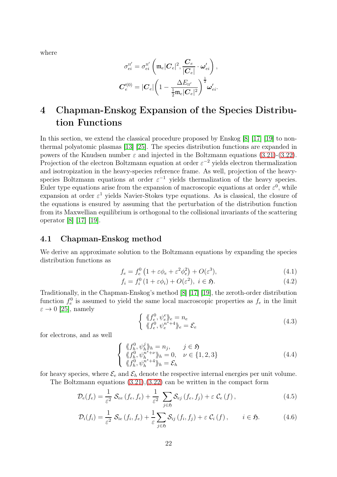where

$$
\sigma_{ei}^{\text{II}'} = \sigma_{ei}^{\text{II}'} \left( \mathfrak{m}_e |C_e|^2, \frac{C_e}{|C_e|} \cdot \omega_{ei}' \right),
$$
  

$$
C_e''^{(0)} = |C_e| \left( 1 - \frac{\Delta E_{\text{II}'}}{\frac{1}{2} \mathfrak{m}_e |C_e|^2} \right)^{\frac{1}{2}} \omega_{ei}'.
$$

# <span id="page-21-0"></span>4 Chapman-Enskog Expansion of the Species Distribution Functions

In this section, we extend the classical procedure proposed by Enskog [\[8\]](#page-62-0) [\[17\]](#page-63-0) [\[19\]](#page-63-9) to nonthermal polyatomic plasmas [\[13\]](#page-63-3) [\[25\]](#page-63-4). The species distribution functions are expanded in powers of the Knudsen number  $\varepsilon$  and injected in the Boltzmann equations [\(3.21\)](#page-13-2)-[\(3.22\)](#page-13-3). Projection of the electron Boltzmann equation at order  $\varepsilon^{-2}$  yields electron thermalization and isotropization in the heavy-species reference frame. As well, projection of the heavyspecies Boltzmann equations at order  $\varepsilon^{-1}$  yields thermalization of the heavy species. Euler type equations arise from the expansion of macroscopic equations at order  $\varepsilon^0$ , while expansion at order  $\varepsilon^1$  yields Navier-Stokes type equations. As is classical, the closure of the equations is ensured by assuming that the perturbation of the distribution function from its Maxwellian equilibrium is orthogonal to the collisional invariants of the scattering operator [\[8\]](#page-62-0) [\[17\]](#page-63-0) [\[19\]](#page-63-9).

#### 4.1 Chapman-Enskog method

We derive an approximate solution to the Boltzmann equations by expanding the species distribution functions as

$$
f_e = f_e^0 \left( 1 + \varepsilon \phi_e + \varepsilon^2 \phi_e^2 \right) + O(\varepsilon^3),\tag{4.1}
$$

$$
f_i = f_i^0 \left( 1 + \varepsilon \phi_i \right) + O(\varepsilon^2), \ i \in \mathfrak{H}.
$$
\n
$$
(4.2)
$$

Traditionally, in the Chapman-Enskog's method [\[8\]](#page-62-0) [\[17\]](#page-63-0) [\[19\]](#page-63-9), the zeroth-order distribution function  $f_e^0$  is assumed to yield the same local macroscopic properties as  $f_e$  in the limit  $\varepsilon \to 0$  [\[25\]](#page-63-4), namely

<span id="page-21-3"></span><span id="page-21-2"></span><span id="page-21-1"></span>
$$
\begin{cases} \langle \langle f_e^0, \psi_e^e \rangle \rangle_e = n_e \\ \langle \langle f_e^0, \psi_e^{n^s+4} \rangle \rangle_e = \mathcal{E}_e \end{cases}
$$
\n(4.3)

for electrons, and as well

<span id="page-21-4"></span>
$$
\begin{cases} \langle \langle f_h^0, \psi_h^j \rangle_h = n_j, & j \in \mathfrak{H} \\ \langle \langle f_h^0, \psi_h^{n^s + \nu} \rangle_h = 0, & \nu \in \{1, 2, 3\} \\ \langle \langle f_h^0, \psi_h^{n^s + 4} \rangle_h = \mathcal{E}_h \end{cases} \tag{4.4}
$$

for heavy species, where  $\mathcal{E}_e$  and  $\mathcal{E}_h$  denote the respective internal energies per unit volume.

The Boltzmann equations [\(3.21\)](#page-13-2),[\(3.22\)](#page-13-3) can be written in the compact form

$$
\mathcal{D}_{e}(f_{e}) = \frac{1}{\varepsilon^{2}} \mathcal{S}_{ee} (f_{e}, f_{e}) + \frac{1}{\varepsilon^{2}} \sum_{j \in \mathfrak{H}} \mathcal{S}_{ej} (f_{e}, f_{j}) + \varepsilon \mathcal{C}_{e} (f), \qquad (4.5)
$$

$$
\mathcal{D}_{i}(f_{i}) = \frac{1}{\varepsilon^{2}} \mathcal{S}_{ie}(f_{i}, f_{e}) + \frac{1}{\varepsilon} \sum_{j \in \mathfrak{H}} \mathcal{S}_{ij}(f_{i}, f_{j}) + \varepsilon \mathcal{C}_{i}(f), \qquad i \in \mathfrak{H}.
$$
 (4.6)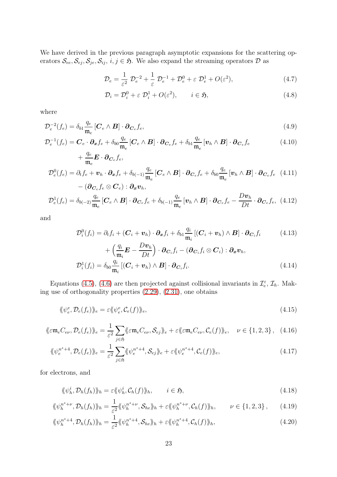We have derived in the previous paragraph asymptotic expansions for the scattering operators  $S_{ee}, S_{ej}, S_{je}, S_{ij}, i, j \in \mathfrak{H}$ . We also expand the streaming operators  $D$  as

$$
\mathcal{D}_e = \frac{1}{\varepsilon^2} \ \mathcal{D}_e^{-2} + \frac{1}{\varepsilon} \ \mathcal{D}_e^{-1} + \mathcal{D}_e^0 + \varepsilon \ \mathcal{D}_e^1 + O(\varepsilon^2),\tag{4.7}
$$

$$
\mathcal{D}_i = \mathcal{D}_i^0 + \varepsilon \ \mathcal{D}_i^1 + O(\varepsilon^2), \qquad i \in \mathfrak{H}, \tag{4.8}
$$

where

$$
\mathcal{D}_e^{-2}(f_e) = \delta_{b1} \frac{q_e}{\mathfrak{m}_e} \left[ \mathbf{C}_e \wedge \mathbf{B} \right] \cdot \partial_{\mathbf{C}_e} f_e,
$$
\n(4.9)

$$
\mathcal{D}_e^{-1}(f_e) = \mathbf{C}_e \cdot \partial_{\mathbf{x}} f_e + \delta_{b0} \frac{q_e}{\mathfrak{m}_e} \left[ \mathbf{C}_e \wedge \mathbf{B} \right] \cdot \partial_{\mathbf{C}_e} f_e + \delta_{b1} \frac{q_e}{\mathfrak{m}_e} \left[ \mathbf{v}_h \wedge \mathbf{B} \right] \cdot \partial_{\mathbf{C}_e} f_e \tag{4.10}
$$

$$
+\frac{q_e}{\mathfrak{m}_e} \mathbf{E} \cdot \partial_{\mathbf{C}_e} f_e,
$$
  

$$
\mathcal{D}_e^0(f_e) = \partial_t f_e + \mathbf{v}_h \cdot \partial_x f_e + \delta_{b(-1)} \frac{q_e}{\mathfrak{m}_e} [\mathbf{C}_e \wedge \mathbf{B}] \cdot \partial_{\mathbf{C}_e} f_e + \delta_{b0} \frac{q_e}{\mathfrak{m}_e} [\mathbf{v}_h \wedge \mathbf{B}] \cdot \partial_{\mathbf{C}_e} f_e \quad (4.11)
$$

$$
-(\partial_{\mathbf{C}_e} f_e \otimes \mathbf{C}_e) : \partial_x \mathbf{v}_h,
$$

$$
\mathcal{D}_e^1(f_e) = \delta_{b(-2)} \frac{q_e}{\mathfrak{m}_e} \left[ \mathbf{C}_e \wedge \mathbf{B} \right] \cdot \partial_{\mathbf{C}_e} f_e + \delta_{b(-1)} \frac{q_e}{\mathfrak{m}_e} \left[ \mathbf{v}_h \wedge \mathbf{B} \right] \cdot \partial_{\mathbf{C}_e} f_e - \frac{D\mathbf{v}_h}{Dt} \cdot \partial_{\mathbf{C}_e} f_e, \tag{4.12}
$$

and

$$
\mathcal{D}_i^0(f_i) = \partial_t f_i + (\boldsymbol{C}_i + \boldsymbol{v}_h) \cdot \partial_x f_i + \delta_{b1} \frac{q_i}{m_i} [(\boldsymbol{C}_i + \boldsymbol{v}_h) \wedge \boldsymbol{B}] \cdot \partial_{\boldsymbol{C}_i} f_i \qquad (4.13)
$$

<span id="page-22-2"></span><span id="page-22-0"></span>
$$
+\left(\frac{q_i}{\mathfrak{m}_i}\mathbf{E} - \frac{D\mathbf{v}_h}{Dt}\right) \cdot \partial_{\mathbf{C}_i} f_i - (\partial_{\mathbf{C}_i} f_i \otimes \mathbf{C}_i) : \partial_x \mathbf{v}_h,
$$
  

$$
\mathcal{D}_i^1(f_i) = \delta_{b0} \frac{q_i}{\mathfrak{m}_i} \left[ (\mathbf{C}_i + \mathbf{v}_h) \wedge \mathbf{B} \right] \cdot \partial_{\mathbf{C}_i} f_i.
$$
 (4.14)

Equations [\(4.5\)](#page-21-1), [\(4.6\)](#page-21-2) are then projected against collisional invariants in  $\mathcal{I}_e^{\varepsilon}$ ,  $\mathcal{I}_h$ . Making use of orthogonality properties [\(2.29\)](#page-7-1), [\(2.31\)](#page-7-1), one obtains

$$
\langle \psi_e^e, \mathcal{D}_e(f_e) \rangle_e = \varepsilon \langle \psi_e^e, \mathcal{C}_e(f) \rangle_e, \tag{4.15}
$$

$$
\langle \! \langle \varepsilon \mathfrak{m}_e C_{e\nu}, \mathcal{D}_e(f_e) \rangle \! \rangle_e = \frac{1}{\varepsilon^2} \sum_{j \in \mathfrak{H}} \langle \! \langle \varepsilon \mathfrak{m}_e C_{e\nu}, \mathcal{S}_{ej} \rangle \! \rangle_e + \varepsilon \langle \! \langle \varepsilon \mathfrak{m}_e C_{e\nu}, C_e(f) \rangle \! \rangle_e, \quad \nu \in \{1, 2, 3\} \,, \tag{4.16}
$$

$$
\langle \psi_e^{n^s+4}, \mathcal{D}_e(f_e) \rangle_e = \frac{1}{\varepsilon^2} \sum_{j \in \mathfrak{H}} \langle \psi_e^{n^s+4}, \mathcal{S}_{ej} \rangle_e + \varepsilon \langle \psi_e^{n^s+4}, \mathcal{C}_e(f) \rangle_e, \tag{4.17}
$$

for electrons, and

<span id="page-22-5"></span><span id="page-22-4"></span><span id="page-22-3"></span><span id="page-22-1"></span>
$$
\langle \! \langle \psi_h^i, \mathcal{D}_h(f_h) \rangle \! \rangle_h = \varepsilon \langle \! \langle \psi_h^i, \mathcal{C}_h(f) \rangle \! \rangle_h, \qquad i \in \mathfrak{H}, \tag{4.18}
$$

$$
\langle \! \langle \psi_h^{n^s+\nu}, \mathcal{D}_h(f_h) \rangle \! \rangle_h = \frac{1}{\varepsilon^2} \langle \! \langle \psi_h^{n^s+\nu}, \mathcal{S}_{he} \rangle \! \rangle_h + \varepsilon \langle \! \langle \psi_h^{n^s+\nu}, \mathcal{C}_h(f) \rangle \! \rangle_h, \qquad \nu \in \{1, 2, 3\} \,, \tag{4.19}
$$

$$
\langle \! \langle \psi_h^{n^s+4}, \mathcal{D}_h(f_h) \rangle \! \rangle_h = \frac{1}{\varepsilon^2} \langle \! \langle \psi_h^{n^s+4}, \mathcal{S}_{he} \rangle \! \rangle_h + \varepsilon \langle \! \langle \psi_h^{n^s+4}, \mathcal{C}_h(f) \rangle \! \rangle_h, \tag{4.20}
$$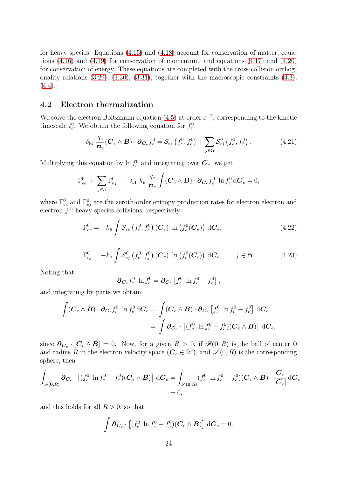for heavy species. Equations [\(4.15\)](#page-22-0) and [\(4.18\)](#page-22-1) account for conservation of matter, equations [\(4.16\)](#page-22-2) and [\(4.19\)](#page-22-3) for conservation of momentum, and equations [\(4.17\)](#page-22-4) and [\(4.20\)](#page-22-5) for conservation of energy. These equations are completed with the cross-collision orthogonality relations [\(3.29\)](#page-14-0), [\(3.30\)](#page-14-0), [\(3.31\)](#page-14-0), together with the macroscopic constraints [\(4.3\)](#page-21-3),  $(4.4).$  $(4.4).$ 

## <span id="page-23-1"></span>4.2 Electron thermalization

We solve the electron Boltzmann equation [\(4.5\)](#page-21-1) at order  $\varepsilon^{-2}$ , corresponding to the kinetic timescale  $t_e^0$ . We obtain the following equation for  $f_e^0$ :

<span id="page-23-0"></span>
$$
\delta_{b1} \frac{q_e}{\mathfrak{m}_e} (\mathbf{C}_e \wedge \mathbf{B}) \cdot \partial_{\mathbf{C}_e} f_e^0 = \mathcal{S}_{ee} (f_e^0, f_e^0) + \sum_{j \in \mathfrak{H}} \mathcal{S}_{ej}^0 (f_e^0, f_j^0).
$$
 (4.21)

Multiplying this equation by  $\ln f_e^0$  and integrating over  $\mathbf{C}_e$ , we get

$$
\Gamma^0_{ee} + \sum_{j \in \mathfrak{H}} \Gamma^0_{ej} + \delta_{b1} k_{\rm B} \frac{q_e}{\mathfrak{m}_e} \int (\boldsymbol{C}_e \wedge \boldsymbol{B}) \cdot \boldsymbol{\partial}_{\boldsymbol{C}_e} f_e^0 \ln f_e^0 d\boldsymbol{C}_e = 0,
$$

where  $\Gamma^0_{ee}$  and  $\Gamma^0_{ej}$  are the zeroth-order entropy production rates for electron electron and electron  $\tilde{j}^{\text{th}}$ -heavy-species collisions, respectively

$$
\Gamma_{ee}^0 = -k_{\rm B} \int \mathcal{S}_{ee} \left( f_e^0, f_e^0 \right) (\boldsymbol{C}_e) \ln \left( f_e^0(\boldsymbol{C}_e) \right) d\boldsymbol{C}_e, \tag{4.22}
$$

$$
\Gamma_{ej}^{0} = -k_{\mathrm{B}} \int \mathcal{S}_{ej}^{0} \left( f_{e}^{0}, f_{j}^{0} \right) \left( \mathbf{C}_{e} \right) \, \ln \left( f_{e}^{0}(\mathbf{C}_{e}) \right) \, \mathrm{d} \mathbf{C}_{e}, \qquad j \in \mathfrak{H}. \tag{4.23}
$$

Noting that

$$
\partial_{\mathbf{C}_e} f_e^0 \ln f_e^0 = \partial_{\mathbf{C}_e} \left[ f_e^0 \ln f_e^0 - f_e^0 \right],
$$

and integrating by parts we obtain

$$
\int (\boldsymbol{C}_e \wedge \boldsymbol{B}) \cdot \boldsymbol{\partial}_{\boldsymbol{C}_e} f_e^0 \ln f_e^0 d\boldsymbol{C}_e = \int (\boldsymbol{C}_e \wedge \boldsymbol{B}) \cdot \boldsymbol{\partial}_{\boldsymbol{C}_e} \left[ f_e^0 \ln f_e^0 - f_e^0 \right] d\boldsymbol{C}_e
$$

$$
= \int \boldsymbol{\partial}_{\boldsymbol{C}_e} \cdot \left[ (f_e^0 \ln f_e^0 - f_e^0)(\boldsymbol{C}_e \wedge \boldsymbol{B}) \right] d\boldsymbol{C}_e,
$$

since  $\partial_{\mathbf{C}_e} \cdot [\mathbf{C}_e \wedge \mathbf{B}] = 0$ . Now, for a given  $R > 0$ , if  $\mathscr{B}(0, R)$  is the ball of center 0 and radius R in the electron velocity space  $(C_e \in \mathbb{R}^3)$ , and  $\mathscr{S}(0, R)$  is the corresponding sphere, then

$$
\int_{\mathscr{B}(\mathbf{0},R)} \partial_{\mathbf{C}_e} \cdot \left[ (f_e^0 \ln f_e^0 - f_e^0)(\mathbf{C}_e \wedge \mathbf{B}) \right] d\mathbf{C}_e = \int_{\mathscr{S}(\mathbf{0},R)} (f_e^0 \ln f_e^0 - f_e^0)(\mathbf{C}_e \wedge \mathbf{B}) \cdot \frac{\mathbf{C}_e}{|\mathbf{C}_e|} d\mathbf{C}_e
$$
  
= 0,

and this holds for all  $R > 0$ , so that

$$
\int \partial \mathbf{C}_e \cdot \left[ (f_e^0 \ln f_e^0 - f_e^0)(\mathbf{C}_e \wedge \mathbf{B}) \right] d\mathbf{C}_e = 0.
$$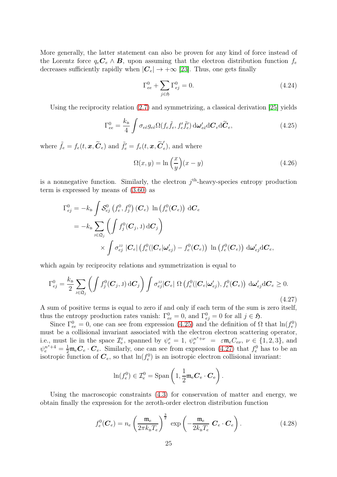More generally, the latter statement can also be proven for any kind of force instead of the Lorentz force  $q_e \mathbf{C}_e \wedge \mathbf{B}$ , upon assuming that the electron distribution function  $f_e$ decreases sufficiently rapidly when  $|\mathcal{C}_e| \to +\infty$  [\[23\]](#page-63-11). Thus, one gets finally

<span id="page-24-3"></span>
$$
\Gamma_{ee}^{0} + \sum_{j \in \mathfrak{H}} \Gamma_{ej}^{0} = 0.
$$
\n(4.24)

Using the reciprocity relation [\(2.7\)](#page-4-1) and symmetrizing, a classical derivation [\[25\]](#page-63-4) yields

<span id="page-24-0"></span>
$$
\Gamma_{ee}^{0} = \frac{k_{\rm B}}{4} \int \sigma_{e\tilde{e}} g_{e\tilde{e}} \Omega(f_e \tilde{f}_e, f'_e \tilde{f}'_e) d\omega'_{e\tilde{e}} dC_e d\tilde{C}_e, \qquad (4.25)
$$

where  $\tilde{f}_e = f_e(t, \mathbf{x}, \widetilde{C}_e)$  and  $\tilde{f}'_e = f_e(t, \mathbf{x}, \widetilde{C}'_e)$  $(e)$ , and where

<span id="page-24-4"></span>
$$
\Omega(x, y) = \ln\left(\frac{x}{y}\right)(x - y) \tag{4.26}
$$

is a nonnegative function. Similarly, the electron  $j<sup>th</sup>$ -heavy-species entropy production term is expressed by means of [\(3.60\)](#page-19-2) as

$$
\Gamma_{ej}^{0} = -k_{\mathrm{B}} \int \mathcal{S}_{ej}^{0} \left( f_{e}^{0}, f_{j}^{0} \right) (\mathbf{C}_{e}) \ln \left( f_{e}^{0} (\mathbf{C}_{e}) \right) \mathrm{d} \mathbf{C}_{e}
$$
\n
$$
= -k_{\mathrm{B}} \sum_{\mathrm{J} \in \mathfrak{Q}_{j}} \left( \int f_{j}^{0} (\mathbf{C}_{j}, \mathrm{J}) \mathrm{d} \mathbf{C}_{j} \right)
$$
\n
$$
\times \int \sigma_{ej}^{\mathrm{JJ}} |\mathbf{C}_{e}| \left( f_{e}^{0} (|\mathbf{C}_{e}| \boldsymbol{\omega}_{ej}') - f_{e}^{0} (\mathbf{C}_{e}) \right) \ln \left( f_{e}^{0} (\mathbf{C}_{e}) \right) \mathrm{d} \boldsymbol{\omega}_{ej}' \mathrm{d} \mathbf{C}_{e},
$$

which again by reciprocity relations and symmetrization is equal to

<span id="page-24-1"></span>
$$
\Gamma_{ej}^{0} = \frac{k_{\rm B}}{2} \sum_{\substack{\mathbf{j} \in \mathfrak{Q}_{j}} \left( \int f_{j}^{0}(\boldsymbol{C}_{j}, \mathbf{j}) \, d\boldsymbol{C}_{j} \right) \int \sigma_{ej}^{\rm JJ} |\boldsymbol{C}_{e}| \, \Omega \left( f_{e}^{0}(|\boldsymbol{C}_{e}| \boldsymbol{\omega}_{ej}^{\prime}), f_{e}^{0}(\boldsymbol{C}_{e}) \right) \, d\boldsymbol{\omega}_{ej}^{\prime} d\boldsymbol{C}_{e} \ge 0. \tag{4.27}
$$

A sum of positive terms is equal to zero if and only if each term of the sum is zero itself, thus the entropy production rates vanish:  $\Gamma^0_{ee} = 0$ , and  $\Gamma^0_{ej} = 0$  for all  $j \in \mathfrak{H}$ .

Since  $\Gamma^0_{ee} = 0$ , one can see from expression [\(4.25\)](#page-24-0) and the definition of  $\Omega$  that  $\ln(f_e^0)$ must be a collisional invariant associated with the electron electron scattering operator, i.e., must lie in the space  $\mathcal{I}_{e}^{\varepsilon}$ , spanned by  $\psi_{e}^{e} = 1$ ,  $\psi_{e}^{n^{s}+\nu} = \varepsilon \mathfrak{m}_{e} C_{e\nu}$ ,  $\nu \in \{1, 2, 3\}$ , and  $\psi_e^{n^s+4} = \frac{1}{2} \mathfrak{m}_e \mathcal{C}_e \cdot \mathcal{C}_e$ . Similarly, one can see from expression [\(4.27\)](#page-24-1) that  $f_e^0$  has to be an isotropic function of  $\mathcal{C}_e$ , so that  $\ln(f_e^0)$  is an isotropic electron collisional invariant:

$$
\ln(f_e^0) \in \mathcal{I}_e^0 = \text{Span}\left(1, \frac{1}{2}\mathfrak{m}_e \mathbf{C}_e \cdot \mathbf{C}_e\right).
$$

Using the macroscopic constraints [\(4.3\)](#page-21-3) for conservation of matter and energy, we obtain finally the expression for the zeroth-order electron distribution function

<span id="page-24-2"></span>
$$
f_e^0(\boldsymbol{C}_e) = n_e \left(\frac{\mathfrak{m}_e}{2\pi k_\text{B} T_e}\right)^{\frac{3}{2}} \exp\left(-\frac{\mathfrak{m}_e}{2k_\text{B} T_e} \boldsymbol{C}_e \cdot \boldsymbol{C}_e\right).
$$
 (4.28)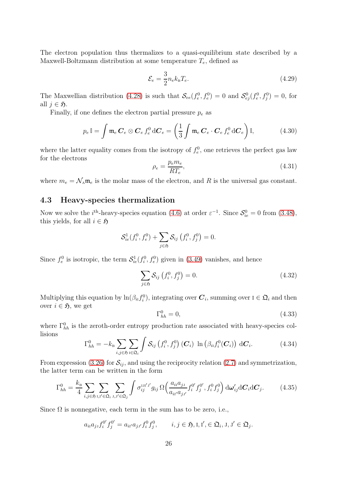The electron population thus thermalizes to a quasi-equilibrium state described by a Maxwell-Boltzmann distribution at some temperature  $T_e$ , defined as

$$
\mathcal{E}_e = \frac{3}{2} n_e k_\text{B} T_e. \tag{4.29}
$$

The Maxwellian distribution [\(4.28\)](#page-24-2) is such that  $\mathcal{S}_{ee}(f_e^0, f_e^0) = 0$  and  $\mathcal{S}_{ej}^0(f_e^0, f_j^0) = 0$ , for all  $j \in \mathfrak{H}$ .

Finally, if one defines the electron partial pressure  $p_e$  as

$$
p_e \mathbb{I} = \int \mathfrak{m}_e \, \mathbf{C}_e \otimes \mathbf{C}_e \, f_e^0 \, d\mathbf{C}_e = \left(\frac{1}{3} \int \mathfrak{m}_e \, \mathbf{C}_e \cdot \mathbf{C}_e \, f_e^0 \, d\mathbf{C}_e\right) \mathbb{I},\tag{4.30}
$$

where the latter equality comes from the isotropy of  $f_e^0$ , one retrieves the perfect gas law for the electrons

$$
\rho_e = \frac{p_e m_e}{RT_e},\tag{4.31}
$$

<span id="page-25-2"></span>where  $m_e = \mathcal{N}_\text{A} \mathfrak{m}_e$  is the molar mass of the electron, and R is the universal gas constant.

## 4.3 Heavy-species thermalization

Now we solve the *i*<sup>th</sup>-heavy-species equation [\(4.6\)](#page-21-2) at order  $\varepsilon^{-1}$ . Since  $S_{ie}^0 = 0$  from [\(3.48\)](#page-17-2), this yields, for all  $i \in \mathfrak{H}$ 

$$
S_{ie}^1(f_i^0, f_e^0) + \sum_{j \in \mathfrak{H}} S_{ij} (f_i^0, f_j^0) = 0.
$$

Since  $f_e^0$  is isotropic, the term  $\mathcal{S}_{ie}^1(f_i^0, f_e^0)$  given in [\(3.49\)](#page-18-0) vanishes, and hence

<span id="page-25-0"></span>
$$
\sum_{j \in \mathfrak{H}} \mathcal{S}_{ij} \left( f_i^0, f_j^0 \right) = 0. \tag{4.32}
$$

Multiplying this equation by  $\ln(\beta_{i_1} f_i^0)$ , integrating over  $C_i$ , summing over  $I \in \mathfrak{Q}_i$  and then over  $i \in \mathfrak{H}$ , we get

<span id="page-25-1"></span>
$$
\Gamma_{hh}^{0} = 0,\t\t(4.33)
$$

where  $\Gamma_{hh}^0$  is the zeroth-order entropy production rate associated with heavy-species collisions

$$
\Gamma_{hh}^{0} = -k_{\mathrm{B}} \sum_{i,j \in \mathfrak{H}} \sum_{\mathrm{i} \in \mathfrak{Q}_{i}} \int \mathcal{S}_{ij} \left( f_{i}^{0}, f_{j}^{0} \right) (\boldsymbol{C}_{i}) \ln \left( \beta_{i\mathrm{I}} f_{i}^{0}(\boldsymbol{C}_{i}) \right) \mathrm{d} \boldsymbol{C}_{i}.
$$
 (4.34)

From expression [\(3.26\)](#page-14-1) for  $S_{ij}$ , and using the reciprocity relation [\(2.7\)](#page-4-1) and symmetrization, the latter term can be written in the form

$$
\Gamma_{hh}^{0} = \frac{k_{\mathrm{B}}}{4} \sum_{i,j \in \mathfrak{H}} \sum_{\mathrm{I},\mathrm{I'} \in \mathfrak{Q}_{i}} \sum_{\mathrm{J},\mathrm{J'} \in \mathfrak{Q}_{j}} \int \sigma_{ij}^{\mathrm{I}\mathrm{I}\mathrm{I'}\mathrm{J'}} g_{ij} \, \Omega \Big( \frac{a_{i\mathrm{I}} a_{j\mathrm{J}}}{a_{i\mathrm{I'}} a_{j\mathrm{J'}}} f_{i}^{0'} f_{j}^{0'} , f_{i}^{0} f_{j}^{0} \Big) \, \mathrm{d}\omega_{ij}^{\prime} \mathrm{d}C_{i} \mathrm{d}C_{j}. \tag{4.35}
$$

Since  $\Omega$  is nonnegative, each term in the sum has to be zero, i.e.,

$$
a_{i1}a_{j1}f_i^{0'}f_j^{0'} = a_{i1'}a_{j1'}f_i^{0}f_j^{0}, \qquad i, j \in \mathfrak{H}, \mathfrak{l}, \mathfrak{l}' \in \mathfrak{Q}_i, \mathfrak{l}, \mathfrak{l}' \in \mathfrak{Q}_j.
$$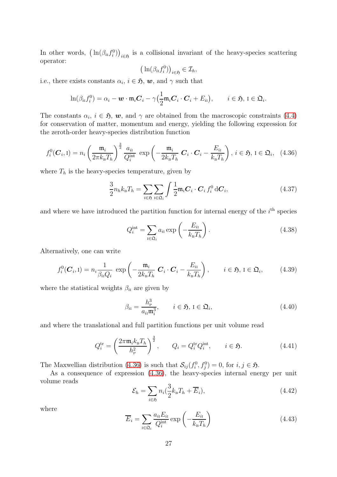In other words,  $(\ln(\beta_{i} f_i^0))_{i \in \mathfrak{H}}$  is a collisional invariant of the heavy-species scattering operator:

$$
\left(\ln(\beta_{i_1}f_i^0)\right)_{i\in\mathfrak{H}}\in\mathcal{I}_h,
$$

i.e., there exists constants  $\alpha_i$ ,  $i \in \mathfrak{H}$ ,  $w$ , and  $\gamma$  such that

$$
\ln(\beta_{i1}f_i^0)=\alpha_i-\boldsymbol{w}\cdot\mathfrak{m}_i\boldsymbol{C}_i-\gamma\big(\frac{1}{2}\mathfrak{m}_i\boldsymbol{C}_i\cdot\boldsymbol{C}_i+E_{i1}\big),\qquad i\in\mathfrak{H},\ I\in\mathfrak{Q}_i.
$$

The constants  $\alpha_i$ ,  $i \in \mathfrak{H}$ ,  $w$ , and  $\gamma$  are obtained from the macroscopic constraints [\(4.4\)](#page-21-4) for conservation of matter, momentum and energy, yielding the following expression for the zeroth-order heavy-species distribution function

<span id="page-26-0"></span>
$$
f_i^0(\boldsymbol{C}_i, \mathbf{I}) = n_i \left(\frac{\mathfrak{m}_i}{2\pi k_\mathrm{B} T_h}\right)^{\frac{3}{2}} \frac{a_{i\mathrm{I}}}{Q_i^{\mathrm{int}}} \exp\left(-\frac{\mathfrak{m}_i}{2k_\mathrm{B} T_h} \boldsymbol{C}_i \cdot \boldsymbol{C}_i - \frac{E_{i\mathrm{I}}}{k_\mathrm{B} T_h}\right), i \in \mathfrak{H}, \mathbf{I} \in \mathfrak{Q}_i, (4.36)
$$

where  $T_h$  is the heavy-species temperature, given by

$$
\frac{3}{2}n_h k_{\rm B} T_h = \sum_{i \in \mathfrak{H}} \sum_{\mathbf{i} \in \mathfrak{Q}_i} \int \frac{1}{2} \mathfrak{m}_i \mathbf{C}_i \cdot \mathbf{C}_i \, f_i^0 \, \mathrm{d} \mathbf{C}_i,\tag{4.37}
$$

and where we have introduced the partition function for internal energy of the  $i<sup>th</sup>$  species

$$
Q_i^{\text{int}} = \sum_{i \in \mathfrak{Q}_i} a_{i1} \exp\left(-\frac{E_{i1}}{k_{\text{B}}T_h}\right). \tag{4.38}
$$

Alternatively, one can write

$$
f_i^0(\boldsymbol{C}_i, \mathbf{I}) = n_i \frac{1}{\beta_{ii} Q_i} \exp\left(-\frac{\mathfrak{m}_i}{2k_B T_h} \boldsymbol{C}_i \cdot \boldsymbol{C}_i - \frac{E_{i\mathbf{I}}}{k_B T_h}\right), \qquad i \in \mathfrak{H}, \mathbf{I} \in \mathfrak{Q}_i,
$$
 (4.39)

where the statistical weights  $\beta_{ii}$  are given by

$$
\beta_{i1} = \frac{h_{\rm P}^3}{a_{i1} \mathfrak{m}_i^3}, \qquad i \in \mathfrak{H}, \, \mathfrak{l} \in \mathfrak{Q}_i,\tag{4.40}
$$

and where the translational and full partition functions per unit volume read

$$
Q_i^{\text{tr}} = \left(\frac{2\pi \mathfrak{m}_i k_\text{B} T_h}{h_\text{P}^2}\right)^{\frac{3}{2}}, \qquad Q_i = Q_i^{\text{tr}} Q_i^{\text{int}}, \qquad i \in \mathfrak{H}.\tag{4.41}
$$

The Maxwellian distribution [\(4.36\)](#page-26-0) is such that  $S_{ij}(f_i^0, f_j^0) = 0$ , for  $i, j \in \mathfrak{H}$ .

As a consequence of expression [\(4.36\)](#page-26-0), the heavy-species internal energy per unit volume reads

$$
\mathcal{E}_h = \sum_{i \in \mathfrak{H}} n_i \left( \frac{3}{2} k_{\mathrm{B}} T_h + \overline{E}_i \right),\tag{4.42}
$$

where

$$
\overline{E}_i = \sum_{\mathbf{i} \in \mathfrak{Q}_i} \frac{a_{i\mathbf{i}} E_{i\mathbf{i}}}{Q_i^{\text{int}}} \exp\left(-\frac{E_{i\mathbf{i}}}{k_{\mathbf{B}} T_h}\right) \tag{4.43}
$$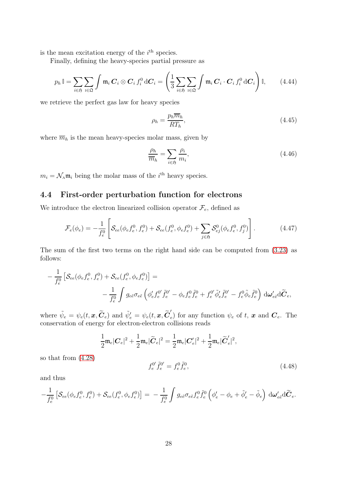is the mean excitation energy of the  $i<sup>th</sup>$  species.

Finally, defining the heavy-species partial pressure as

$$
p_h \mathbb{I} = \sum_{i \in \mathfrak{H}} \sum_{i \in \mathfrak{Q}} \int \mathfrak{m}_i \, \mathbf{C}_i \otimes \mathbf{C}_i \, f_i^0 \, d\mathbf{C}_i = \left( \frac{1}{3} \sum_{i \in \mathfrak{H}} \sum_{i \in \mathfrak{Q}} \int \mathfrak{m}_i \, \mathbf{C}_i \cdot \mathbf{C}_i \, f_i^0 \, d\mathbf{C}_i \right) \mathbb{I}, \tag{4.44}
$$

we retrieve the perfect gas law for heavy species

$$
\rho_h = \frac{p_h \overline{m}_h}{RT_h},\tag{4.45}
$$

where  $\overline{m}_h$  is the mean heavy-species molar mass, given by

<span id="page-27-0"></span>
$$
\frac{\rho_h}{\overline{m}_h} = \sum_{i \in \mathfrak{H}} \frac{\rho_i}{m_i},\tag{4.46}
$$

 $m_i = \mathcal{N}_A \mathfrak{m}_i$  being the molar mass of the  $i^{\text{th}}$  heavy species.

## 4.4 First-order perturbation function for electrons

We introduce the electron linearized collision operator  $\mathcal{F}_e$ , defined as

$$
\mathcal{F}_e(\phi_e) = -\frac{1}{f_e^0} \left[ \mathcal{S}_{ee}(\phi_e f_e^0, f_e^0) + \mathcal{S}_{ee}(f_e^0, \phi_e f_e^0) + \sum_{j \in \mathfrak{H}} \mathcal{S}_{ej}^0(\phi_e f_e^0, f_j^0) \right]. \tag{4.47}
$$

The sum of the first two terms on the right hand side can be computed from [\(3.23\)](#page-13-4) as follows:

$$
-\frac{1}{f_e^0} \left[ \mathcal{S}_{ee}(\phi_e f_e^0, f_e^0) + \mathcal{S}_{ee} (f_e^0, \phi_e f_e^0) \right] =
$$
  

$$
-\frac{1}{f_e^0} \int g_{e\tilde{e}} \sigma_{e\tilde{e}} \left( \phi'_e f_e^{0'} \tilde{f}_e^{0'} - \phi_e f_e^0 \tilde{f}_e^0 + f_e^{0'} \tilde{\phi}'_e \tilde{f}_e^{0'} - f_e^0 \tilde{\phi}_e \tilde{f}_e^0 \right) d\omega'_{e\tilde{e}} d\tilde{C}_e,
$$

where  $\tilde{\psi}_e = \psi_e(t, \bm{x}, \widetilde{\bm{C}}_e)$  and  $\tilde{\psi}'_e = \psi_e(t, \bm{x}, \widetilde{\bm{C}}'_e)$  $(e)$  for any function  $\psi_e$  of t, x and  $C_e$ . The conservation of energy for electron-electron collisions reads

$$
\frac{1}{2}\mathfrak{m}_e|\boldsymbol{C}_e|^2+\frac{1}{2}\mathfrak{m}_e|\widetilde{\boldsymbol{C}}_e|^2=\frac{1}{2}\mathfrak{m}_e|\boldsymbol{C}'_e|^2+\frac{1}{2}\mathfrak{m}_e|\widetilde{\boldsymbol{C}}'_e|^2,
$$

so that from [\(4.28\)](#page-24-2)

$$
f_e^{0'} \tilde{f}_e^{0'} = f_e^0 \tilde{f}_e^0,\tag{4.48}
$$

and thus

$$
-\frac{1}{f_e^0}\left[\mathcal{S}_{ee}(\phi_e f_e^0, f_e^0) + \mathcal{S}_{ee}(f_e^0, \phi_e f_e^0)\right] = -\frac{1}{f_e^0}\int g_{e\tilde{e}}\sigma_{e\tilde{e}}f_e^0\tilde{f}_e^0\left(\phi'_e - \phi_e + \tilde{\phi}'_e - \tilde{\phi}_e\right)\,\mathrm{d}\omega'_{e\tilde{e}}\mathrm{d}\widetilde{C}_e.
$$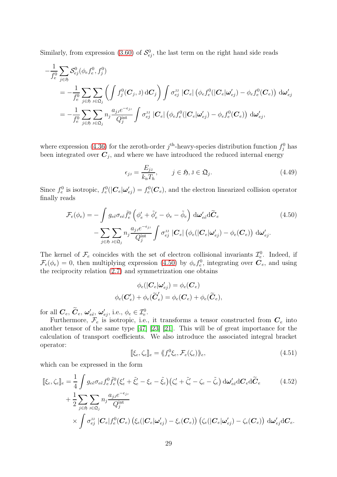Similarly, from expression [\(3.60\)](#page-19-2) of  $\mathcal{S}_{ej}^0$ , the last term on the right hand side reads

$$
\begin{split}\n&-\frac{1}{f_e^0}\sum_{j\in\mathfrak{H}}\mathcal{S}_{ej}^0(\phi_e f_e^0, f_j^0) \\
&=-\frac{1}{f_e^0}\sum_{j\in\mathfrak{H}}\sum_{j\in\mathfrak{L}_j}\left(\int f_j^0(\boldsymbol{C}_j, \mathrm{J}) \,\mathrm{d}\boldsymbol{C}_j\right)\int \sigma_{ej}^{\mathrm{JJ}}\left|\boldsymbol{C}_e\right| \left(\phi_e f_e^0(|\boldsymbol{C}_e|\boldsymbol{\omega}_{ej}') - \phi_e f_e^0(\boldsymbol{C}_e)\right) \,\mathrm{d}\boldsymbol{\omega}_{ej}' \\
&=-\frac{1}{f_e^0}\sum_{j\in\mathfrak{H}}\sum_{j\in\mathfrak{L}_j}n_j\frac{a_{jj}e^{-\epsilon_{jj}}}{Q_j^{\mathrm{int}}}\int \sigma_{ej}^{\mathrm{JJ}}\left|\boldsymbol{C}_e\right| \left(\phi_e f_e^0(|\boldsymbol{C}_e|\boldsymbol{\omega}_{ej}') - \phi_e f_e^0(\boldsymbol{C}_e)\right) \,\mathrm{d}\boldsymbol{\omega}_{ej}',\n\end{split}
$$

where expression [\(4.36\)](#page-26-0) for the zeroth-order  $j^{\text{th}}$ -heavy-species distribution function  $f_j^0$  has been integrated over  $C_j$ , and where we have introduced the reduced internal energy

<span id="page-28-0"></span>
$$
\epsilon_{j,j} = \frac{E_{j,j}}{k_{\rm B}T_h}, \qquad j \in \mathfrak{H}, \, \mathbf{J} \in \mathfrak{Q}_j. \tag{4.49}
$$

Since  $f_e^0$  is isotropic,  $f_e^0(|\mathbf{C}_e|\boldsymbol{\omega}_{ej}') = f_e^0(\mathbf{C}_e)$ , and the electron linearized collision operator finally reads

$$
\mathcal{F}_e(\phi_e) = -\int g_{e\tilde{e}} \sigma_{e\tilde{e}} \tilde{f}_e^0 \left( \phi'_e + \tilde{\phi}'_e - \phi_e - \tilde{\phi}_e \right) d\omega'_{e\tilde{e}} d\tilde{C}_e \n- \sum_{j \in \mathfrak{H}} \sum_{j \in \mathfrak{Q}_j} n_j \frac{a_{j\jmath} e^{-\epsilon_{j\jmath}}}{Q_j^{\text{int}}} \int \sigma_{ej}^{\text{JJ}} |C_e| \left( \phi_e(|C_e|\omega'_{ej}) - \phi_e(C_e) \right) d\omega'_{ej}.
$$
\n(4.50)

The kernel of  $\mathcal{F}_e$  coincides with the set of electron collisional invariants  $\mathcal{I}_e^0$ . Indeed, if  $\mathcal{F}_e(\phi_e) = 0$ , then multiplying expression [\(4.50\)](#page-28-0) by  $\phi_e f_e^0$ , integrating over  $\mathbf{C}_e$ , and using the reciprocity relation [\(2.7\)](#page-4-1) and symmetrization one obtains

$$
\phi_e(|\mathbf{C}_e|\boldsymbol{\omega}'_{ej}) = \phi_e(\mathbf{C}_e)
$$
  

$$
\phi_e(\mathbf{C}'_e) + \phi_e(\widetilde{\mathbf{C}}'_e) = \phi_e(\mathbf{C}_e) + \phi_e(\widetilde{\mathbf{C}}_e),
$$

for all  $\boldsymbol{C}_e$ ,  $\boldsymbol{C}_e$ ,  $\boldsymbol{\omega}'_{e\tilde{e}}$ ,  $\boldsymbol{\omega}'_{ej}$ , i.e.,  $\phi_e \in \mathcal{I}_e^0$ .

Furthermore,  $\mathcal{F}_e$  is isotropic, i.e., it transforms a tensor constructed from  $\mathbf{C}_e$  into another tensor of the same type [\[47\]](#page-64-8) [\[23\]](#page-63-11) [\[21\]](#page-63-2). This will be of great importance for the calculation of transport coefficients. We also introduce the associated integral bracket operator:

<span id="page-28-1"></span>
$$
[\![\xi_e, \zeta_e]\!]_e = \langle\!\langle f_e^0 \xi_e, \mathcal{F}_e(\zeta_e) \rangle\!\rangle_e,\tag{4.51}
$$

which can be expressed in the form

$$
\begin{split} [\xi_e, \zeta_e]_e &= \frac{1}{4} \int g_{e\tilde{e}} \sigma_{e\tilde{e}} f_e^0 \tilde{f}_e^0 \left( \xi_e' + \tilde{\xi}_e' - \xi_e - \tilde{\xi}_e \right) \left( \zeta_e' + \tilde{\zeta}_e' - \zeta_e - \tilde{\zeta}_e \right) \mathrm{d}\omega_{e\tilde{e}}' \mathrm{d}C_e \mathrm{d}\widetilde{C}_e \\ &+ \frac{1}{2} \sum_{j \in \mathfrak{H}} \sum_{\iota \in \mathfrak{Q}_j} n_j \frac{a_{j\iota} e^{-\epsilon_{j\iota}}}{Q_j^{\text{int}}} \\ &\times \int \sigma_{ej}^{\text{IJ}} |C_e| f_e^0(C_e) \left( \xi_e (|C_e| \omega_{ej}') - \xi_e(C_e) \right) \left( \zeta_e (|C_e| \omega_{ej}') - \zeta_e(C_e) \right) \mathrm{d}\omega_{ej}' \mathrm{d}C_e. \end{split} \tag{4.52}
$$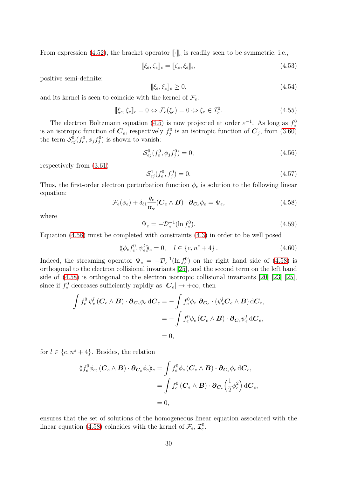From expression [\(4.52\)](#page-28-1), the bracket operator  $\llbracket \cdot \rrbracket_e$  is readily seen to be symmetric, i.e.,

$$
\[\xi_e, \zeta_e\]_e = [\zeta_e, \xi_e\]_e,\tag{4.53}
$$

positive semi-definite:

$$
[\![\xi_e, \xi_e]\!]_e \ge 0,\tag{4.54}
$$

and its kernel is seen to coincide with the kernel of  $\mathcal{F}_e$ :

$$
[\![\xi_e, \xi_e]\!]_e = 0 \Leftrightarrow \mathcal{F}_e(\xi_e) = 0 \Leftrightarrow \xi_e \in \mathcal{I}_e^0. \tag{4.55}
$$

The electron Boltzmann equation [\(4.5\)](#page-21-1) is now projected at order  $\varepsilon^{-1}$ . As long as  $f_e^0$ is an isotropic function of  $\mathbf{C}_e$ , respectively  $f_j^0$  is an isotropic function of  $\mathbf{C}_j$ , from [\(3.60\)](#page-19-2) the term  $\mathcal{S}_{ej}^0(f_e^0, \phi_j f_j^0)$  is shown to vanish:

$$
S_{ej}^{0}(f_e^0, \phi_j f_j^0) = 0,
$$
\n(4.56)

respectively from [\(3.61\)](#page-20-0)

$$
\mathcal{S}_{ej}^{1}(f_e^0, f_j^0) = 0. \tag{4.57}
$$

Thus, the first-order electron perturbation function  $\phi_e$  is solution to the following linear equation:

<span id="page-29-0"></span>
$$
\mathcal{F}_e(\phi_e) + \delta_{b1} \frac{q_e}{\mathfrak{m}_e} (\mathbf{C}_e \wedge \mathbf{B}) \cdot \partial_{\mathbf{C}_e} \phi_e = \Psi_e, \tag{4.58}
$$

where

$$
\Psi_e = -\mathcal{D}_e^{-1} (\ln f_e^0). \tag{4.59}
$$

Equation [\(4.58\)](#page-29-0) must be completed with constraints [\(4.3\)](#page-21-3) in order to be well posed

$$
\langle \phi_e f_e^0, \psi_e^l \rangle_e = 0, \quad l \in \{e, n^s + 4\}.
$$
\n(4.60)

Indeed, the streaming operator  $\Psi_e = -\mathcal{D}_e^{-1}(\ln f_e^0)$  on the right hand side of [\(4.58\)](#page-29-0) is orthogonal to the electron collisional invariants [\[25\]](#page-63-4), and the second term on the left hand side of [\(4.58\)](#page-29-0) is orthogonal to the electron isotropic collisional invariants [\[20\]](#page-63-1) [\[23\]](#page-63-11) [\[25\]](#page-63-4), since if  $f_e^0$  decreases sufficiently rapidly as  $|\mathcal{C}_e| \to +\infty$ , then

$$
\int f_e^0 \psi_e^l (\boldsymbol{C}_e \wedge \boldsymbol{B}) \cdot \boldsymbol{\partial}_{\boldsymbol{C}_e} \phi_e d\boldsymbol{C}_e = -\int f_e^0 \phi_e \, \boldsymbol{\partial}_{\boldsymbol{C}_e} \cdot (\psi_e^l \boldsymbol{C}_e \wedge \boldsymbol{B}) d\boldsymbol{C}_e,
$$
  
= 
$$
- \int f_e^0 \phi_e (\boldsymbol{C}_e \wedge \boldsymbol{B}) \cdot \boldsymbol{\partial}_{\boldsymbol{C}_e} \psi_e^l d\boldsymbol{C}_e,
$$
  
= 0,

for  $l \in \{e, n^s + 4\}$ . Besides, the relation

$$
\langle \langle f_e^0 \phi_e, (\mathbf{C}_e \wedge \mathbf{B}) \cdot \partial_{\mathbf{C}_e} \phi_e \rangle_e = \int f_e^0 \phi_e (\mathbf{C}_e \wedge \mathbf{B}) \cdot \partial_{\mathbf{C}_e} \phi_e d\mathbf{C}_e,
$$
  
= 
$$
\int f_e^0 (\mathbf{C}_e \wedge \mathbf{B}) \cdot \partial_{\mathbf{C}_e} \left(\frac{1}{2} \phi_e^2\right) d\mathbf{C}_e,
$$
  
= 0,

ensures that the set of solutions of the homogeneous linear equation associated with the linear equation [\(4.58\)](#page-29-0) coincides with the kernel of  $\mathcal{F}_e, \mathcal{I}_e^0$ .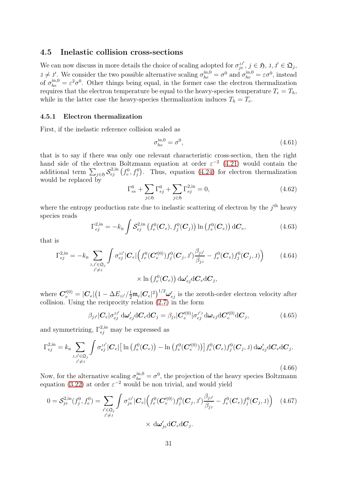#### <span id="page-30-0"></span>4.5 Inelastic collision cross-sections

We can now discuss in more details the choice of scaling adopted for  $\sigma_{je}^{j,j'}$ ,  $j \in \mathfrak{H}$ ,  $j, j' \in \mathfrak{Q}_j$ ,  $J \neq J'$ . We consider the two possible alternative scaling  $\sigma_{he}^{\text{in},0} = \sigma^0$  and  $\sigma_{he}^{\text{in},0} = \varepsilon \sigma^0$ , instead of  $\sigma_{he}^{\text{in},0} = \varepsilon^2 \sigma^0$ . Other things being equal, in the former case the electron thermalization requires that the electron temperature be equal to the heavy-species temperature  $T_e = T_h$ , while in the latter case the heavy-species thermalization induces  $T_h = T_e$ .

#### 4.5.1 Electron thermalization

First, if the inelastic reference collision scaled as

$$
\sigma_{he}^{\text{in},0} = \sigma^0,\tag{4.61}
$$

that is to say if there was only one relevant characteristic cross-section, then the right hand side of the electron Boltzmann equation at order  $\varepsilon^{-2}$  [\(4.21\)](#page-23-0) would contain the additional term  $\sum_{j\in\mathfrak{H}}S_{ej}^{2,in}(f_e^0, f_j^0)$ . Thus, equation [\(4.24\)](#page-24-3) for electron thermalization would be replaced by

<span id="page-30-1"></span>
$$
\Gamma_{ee}^{0} + \sum_{j \in \mathfrak{H}} \Gamma_{ej}^{0} + \sum_{j \in \mathfrak{H}} \Gamma_{ej}^{2,\text{in}} = 0,
$$
\n(4.62)

where the entropy production rate due to inelastic scattering of electron by the  $j<sup>th</sup>$  heavy species reads

$$
\Gamma_{ej}^{2,\text{in}} = -k_{\text{B}} \int \mathcal{S}_{ej}^{2,\text{in}} \left( f_e^0(\mathbf{C}_e), f_j^0(\mathbf{C}_j) \right) \ln \left( f_e^0(\mathbf{C}_e) \right) d\mathbf{C}_e, \tag{4.63}
$$

that is

$$
\Gamma_{ej}^{2,\text{in}} = -k_{\text{B}} \sum_{\substack{\mathbf{J}, \mathbf{J}' \in \mathfrak{Q}_j \\ \mathbf{J}' \neq \mathbf{J}}} \int \sigma_{ej}^{\mathbf{J}\mathbf{J}'} |\mathbf{C}_e| \Big( f_e^0(\mathbf{C}'_e^{(0)}) f_j^0(\mathbf{C}_j, \mathbf{J}') \frac{\beta_{j\mathbf{J}'}}{\beta_{j\mathbf{J}}} - f_e^0(\mathbf{C}_e) f_j^0(\mathbf{C}_j, \mathbf{J}) \Big) \qquad (4.64)
$$
  
 
$$
\times \ln \left( f_e^0(\mathbf{C}_e) \right) d\boldsymbol{\omega}'_{ej} d\mathbf{C}_e d\mathbf{C}_j,
$$

where  $\bm{C}'^{(0)}_e=|\bm{C}_e|\big(1-\Delta E_{\text{JJ'}}\big/\frac{1}{2}\mathfrak{m}_e|\bm{C}_e|^2\big)^{1/2}\bm{\omega}'_{ej}$  is the zeroth-order electron velocity after collision. Using the reciprocity relation [\(2.7\)](#page-4-1) in the form

<span id="page-30-2"></span>
$$
\beta_{j\jmath'}|C_e|\sigma_{ej}^{\jmath\jmath'}\mathrm{d}\omega'_{ej}\mathrm{d}C_e\mathrm{d}C_j = \beta_{j\jmath}|C''_e^{(0)}|\sigma_{ej}^{\jmath'\jmath}\mathrm{d}\omega_{ej}\mathrm{d}C''_e^{(0)}\mathrm{d}C_j,\tag{4.65}
$$

and symmetrizing,  $\Gamma_{ej}^{2,in}$  may be expressed as

$$
\Gamma_{ej}^{2,\text{in}} = k_{\text{B}} \sum_{\substack{\mathbf{J}, \mathbf{J}' \in \mathfrak{Q}_j \\ \mathbf{J}' \neq \mathbf{J}}} \int \sigma_{ej}^{\mathbf{J}\mathbf{J}'} |\mathbf{C}_e| \left[ \ln \left( f_e^0(\mathbf{C}_e) \right) - \ln \left( f_e^0(\mathbf{C}_e'^{(0)}) \right) \right] f_e^0(\mathbf{C}_e) f_j^0(\mathbf{C}_j, \mathbf{J}) \, \mathrm{d}\omega_{ej}' \mathrm{d}\mathbf{C}_e \mathrm{d}\mathbf{C}_j. \tag{4.66}
$$

Now, for the alternative scaling  $\sigma_{he}^{\text{in},0} = \sigma^0$ , the projection of the heavy species Boltzmann equation [\(3.22\)](#page-13-3) at order  $\varepsilon^{-2}$  would be non trivial, and would yield

$$
0 = S_{j e}^{2, \text{in}}(f_j^0, f_e^0) = \sum_{\substack{j' \in \mathfrak{Q}_j \\ j' \neq j}} \int \sigma_{j e}^{j j'} |\mathbf{C}_e| \Big( f_e^0(\mathbf{C}'_e^{(0)}) f_j^0(\mathbf{C}_j, J') \frac{\beta_{j j'}}{\beta_{j j}} - f_e^0(\mathbf{C}_e) f_j^0(\mathbf{C}_j, J) \Big) \tag{4.67}
$$
  
 
$$
\times d\omega'_{j e} d\mathbf{C}_e d\mathbf{C}_j.
$$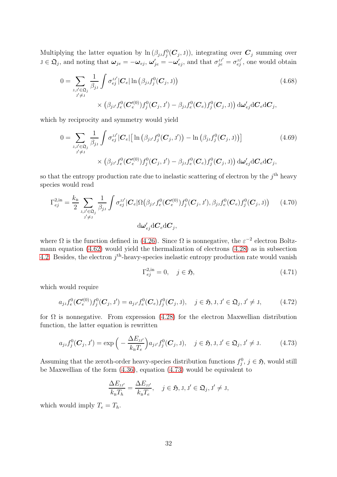Multiplying the latter equation by  $\ln (\beta_{jJ} f_j^0(\mathbf{C}_j, J))$ , integrating over  $\mathbf{C}_j$  summing over  $j \in \mathfrak{Q}_j$ , and noting that  $\omega_{je} = -\omega_{ej}$ ,  $\omega'_{je} = -\omega'_{ej}$ , and that  $\sigma^{jj'}_{je} = \sigma^{jj'}_{ej}$ , one would obtain

$$
0 = \sum_{\substack{\mathbf{J}, \mathbf{J}' \in \mathfrak{Q}_j \\ \mathbf{J}' \neq \mathbf{J}}} \frac{1}{\beta_{j\mathbf{J}}} \int \sigma_{ej}^{\mathbf{J}\mathbf{J}'} |\mathbf{C}_e| \ln \left( \beta_{j\mathbf{J}} f_j^0(\mathbf{C}_j, \mathbf{J}) \right)
$$
(4.68)  

$$
\times \left( \beta_{j\mathbf{J}'} f_e^0(\mathbf{C}'_e^{(0)}) f_j^0(\mathbf{C}_j, \mathbf{J}') - \beta_{j\mathbf{J}} f_e^0(\mathbf{C}_e) f_j^0(\mathbf{C}_j, \mathbf{J}) \right) d\boldsymbol{\omega}'_{ej} d\mathbf{C}_e d\mathbf{C}_j,
$$

which by reciprocity and symmetry would yield

$$
0 = \sum_{\substack{\mathbf{J}, \mathbf{J}' \in \mathfrak{Q}_j \\ \mathbf{J}' \neq \mathbf{J}}} \frac{1}{\beta_{j\mathbf{J}}} \int \sigma_{ej}^{\mathbf{J}\mathbf{J}'} |\mathbf{C}_e| \left[ \ln \left( \beta_{j\mathbf{J}'} f_j^0(\mathbf{C}_j, \mathbf{J}') \right) - \ln \left( \beta_{j\mathbf{J}} f_j^0(\mathbf{C}_j, \mathbf{J}) \right) \right] \tag{4.69}
$$
  
 
$$
\times \left( \beta_{j\mathbf{J}'} f_e^0(\mathbf{C}'_e^{(0)}) f_j^0(\mathbf{C}_j, \mathbf{J}') - \beta_{j\mathbf{J}} f_e^0(\mathbf{C}_e) f_j^0(\mathbf{C}_j, \mathbf{J}) \right) d\omega'_{ej} d\mathbf{C}_e d\mathbf{C}_j,
$$

so that the entropy production rate due to inelastic scattering of electron by the  $j<sup>th</sup>$  heavy species would read

$$
\Gamma_{ej}^{2,\text{in}} = \frac{k_{\text{B}}}{2} \sum_{\substack{\mathbf{J}, \mathbf{J}' \in \mathfrak{Q}_{j} \\ \mathbf{J}' \neq \mathbf{J}}} \frac{1}{\beta_{j\mathbf{J}}} \int \sigma_{ej}^{\mathbf{J}\mathbf{J}'} |\mathbf{C}_{e}| \Omega(\beta_{j\mathbf{J}'} f_{e}^{0}(\mathbf{C}'_{e}^{(0)}) f_{j}^{0}(\mathbf{C}_{j}, \mathbf{J}'), \beta_{j\mathbf{J}} f_{e}^{0}(\mathbf{C}_{e}) f_{j}^{0}(\mathbf{C}_{j}, \mathbf{J})) \qquad (4.70)
$$
\n
$$
\mathrm{d}\omega_{ej}^{\prime} \mathrm{d}\mathbf{C}_{e} \mathrm{d}\mathbf{C}_{j},
$$

where  $\Omega$  is the function defined in [\(4.26\)](#page-24-4). Since  $\Omega$  is nonnegative, the  $\varepsilon^{-2}$  electron Boltzmann equation [\(4.62\)](#page-30-1) would yield the thermalization of electrons [\(4.28\)](#page-24-2) as in subsection [4.2.](#page-23-1) Besides, the electron  $j^{\text{th}}$ -heavy-species inelastic entropy production rate would vanish

$$
\Gamma_{ej}^{2,\text{in}} = 0, \quad j \in \mathfrak{H},\tag{4.71}
$$

which would require

$$
a_{j}f_e^0(\mathbf{C}'_e^{(0)})f_j^0(\mathbf{C}_j,\mathbf{J}') = a_{j}\mathbf{J}_e^{(0)}(\mathbf{C}_e)f_j^0(\mathbf{C}_j,\mathbf{J}), \quad j \in \mathfrak{H}, \mathbf{J}, \mathbf{J}' \in \mathfrak{Q}_j, \mathbf{J}' \neq \mathbf{J}, \tag{4.72}
$$

for  $\Omega$  is nonnegative. From expression [\(4.28\)](#page-24-2) for the electron Maxwellian distribution function, the latter equation is rewritten

<span id="page-31-0"></span>
$$
a_{j}f_j^0(\boldsymbol{C}_j, J') = \exp\Big(-\frac{\Delta E_{j,j'}}{k_{\rm B}T_e}\Big)a_{j,j'}f_j^0(\boldsymbol{C}_j, J), \quad j \in \mathfrak{H}, J, J' \in \mathfrak{Q}_j, J' \neq J. \tag{4.73}
$$

Assuming that the zeroth-order heavy-species distribution functions  $f_j^0$ ,  $j \in \mathfrak{H}$ , would still be Maxwellian of the form [\(4.36\)](#page-26-0), equation [\(4.73\)](#page-31-0) would be equivalent to

$$
\frac{\Delta E_{\mathrm{J}j'}}{k_{\mathrm{B}}T_h} = \frac{\Delta E_{\mathrm{J}j'}}{k_{\mathrm{B}}T_e}, \quad j \in \mathfrak{H}, \mathrm{J}, \mathrm{J}' \in \mathfrak{Q}_j, \mathrm{J}' \neq \mathrm{J},
$$

which would imply  $T_e = T_h$ .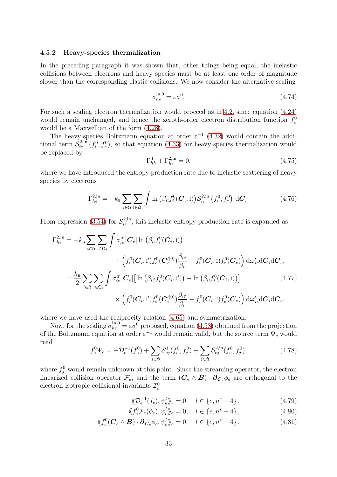#### 4.5.2 Heavy-species thermalization

In the preceding paragraph it was shown that, other things being equal, the inelastic collisions between electrons and heavy species must be at least one order of magnitude slower than the corresponding elastic collisions. We now consider the alternative scaling

$$
\sigma_{he}^{\text{in},0} = \varepsilon \sigma^0. \tag{4.74}
$$

For such a scaling electron thermalization would proceed as in [4.2,](#page-23-1) since equation [\(4.24\)](#page-24-3) would remain unchanged, and hence the zeroth-order electron distribution function  $f_e^0$ would be a Maxwellian of the form [\(4.28\)](#page-24-2).

The heavy-species Boltzmann equation at order  $\varepsilon^{-1}$  [\(4.32\)](#page-25-0) would contain the additional term  $\check{S}_{ie}^{2,\text{in}}(f_i^0, f_e^0)$ , so that equation [\(4.33\)](#page-25-1) for heavy-species thermalization would be replaced by

<span id="page-32-2"></span><span id="page-32-1"></span>
$$
\Gamma_{hh}^{0} + \Gamma_{he}^{2,in} = 0,\t\t(4.75)
$$

where we have introduced the entropy production rate due to inelastic scattering of heavy species by electrons

$$
\Gamma_{he}^{2,\text{in}} = -k_{\text{B}} \sum_{i \in \mathfrak{H}} \sum_{i \in \mathfrak{Q}_i} \int \ln \left( \beta_{i1} f_i^0(\boldsymbol{C}_i, \mathbf{I}) \right) \mathcal{S}_{ie}^{2,\text{in}} \left( f_i^0, f_e^0 \right) \, \mathrm{d}\boldsymbol{C}_i. \tag{4.76}
$$

From expression [\(3.54\)](#page-18-1) for  $S_{ie}^{2,in}$ , this inelastic entropy production rate is expanded as

$$
\Gamma_{he}^{2,in} = -k_{\mathrm{B}} \sum_{i \in \mathfrak{H}} \sum_{\mathrm{I} \in \mathfrak{Q}_{i}} \int \sigma_{ie}^{\mathrm{II}'} |\mathbf{C}_{e}| \ln \left( \beta_{i\mathrm{I}} f_{i}^{0}(\mathbf{C}_{i}, \mathrm{I}) \right) \times \left( f_{i}^{0}(\mathbf{C}_{i}, \mathrm{I}) f_{e}^{0}(\mathbf{C}_{e}^{\prime 0}) \frac{\beta_{i\mathrm{I}'}}{\beta_{i\mathrm{I}}} - f_{i}^{0}(\mathbf{C}_{i}, \mathrm{I}) f_{e}^{0}(\mathbf{C}_{e}) \right) d\boldsymbol{\omega}_{ie}^{\prime} d\mathbf{C}_{i} d\mathbf{C}_{e},
$$
\n
$$
= \frac{k_{\mathrm{B}}}{2} \sum_{i \in \mathfrak{H}} \sum_{\mathrm{I} \in \mathfrak{Q}_{i}} \int \sigma_{ie}^{\mathrm{II}'} |\mathbf{C}_{e}| \left[ \ln \left( \beta_{i\mathrm{I}'} f_{i}^{0}(\mathbf{C}_{i}, \mathrm{I}') \right) - \ln \left( \beta_{i\mathrm{I}} f_{i}^{0}(\mathbf{C}_{i}, \mathrm{I}) \right) \right] \times \left( 4.77 \right) \times \left( f_{i}^{0}(\mathbf{C}_{i}, \mathrm{I}') f_{e}^{0}(\mathbf{C}_{e}^{\prime 0}) \frac{\beta_{i\mathrm{I}'}}{\beta_{i\mathrm{I}}} - f_{i}^{0}(\mathbf{C}_{i}, \mathrm{I}) f_{e}^{0}(\mathbf{C}_{e}) \right) d\boldsymbol{\omega}_{ie}^{\prime} d\mathbf{C}_{i} d\mathbf{C}_{e}, \tag{4.77}
$$

where we have used the reciprocity relation [\(4.65\)](#page-30-2) and symmetrization.

Now, for the scaling  $\sigma_{he}^{\text{in},0} = \varepsilon \sigma^0$  proposed, equation [\(4.58\)](#page-29-0) obtained from the projection of the Boltzmann equation at order  $\varepsilon^{-1}$  would remain valid, but the source term  $\Psi_e$  would read

<span id="page-32-0"></span>
$$
f_e^0 \Psi_e = -\mathcal{D}_e^{-1}(f_e^0) + \sum_{j \in \mathfrak{H}} \mathcal{S}_{ej}^1(f_e^0, f_j^0) + \sum_{j \in \mathfrak{H}} \mathcal{S}_{ej}^{2,\text{in}}(f_e^0, f_j^0),\tag{4.78}
$$

where  $f_j^0$  would remain unknown at this point. Since the streaming operator, the electron linearized collision operator  $\mathcal{F}_e$ , and the term  $(C_e \wedge B) \cdot \partial_{C_e} \phi_e$  are orthogonal to the electron isotropic collisional invariants  $\mathcal{I}_e^0$ 

$$
\langle \! \langle \mathcal{D}_e^{-1}(f_e), \psi_e^l \rangle \! \rangle_e = 0, \quad l \in \{e, n^s + 4\}, \tag{4.79}
$$

$$
\langle f_e^0 \mathcal{F}_e(\phi_e), \psi_e^l \rangle_e = 0, \quad l \in \{e, n^s + 4\},\tag{4.80}
$$

$$
\langle f_e^0(\mathbf{C}_e \wedge \mathbf{B}) \cdot \partial_{\mathbf{C}_e} \phi_e, \psi_e^l \rangle_e = 0, \quad l \in \{e, n^s + 4\},\tag{4.81}
$$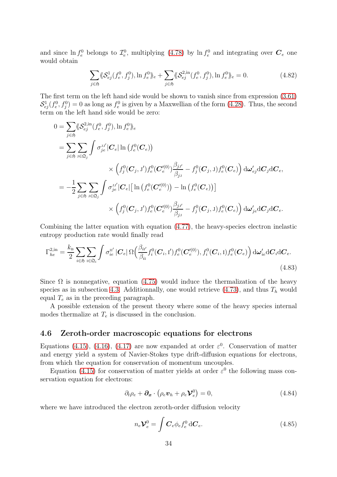and since  $\ln f_e^0$  belongs to  $\mathcal{I}_e^0$ , multiplying [\(4.78\)](#page-32-0) by  $\ln f_e^0$  and integrating over  $\mathcal{C}_e$  one would obtain

$$
\sum_{j \in \mathfrak{H}} \langle \mathcal{S}_{ej}^1(f_e^0, f_j^0), \ln f_e^0 \rangle_e + \sum_{j \in \mathfrak{H}} \langle \mathcal{S}_{ej}^{2, \text{in}}(f_e^0, f_j^0), \ln f_e^0 \rangle_e = 0. \tag{4.82}
$$

The first term on the left hand side would be shown to vanish since from expression [\(3.61\)](#page-20-0)  $S_{ej}^{1}(f_e^0, f_j^0) = 0$  as long as  $f_e^0$  is given by a Maxwellian of the form [\(4.28\)](#page-24-2). Thus, the second term on the left hand side would be zero:

$$
0 = \sum_{j \in \mathfrak{H}} \langle S_{ej}^{2,\text{in}}(f_e^0, f_j^0), \ln f_e^0 \rangle_e
$$
  
\n
$$
= \sum_{j \in \mathfrak{H}} \sum_{j \in \mathfrak{Q}_j} \int \sigma_{je}^{JJ'} |\mathbf{C}_e| \ln (f_e^0(\mathbf{C}_e))
$$
  
\n
$$
\times \left( f_j^0(\mathbf{C}_j, J') f_e^0(\mathbf{C}_e^{(0)}) \frac{\beta_{jJ'}}{\beta_{jj}} - f_j^0(\mathbf{C}_j, J) f_e^0(\mathbf{C}_e) \right) d\omega_{ej}' d\mathbf{C}_j d\mathbf{C}_e,
$$
  
\n
$$
= -\frac{1}{2} \sum_{j \in \mathfrak{H}} \sum_{j \in \mathfrak{Q}_j} \int \sigma_{je}^{JJ'} |\mathbf{C}_e| [\ln (f_e^0(\mathbf{C}_e^{(0)})) - \ln (f_e^0(\mathbf{C}_e))] \times \left( f_j^0(\mathbf{C}_j, J') f_e^0(\mathbf{C}_e^{(0)}) \frac{\beta_{jJ'}}{\beta_{jj}} - f_j^0(\mathbf{C}_j, J) f_e^0(\mathbf{C}_e) \right) d\omega_{je}' d\mathbf{C}_j d\mathbf{C}_e.
$$

Combining the latter equation with equation [\(4.77\)](#page-32-1), the heavy-species electron inelastic entropy production rate would finally read

$$
\Gamma_{he}^{2,\text{in}} = \frac{k_{\text{B}}}{2} \sum_{i \in \mathfrak{H}} \sum_{\text{i} \in \mathfrak{Q}_i} \int \sigma_{ie}^{\text{II}'} \left| \mathbf{C}_e \right| \Omega \left( \frac{\beta_{ii'}}{\beta_{ii}} f_i^0(\mathbf{C}_i, \mathbf{I}') f_e^0(\mathbf{C}'_e^{(0)}), f_i^0(\mathbf{C}_i, \mathbf{I}) f_e^0(\mathbf{C}_e) \right) d\omega'_{ie} d\mathbf{C}_i d\mathbf{C}_e.
$$
\n(4.83)

Since  $\Omega$  is nonnegative, equation [\(4.75\)](#page-32-2) would induce the thermalization of the heavy species as in subsection [4.3.](#page-25-2) Additionnally, one would retrieve  $(4.73)$ , and thus  $T_h$  would equal  $T_e$  as in the preceding paragraph.

A possible extension of the present theory where some of the heavy species internal modes thermalize at  $T_e$  is discussed in the conclusion.

#### 4.6 Zeroth-order macroscopic equations for electrons

Equations [\(4.15\)](#page-22-0), [\(4.16\)](#page-22-2), [\(4.17\)](#page-22-4) are now expanded at order  $\varepsilon^0$ . Conservation of matter and energy yield a system of Navier-Stokes type drift-diffusion equations for electrons, from which the equation for conservation of momentum uncouples.

Equation [\(4.15\)](#page-22-0) for conservation of matter yields at order  $\varepsilon^0$  the following mass conservation equation for electrons:

$$
\partial_t \rho_e + \partial_x \cdot (\rho_e \boldsymbol{v}_h + \rho_e \boldsymbol{\mathcal{V}}_e^0) = 0, \qquad (4.84)
$$

where we have introduced the electron zeroth-order diffusion velocity

$$
n_e \mathcal{V}_e^0 = \int \mathbf{C}_e \phi_e f_e^0 d\mathbf{C}_e.
$$
 (4.85)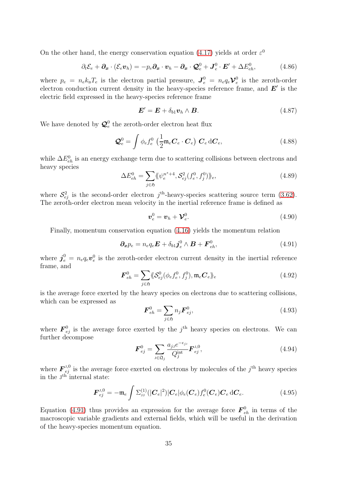On the other hand, the energy conservation equation [\(4.17\)](#page-22-4) yields at order  $\varepsilon^0$ 

$$
\partial_t \mathcal{E}_e + \partial_x \cdot (\mathcal{E}_e \boldsymbol{v}_h) = -p_e \partial_x \cdot \boldsymbol{v}_h - \partial_x \cdot \mathcal{Q}_e^0 + \boldsymbol{J}_e^0 \cdot \boldsymbol{E}' + \Delta E_{eh}^0, \qquad (4.86)
$$

where  $p_e = n_e k_\text{B} T_e$  is the electron partial pressure,  $\mathbf{J}_e^0 = n_e q_e \mathbf{\mathcal{V}}_e^0$  $e^0$  is the zeroth-order electron conduction current density in the heavy-species reference frame, and  $E'$  is the electric field expressed in the heavy-species reference frame

$$
\boldsymbol{E}' = \boldsymbol{E} + \delta_{b1} \boldsymbol{v}_h \wedge \boldsymbol{B}.
$$
 (4.87)

We have denoted by  $\mathcal{Q}_{e}^{0}$  the zeroth-order electron heat flux

$$
\mathcal{Q}_e^0 = \int \phi_e f_e^0 \left(\frac{1}{2} \mathfrak{m}_e \mathbf{C}_e \cdot \mathbf{C}_e\right) \mathbf{C}_e \, d\mathbf{C}_e,\tag{4.88}
$$

while  $\Delta E_{eh}^0$  is an energy exchange term due to scattering collisions between electrons and heavy species

$$
\Delta E_{eh}^0 = \sum_{j \in \mathfrak{H}} \langle \psi_e^{n^s+4}, \mathcal{S}_{ej}^2(f_e^0, f_j^0) \rangle_e, \tag{4.89}
$$

where  $S_{ej}^2$  is the second-order electron j<sup>th</sup>-heavy-species scattering source term [\(3.62\)](#page-20-1). The zeroth-order electron mean velocity in the inertial reference frame is defined as

$$
\boldsymbol{v}_e^0 = \boldsymbol{v}_h + \boldsymbol{\mathcal{V}}_e^0. \tag{4.90}
$$

Finally, momentum conservation equation [\(4.16\)](#page-22-2) yields the momentum relation

<span id="page-34-0"></span>
$$
\partial_x p_e = n_e q_e \boldsymbol{E} + \delta_{b1} \boldsymbol{j}_e^0 \wedge \boldsymbol{B} + \boldsymbol{F}_{eh}^0, \qquad (4.91)
$$

where  $j_e^0 = n_e q_e \mathbf{v}_e^0$  is the zeroth-order electron current density in the inertial reference frame, and

$$
\boldsymbol{F}_{eh}^0 = \sum_{j \in \mathfrak{H}} \langle \mathcal{S}_{ej}^0(\phi_e f_e^0, f_j^0), \mathfrak{m}_e \boldsymbol{C}_e \rangle_e \tag{4.92}
$$

is the average force exerted by the heavy species on electrons due to scattering collisions, which can be expressed as

$$
\boldsymbol{F}_{eh}^0 = \sum_{j \in \mathfrak{H}} n_j \boldsymbol{F}_{ej}^0, \tag{4.93}
$$

where  $\boldsymbol{F}_{ej}^0$  is the average force exerted by the j<sup>th</sup> heavy species on electrons. We can further decompose

$$
\boldsymbol{F}_{ej}^{0} = \sum_{j \in \mathfrak{Q}_j} \frac{a_{jj} e^{-\epsilon_{jj}}}{Q_j^{\text{int}}} \boldsymbol{F}_{ej}^{j,0},
$$
(4.94)

where  $\mathbf{F}_{ej}^{j,0}$  is the average force exerted on electrons by molecules of the  $j<sup>th</sup>$  heavy species in the  $J<sup>th</sup>$  internal state:

$$
\boldsymbol{F}_{ej}^{J,0} = -\mathfrak{m}_e \int \Sigma_{JJ}^{(1)}(|\boldsymbol{C}_e|^2)|\boldsymbol{C}_e|\phi_e(\boldsymbol{C}_e)f_e^0(\boldsymbol{C}_e)\boldsymbol{C}_e d\boldsymbol{C}_e.
$$
\n(4.95)

Equation [\(4.91\)](#page-34-0) thus provides an expression for the average force  $\mathbf{F}_{eh}^0$  in terms of the macroscopic variable gradients and external fields, which will be useful in the derivation of the heavy-species momentum equation.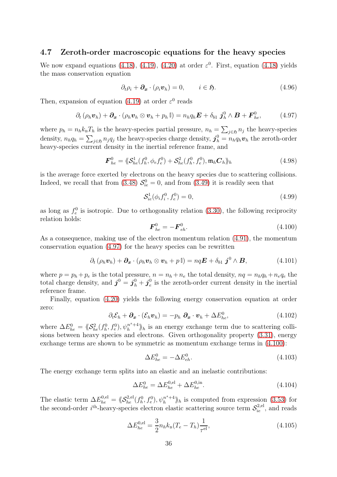## 4.7 Zeroth-order macroscopic equations for the heavy species

We now expand equations [\(4.18\)](#page-22-1), [\(4.19\)](#page-22-3), [\(4.20\)](#page-22-5) at order  $\varepsilon^0$ . First, equation [\(4.18\)](#page-22-1) yields the mass conservation equation

$$
\partial_t \rho_i + \partial_x \cdot (\rho_i \boldsymbol{v}_h) = 0, \qquad i \in \mathfrak{H}.
$$
\n(4.96)

Then, expansion of equation [\(4.19\)](#page-22-3) at order  $\varepsilon^0$  reads

<span id="page-35-0"></span>
$$
\partial_t (\rho_h \boldsymbol{v}_h) + \partial_x \cdot (\rho_h \boldsymbol{v}_h \otimes \boldsymbol{v}_h + p_h \mathbb{I}) = n_h q_h \boldsymbol{E} + \delta_{b1} \boldsymbol{j}_h^0 \wedge \boldsymbol{B} + \boldsymbol{F}_{he}^0, \qquad (4.97)
$$

where  $p_h = n_h k_B T_h$  is the heavy-species partial pressure,  $n_h = \sum_{j \in \mathfrak{H}} n_j$  the heavy-species density,  $n_h q_h = \sum_{j \in \mathfrak{H}} n_j q_j$  the heavy-species charge density,  $\mathbf{j}_h^0 = n_h q_h \mathbf{v}_h$  the zeroth-order heavy-species current density in the inertial reference frame, and

$$
\boldsymbol{F}_{he}^{0} = \langle \langle \mathcal{S}_{he}^{1}(f_{h}^{0}, \phi_{e} f_{e}^{0}) + \mathcal{S}_{he}^{2}(f_{h}^{0}, f_{e}^{0}), \mathfrak{m}_{h} \boldsymbol{C}_{h} \rangle_{h}
$$
(4.98)

is the average force exerted by electrons on the heavy species due to scattering collisions. Indeed, we recall that from [\(3.48\)](#page-17-2)  $S_{ie}^0 = 0$ , and from [\(3.49\)](#page-18-0) it is readily seen that

$$
S_{ie}^1(\phi_i f_i^0, f_e^0) = 0,\t\t(4.99)
$$

as long as  $f_e^0$  is isotropic. Due to orthogonality relation [\(3.30\)](#page-14-0), the following reciprocity relation holds:

<span id="page-35-1"></span>
$$
\boldsymbol{F}_{he}^{0} = -\boldsymbol{F}_{eh}^{0}.\tag{4.100}
$$

As a consequence, making use of the electron momentum relation [\(4.91\)](#page-34-0), the momentum conservation equation [\(4.97\)](#page-35-0) for the heavy species can be rewritten

$$
\partial_t (\rho_h \boldsymbol{v}_h) + \partial_x \cdot (\rho_h \boldsymbol{v}_h \otimes \boldsymbol{v}_h + p \mathbb{I}) = nq\boldsymbol{E} + \delta_{b1} \boldsymbol{j}^0 \wedge \boldsymbol{B}, \qquad (4.101)
$$

where  $p = p_h + p_e$  is the total pressure,  $n = n_h + n_e$  the total density,  $nq = n_hq_h + n_eq_e$  the total charge density, and  $\boldsymbol{j}^0 = \boldsymbol{j}_h^0 + \boldsymbol{j}_e^0$  $e$ <sup>0</sup> is the zeroth-order current density in the inertial reference frame.

Finally, equation [\(4.20\)](#page-22-5) yields the following energy conservation equation at order zero:

$$
\partial_t \mathcal{E}_h + \partial_x \cdot (\mathcal{E}_h \mathbf{v}_h) = -p_h \, \partial_x \cdot \mathbf{v}_h + \Delta E_{he}^0,\tag{4.102}
$$

where  $\Delta E_{he}^0 = \langle \mathcal{S}_{he}^2(f_h^0, f_e^0), \psi_h^{n^s+4} \rangle_h$  is an energy exchange term due to scattering collisions between heavy species and electrons. Given orthogonality property [\(3.31\)](#page-14-0), energy exchange terms are shown to be symmetric as momentum exchange terms in [\(4.100\)](#page-35-1):

$$
\Delta E_{he}^0 = -\Delta E_{eh}^0. \tag{4.103}
$$

The energy exchange term splits into an elastic and an inelastic contributions:

$$
\Delta E_{he}^{0} = \Delta E_{he}^{0,el} + \Delta E_{he}^{0,in}.
$$
\n(4.104)

The elastic term  $\Delta E_{he}^{0,el} = \langle \! \langle S_{he}^{2,el}(f_h^0, f_e^0), \psi_h^{n^s+4} \rangle \! \rangle$  $\binom{n^3+4}{h}$  is computed from expression [\(3.53\)](#page-18-2) for the second-order  $i^{\text{th}}$ -heavy-species electron elastic scattering source term  $\mathcal{S}_{ie}^{2,\text{el}}$ , and reads

$$
\Delta E_{he}^{0,el} = \frac{3}{2} n_h k_B (T_e - T_h) \frac{1}{\tau^{el}},\tag{4.105}
$$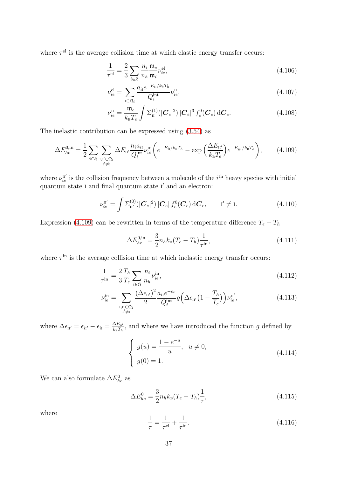where  $\tau<sup>el</sup>$  is the average collision time at which elastic energy transfer occurs:

$$
\frac{1}{\tau^{\text{el}}} = \frac{2}{3} \sum_{i \in \mathfrak{H}} \frac{n_i}{n_h} \frac{\mathfrak{m}_e}{\mathfrak{m}_i} \nu_{ie}^{\text{el}},\tag{4.106}
$$

$$
\nu_{ie}^{\text{el}} = \sum_{i \in \mathfrak{Q}_i} \frac{a_{i1} e^{-E_{i1}/k_{\text{B}} T_h}}{Q_i^{\text{int}}} \nu_{ie}^{\text{II}},\tag{4.107}
$$

$$
\nu_{ie}^{\text{II}} = \frac{\mathfrak{m}_e}{k_{\text{B}}T_e} \int \Sigma_{\text{II}}^{(1)}(|\mathbf{C}_e|^2) |\mathbf{C}_e|^3 f_e^0(\mathbf{C}_e) d\mathbf{C}_e.
$$
 (4.108)

The inelastic contribution can be expressed using [\(3.54\)](#page-18-1) as

<span id="page-36-0"></span>
$$
\Delta E_{he}^{0,\text{in}} = \frac{1}{2} \sum_{i \in \mathfrak{H}} \sum_{\substack{\mathbf{I}, \mathbf{I}' \in \mathfrak{Q}_i \\ \mathbf{I}' \neq \mathbf{I}}} \Delta E_{\mathbf{I}\mathbf{I}'} \frac{n_i a_{i\mathbf{I}}}{Q_i^{\text{int}}} \nu_{ie}^{\mathbf{I}'} \left( e^{-E_{i\mathbf{I}}/k_{\text{B}}T_h} - \exp\left(\frac{\Delta E_{\mathbf{I}\mathbf{I}'}}{k_{\text{B}}T_e}\right) e^{-E_{i\mathbf{I}'}/k_{\text{B}}T_h} \right), \tag{4.109}
$$

where  $\nu_{ie}^{\text{II}'}$  is the collision frequency between a molecule of the *i*<sup>th</sup> heavy species with initial quantum state I and final quantum state I' and an electron:

$$
\nu_{ie}^{\mathrm{II}'} = \int \Sigma_{\mathrm{II}'}^{(0)}(|\mathbf{C}_e|^2) |\mathbf{C}_e| f_e^0(\mathbf{C}_e) d\mathbf{C}_e, \qquad \mathrm{I}' \neq \mathrm{I}.
$$
 (4.110)

Expression [\(4.109\)](#page-36-0) can be rewritten in terms of the temperature difference  $T_e - T_h$ 

$$
\Delta E_{he}^{0,\text{in}} = \frac{3}{2} n_h k_{\text{B}} (T_e - T_h) \frac{1}{\tau^{\text{in}}},\tag{4.111}
$$

where  $\tau^{\text{in}}$  is the average collision time at which inelastic energy transfer occurs:

$$
\frac{1}{\tau^{\text{in}}} = \frac{2}{3} \frac{T_h}{T_e} \sum_{i \in \mathfrak{H}} \frac{n_i}{n_h} \nu_{ie}^{\text{in}},\tag{4.112}
$$

$$
\nu_{ie}^{\text{in}} = \sum_{\substack{\mathbf{I}, \mathbf{I}' \in \mathfrak{Q}_i \\ \mathbf{I}' \neq \mathbf{I}}} \frac{(\Delta \epsilon_{\mathbf{II}'})^2}{2} \frac{a_{i\mathbf{I}} e^{-\epsilon_{i\mathbf{I}}}}{Q_i^{\text{int}}} g\left(\Delta \epsilon_{\mathbf{II}'} \left(1 - \frac{T_h}{T_e}\right)\right) \nu_{ie}^{\mathbf{II}'},\tag{4.113}
$$

where  $\Delta \epsilon_{\text{H}'} = \epsilon_{i\text{i}'} - \epsilon_{i\text{i}} = \frac{\Delta E_{\text{H}'}}{k_{\text{B}}T_{\text{B}}}$  $\frac{\Delta E_{\text{H}'}}{k_{\text{B}}T_h}$ , and where we have introduced the function g defined by

$$
\begin{cases}\ng(u) = \frac{1 - e^{-u}}{u}, & u \neq 0, \\
g(0) = 1.\n\end{cases}
$$
\n(4.114)

We can also formulate  $\Delta E_{he}^0$  as

$$
\Delta E_{he}^{0} = \frac{3}{2} n_h k_{\rm B} (T_e - T_h) \frac{1}{\tau},\tag{4.115}
$$

where

$$
\frac{1}{\tau} = \frac{1}{\tau^{\text{el}}} + \frac{1}{\tau^{\text{in}}}.\tag{4.116}
$$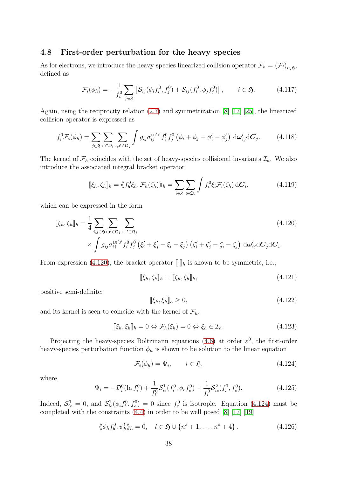#### 4.8 First-order perturbation for the heavy species

As for electrons, we introduce the heavy-species linearized collision operator  $\mathcal{F}_h = (\mathcal{F}_i)_{i \in \mathfrak{H}}$ , defined as

$$
\mathcal{F}_i(\phi_h) = -\frac{1}{f_i^0} \sum_{j \in \mathfrak{H}} \left[ \mathcal{S}_{ij}(\phi_i f_i^0, f_j^0) + \mathcal{S}_{ij}(f_i^0, \phi_j f_j^0) \right], \qquad i \in \mathfrak{H}.
$$
 (4.117)

Again, using the reciprocity relation [\(2.7\)](#page-4-1) and symmetrization [\[8\]](#page-62-0) [\[17\]](#page-63-0) [\[25\]](#page-63-4), the linearized collision operator is expressed as

$$
f_i^0 \mathcal{F}_i(\phi_h) = \sum_{j \in \mathfrak{H}} \sum_{i',j'} \sum_{j,j' \in \mathfrak{Q}_j} \int g_{ij} \sigma_{ij}^{\text{IJI'J'}} f_i^0 f_j^0 \left(\phi_i + \phi_j - \phi_i' - \phi_j'\right) d\omega_{ij}' dC_j.
$$
 (4.118)

The kernel of  $\mathcal{F}_h$  coincides with the set of heavy-species collisional invariants  $\mathcal{I}_h$ . We also introduce the associated integral bracket operator

$$
[\![\xi_h,\zeta_h]\!]_h = \langle\!\langle f_h^0 \xi_h, \mathcal{F}_h(\zeta_h) \rangle\!\rangle_h = \sum_{i \in \mathfrak{H}} \sum_{i \in \mathfrak{Q}_i} \int f_i^0 \xi_i \mathcal{F}_i(\zeta_h) \, \mathrm{d}\mathbf{C}_i,\tag{4.119}
$$

which can be expressed in the form

$$
\[\xi_h, \zeta_h\]_h = \frac{1}{4} \sum_{i,j \in \mathfrak{H}} \sum_{\substack{\mathbf{I}, \mathbf{I}' \in \mathfrak{Q}_i \\ \times \int g_{ij} \sigma_{ij}^{\text{III}'j'} f_i^0 f_j^0 \left(\xi_i' + \xi_j' - \xi_i - \xi_j\right) \left(\zeta_i' + \zeta_j' - \zeta_i - \zeta_j\right) d\omega_{ij}' d\mathbf{C}_j d\mathbf{C}_i.\]
$$
\n(4.120)

From expression [\(4.120\)](#page-37-0), the bracket operator  $\lbrack \cdot \rbrack_h$  is shown to be symmetric, i.e.,

<span id="page-37-4"></span><span id="page-37-0"></span>
$$
\llbracket \xi_h, \zeta_h \rrbracket_h = \llbracket \zeta_h, \xi_h \rrbracket_h,\tag{4.121}
$$

positive semi-definite:

<span id="page-37-5"></span>
$$
\llbracket \xi_h, \xi_h \rrbracket_h \ge 0,\tag{4.122}
$$

and its kernel is seen to coincide with the kernel of  $\mathcal{F}_h$ :

<span id="page-37-6"></span>
$$
[\![\xi_h, \xi_h]\!]_h = 0 \Leftrightarrow \mathcal{F}_h(\xi_h) = 0 \Leftrightarrow \xi_h \in \mathcal{I}_h. \tag{4.123}
$$

Projecting the heavy-species Boltzmann equations [\(4.6\)](#page-21-2) at order  $\varepsilon^0$ , the first-order heavy-species perturbation function  $\phi_h$  is shown to be solution to the linear equation

<span id="page-37-1"></span>
$$
\mathcal{F}_i(\phi_h) = \Psi_i, \qquad i \in \mathfrak{H}, \tag{4.124}
$$

where

<span id="page-37-3"></span>
$$
\Psi_i = -\mathcal{D}_i^0(\ln f_i^0) + \frac{1}{f_i^0} \mathcal{S}_{ie}^1(f_i^0, \phi_e f_e^0) + \frac{1}{f_i^0} \mathcal{S}_{ie}^2(f_i^0, f_e^0). \tag{4.125}
$$

Indeed,  $S_{ie}^0 = 0$ , and  $S_{ie}^1(\phi_i f_i^0, f_e^0) = 0$  since  $f_e^0$  is isotropic. Equation [\(4.124\)](#page-37-1) must be completed with the constraints [\(4.4\)](#page-21-4) in order to be well posed [\[8\]](#page-62-0) [\[17\]](#page-63-0) [\[19\]](#page-63-9)

<span id="page-37-2"></span>
$$
\langle \phi_h f_h^0, \psi_h^l \rangle_h = 0, \quad l \in \mathfrak{H} \cup \{n^s + 1, \dots, n^s + 4\}.
$$
 (4.126)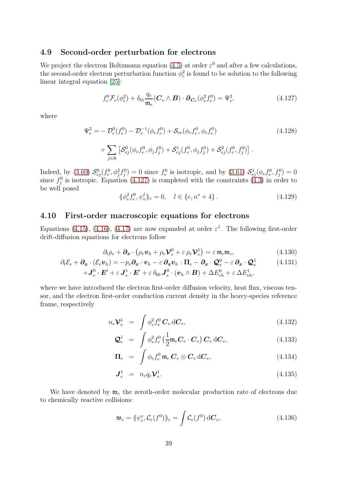#### 4.9 Second-order perturbation for electrons

We project the electron Boltzmann equation [\(4.5\)](#page-21-1) at order  $\varepsilon^0$  and after a few calculations, the second-order electron perturbation function  $\phi_e^2$  is found to be solution to the following linear integral equation [\[25\]](#page-63-4):

<span id="page-38-0"></span>
$$
f_e^0 \mathcal{F}_e(\phi_e^2) + \delta_{b1} \frac{q_e}{\mathfrak{m}_e} (\mathbf{C}_e \wedge \mathbf{B}) \cdot \partial_{\mathbf{C}_e} (\phi_e^2 f_e^0) = \Psi_e^2, \tag{4.127}
$$

where

$$
\Psi_e^2 = -\mathcal{D}_e^0(f_e^0) - \mathcal{D}_e^{-1}(\phi_e f_e^0) + \mathcal{S}_{ee}(\phi_e f_e^0, \phi_e f_e^0)
$$
\n
$$
+ \sum_{j \in \mathfrak{H}} \left[ \mathcal{S}_{ej}^0(\phi_e f_e^0, \phi_j f_j^0) + \mathcal{S}_{ej}^1(f_e^0, \phi_j f_j^0) + \mathcal{S}_{ej}^2(f_e^0, f_j^0) \right].
$$
\n(4.128)

Indeed, by [\(3.60\)](#page-19-2)  $S_{ej}^0(f_e^0, \phi_j^2 f_j^0) = 0$  since  $f_e^0$  is isotropic, and by [\(3.61\)](#page-20-0)  $S_{ej}^1(\phi_e f_e^0, f_j^0) = 0$ since  $f_j^0$  is isotropic. Equation [\(4.127\)](#page-38-0) is completed with the constraints [\(4.3\)](#page-21-3) in order to be well posed

<span id="page-38-2"></span><span id="page-38-1"></span>
$$
\langle \phi_e^2 f_e^0, \psi_e^l \rangle_e = 0, \quad l \in \{e, n^s + 4\}.
$$
\n(4.129)

## 4.10 First-order macroscopic equations for electrons

Equations [\(4.15\)](#page-22-0), [\(4.16\)](#page-22-2), [\(4.17\)](#page-22-4) are now expanded at order  $\varepsilon^1$ . The following first-order drift-diffusion equations for electrons follow

$$
\partial_t \rho_e + \partial_x \cdot (\rho_e \mathbf{v}_h + \rho_e \mathbf{V}_e^0 + \varepsilon \rho_e \mathbf{V}_e^1) = \varepsilon \mathfrak{m}_e \mathfrak{w}_e, \qquad (4.130)
$$

$$
\partial_t \mathcal{E}_e + \partial_x \cdot (\mathcal{E}_e \mathbf{v}_h) = -p_e \partial_x \cdot \mathbf{v}_h - \varepsilon \partial_x \mathbf{v}_h : \Pi_e - \partial_x \cdot \mathbf{Q}_e^0 - \varepsilon \partial_x \cdot \mathbf{Q}_e^1 \qquad (4.131)
$$
  
+ 
$$
\mathbf{J}_e^0 \cdot \mathbf{E}' + \varepsilon \mathbf{J}_e^1 \cdot \mathbf{E}' + \varepsilon \delta_{b0} \mathbf{J}_e^0 \cdot (\mathbf{v}_h \wedge \mathbf{B}) + \Delta E_{eh}^0 + \varepsilon \Delta E_{eh}^1,
$$

where we have introduced the electron first-order diffusion velocity, heat flux, viscous tensor, and the electron first-order conduction current density in the heavy-species reference frame, respectively

$$
n_e \mathbf{V}_e^1 = \int \phi_e^2 f_e^0 \mathbf{C}_e \, d\mathbf{C}_e, \qquad (4.132)
$$

$$
\mathcal{Q}_e^1 = \int \phi_e^2 f_e^0 \left( \frac{1}{2} \mathfrak{m}_e \mathbf{C}_e \cdot \mathbf{C}_e \right) \mathbf{C}_e \, d\mathbf{C}_e, \tag{4.133}
$$

$$
\Pi_e = \int \phi_e f_e^0 \mathfrak{m}_e C_e \otimes C_e dC_e, \qquad (4.134)
$$

$$
\mathbf{J}_e^1 = n_e q_e \mathbf{\mathcal{V}}_e^1. \tag{4.135}
$$

We have denoted by  $\mathfrak{w}_e$  the zeroth-order molecular production rate of electrons due to chemically reactive collisions:

$$
\mathfrak{w}_e = \langle \! \langle \psi_e^e, \mathcal{C}_e(f^0) \rangle \! \rangle_e = \int \mathcal{C}_e(f^0) \, \mathrm{d} \mathcal{C}_e,\tag{4.136}
$$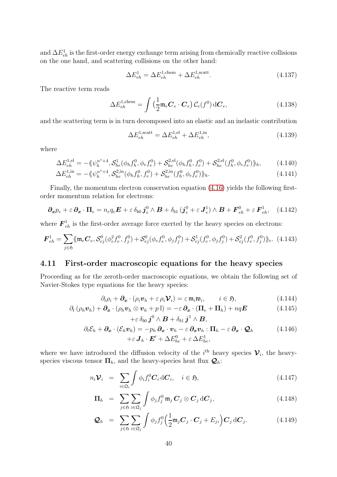and  $\Delta E_{eh}^1$  is the first-order energy exchange term arising from chemically reactive collisions on the one hand, and scattering collisions on the other hand:

$$
\Delta E_{eh}^1 = \Delta E_{eh}^{1,\text{chem}} + \Delta E_{eh}^{1,\text{scatt}}.\tag{4.137}
$$

The reactive term reads

$$
\Delta E_{eh}^{1,\text{chem}} = \int \left(\frac{1}{2} \mathfrak{m}_e \mathbf{C}_e \cdot \mathbf{C}_e\right) \mathcal{C}_e(f^0) \,\mathrm{d}\mathbf{C}_e,\tag{4.138}
$$

and the scattering term is in turn decomposed into an elastic and an inelastic contribution

$$
\Delta E_{eh}^{1,\text{scatt}} = \Delta E_{eh}^{1,\text{el}} + \Delta E_{eh}^{1,\text{in}},\tag{4.139}
$$

where

$$
\Delta E_{eh}^{1,el} = -\langle \psi_h^{n^s+4}, \mathcal{S}_{he}^1(\phi_h f_h^0, \phi_e f_e^0) + \mathcal{S}_{he}^{2,el}(\phi_h f_h^0, f_e^0) + \mathcal{S}_{he}^{2,el}(f_h^0, \phi_e f_e^0) \rangle_h, \tag{4.140}
$$

$$
\Delta E_{eh}^{1,\text{in}} = -\langle \langle \psi_h^{n^s+4}, \mathcal{S}_{he}^{2,\text{in}}(\phi_h f_h^0, f_e^0) + \mathcal{S}_{he}^{2,\text{in}}(f_h^0, \phi_e f_e^0) \rangle \rangle_h. \tag{4.141}
$$

Finally, the momentum electron conservation equation [\(4.16\)](#page-22-2) yields the following firstorder momentum relation for electrons:

<span id="page-39-3"></span>
$$
\partial_x p_e + \varepsilon \, \partial_x \cdot \Pi_e = n_e q_e \boldsymbol{E} + \varepsilon \, \delta_{b0} \, \boldsymbol{j}_e^0 \wedge \boldsymbol{B} + \delta_{b1} \, (\boldsymbol{j}_e^0 + \varepsilon \, \boldsymbol{J}_e^1) \wedge \boldsymbol{B} + \boldsymbol{F}_{eh}^0 + \varepsilon \, \boldsymbol{F}_{eh}^1, \quad (4.142)
$$

where  $\mathbf{F}_{eh}^1$  is the first-order average force exerted by the heavy species on electrons:

$$
\boldsymbol{F}_{eh}^1 = \sum_{j \in \mathfrak{H}} \langle \mathfrak{m}_e \boldsymbol{C}_e, \mathcal{S}_{ej}^0(\phi_e^2 f_e^0, f_j^0) + \mathcal{S}_{ej}^0(\phi_e f_e^0, \phi_j f_j^0) + \mathcal{S}_{ej}^1(f_e^0, \phi_j f_j^0) + \mathcal{S}_{ej}^2(f_e^0, f_j^0) \rangle_e. \tag{4.143}
$$

#### 4.11 First-order macroscopic equations for the heavy species

Proceeding as for the zeroth-order macroscopic equations, we obtain the following set of Navier-Stokes type equations for the heavy species:

<span id="page-39-2"></span><span id="page-39-1"></span><span id="page-39-0"></span>
$$
\partial_t \rho_i + \partial_x \cdot (\rho_i \mathbf{v}_h + \varepsilon \rho_i \mathbf{V}_i) = \varepsilon \, \mathfrak{m}_i \mathfrak{w}_i, \qquad i \in \mathfrak{H}, \tag{4.144}
$$

$$
\partial_t (\rho_h \boldsymbol{v}_h) + \partial_x \cdot (\rho_h \boldsymbol{v}_h \otimes \boldsymbol{v}_h + p \mathbb{I}) = -\varepsilon \partial_x \cdot (\Pi_e + \Pi_h) + nq \boldsymbol{E}
$$
\n
$$
+ \varepsilon \delta_{b0} \boldsymbol{j}^0 \wedge \boldsymbol{B} + \delta_{b1} \boldsymbol{j}^1 \wedge \boldsymbol{B}, \qquad (4.145)
$$

$$
\partial_t \mathcal{E}_h + \partial_x \cdot (\mathcal{E}_h \mathbf{v}_h) = -p_h \, \partial_x \cdot \mathbf{v}_h - \varepsilon \, \partial_x \mathbf{v}_h : \Pi_h - \varepsilon \, \partial_x \cdot \mathbf{Q}_h
$$
\n
$$
+ \varepsilon \, \mathbf{J}_h \cdot \mathbf{E}' + \Delta E_{he}^0 + \varepsilon \, \Delta E_{he}^1,
$$
\n(4.146)

where we have introduced the diffusion velocity of the  $i<sup>th</sup>$  heavy species  $\mathcal{V}_i$ , the heavyspecies viscous tensor  $\Pi_h$ , and the heavy-species heat flux  $\mathcal{Q}_h$ :

$$
n_i \mathcal{V}_i = \sum_{i \in \mathfrak{Q}_i} \int \phi_i f_i^0 \mathbf{C}_i \, d\mathbf{C}_i, \quad i \in \mathfrak{H}, \tag{4.147}
$$

$$
\Pi_h = \sum_{j \in \mathfrak{H}} \sum_{\mathbf{J} \in \mathfrak{Q}_j} \int \phi_j f_j^0 \, \mathfrak{m}_j \, \mathbf{C}_j \otimes \mathbf{C}_j \, \mathrm{d} \mathbf{C}_j, \tag{4.148}
$$

$$
\mathcal{Q}_h = \sum_{j \in \mathfrak{H}} \sum_{j \in \mathfrak{Q}_j} \int \phi_j f_j^0 \Big( \frac{1}{2} \mathfrak{m}_j \mathbf{C}_j \cdot \mathbf{C}_j + E_{jj} \Big) \mathbf{C}_j \,\mathrm{d} \mathbf{C}_j. \tag{4.149}
$$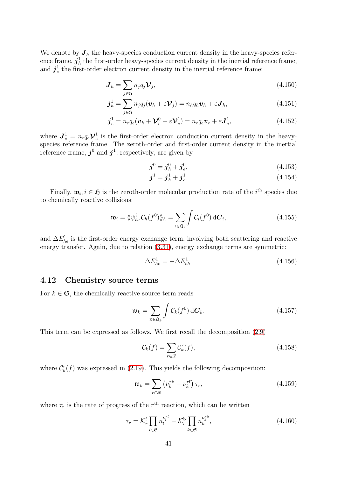We denote by  $J_h$  the heavy-species conduction current density in the heavy-species reference frame,  $\bm{j}_h^1$  $\frac{1}{h}$  the first-order heavy-species current density in the inertial reference frame, and  $\bm{j}^1_e$  $\frac{1}{e}$  the first-order electron current density in the inertial reference frame:

$$
\boldsymbol{J}_h = \sum_{j \in \mathfrak{H}} n_j q_j \boldsymbol{\mathcal{V}}_j,\tag{4.150}
$$

$$
\boldsymbol{j}_h^1 = \sum_{j \in \mathfrak{H}} n_j q_j (\boldsymbol{v}_h + \varepsilon \boldsymbol{\mathcal{V}}_j) = n_h q_h \boldsymbol{v}_h + \varepsilon \boldsymbol{J}_h, \qquad (4.151)
$$

$$
\boldsymbol{j}_e^1 = n_e q_e (\boldsymbol{v}_h + \boldsymbol{\mathcal{V}}_e^0 + \varepsilon \boldsymbol{\mathcal{V}}_e^1) = n_e q_e \boldsymbol{v}_e + \varepsilon \boldsymbol{J}_e^1, \tag{4.152}
$$

where  $J_e^1 = n_e q_e \mathcal{V}_e^1$  is the first-order electron conduction current density in the heavyspecies reference frame. The zeroth-order and first-order current density in the inertial reference frame,  $j^0$  and  $j^1$ , respectively, are given by

$$
\mathbf{j}^0 = \mathbf{j}_h^0 + \mathbf{j}_e^0,\tag{4.153}
$$

$$
\boldsymbol{j}^1 = \boldsymbol{j}_h^1 + \boldsymbol{j}_e^1. \tag{4.154}
$$

Finally,  $\mathfrak{w}_i, i \in \mathfrak{H}$  is the zeroth-order molecular production rate of the  $i^{\text{th}}$  species due to chemically reactive collisions:

$$
\mathfrak{w}_i = \langle \! \langle \psi_h^i, \mathcal{C}_h(f^0) \rangle \! \rangle_h = \sum_{i \in \mathfrak{Q}_i} \int \mathcal{C}_i(f^0) \, \mathrm{d} \mathcal{C}_i, \tag{4.155}
$$

and  $\Delta E_{he}^1$  is the first-order energy exchange term, involving both scattering and reactive energy transfer. Again, due to relation [\(3.31\)](#page-14-0), energy exchange terms are symmetric:

$$
\Delta E_{he}^1 = -\Delta E_{eh}^1.\tag{4.156}
$$

#### 4.12 Chemistry source terms

For  $k \in \mathfrak{S}$ , the chemically reactive source term reads

$$
\mathfrak{w}_k = \sum_{\kappa \in \mathfrak{Q}_k} \int \mathcal{C}_k(f^0) \,\mathrm{d} \mathbf{C}_k. \tag{4.157}
$$

This term can be expressed as follows. We first recall the decomposition [\(2.9\)](#page-4-2)

$$
\mathcal{C}_k(f) = \sum_{r \in \mathcal{R}} \mathcal{C}_k^r(f),\tag{4.158}
$$

where  $C_k^r(f)$  was expressed in [\(2.19\)](#page-6-0). This yields the following decomposition:

$$
\mathfrak{w}_k = \sum_{r \in \mathcal{R}} \left( \nu_k^{rb} - \nu_k^{rf} \right) \tau_r, \tag{4.159}
$$

where  $\tau_r$  is the rate of progress of the  $r<sup>th</sup>$  reaction, which can be written

$$
\tau_r = \mathcal{K}_r^{\text{f}} \prod_{l \in \mathfrak{S}} n_l^{\nu_l^{\text{rf}}} - \mathcal{K}_r^{\text{b}} \prod_{k \in \mathfrak{S}} n_k^{\nu_k^{\text{rb}}},\tag{4.160}
$$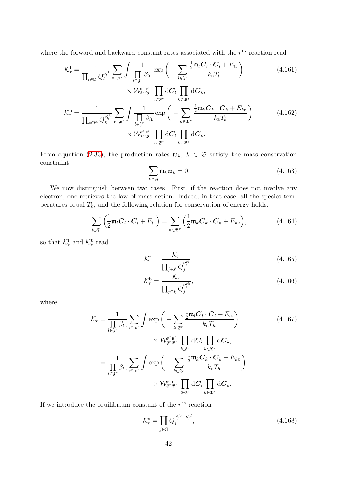where the forward and backward constant rates associated with the  $r<sup>th</sup>$  reaction read

$$
\mathcal{K}_{r}^{\mathsf{f}} = \frac{1}{\prod_{l \in \mathfrak{S}} Q_{l}^{\nu_{l}^{\mathsf{rf}}}} \sum_{\mathsf{F}^{r}, \mathsf{B}^{r}} \int \frac{1}{\prod_{l \in \mathfrak{F}^{r}} \beta_{l\mathsf{L}}} \exp\left(-\sum_{l \in \mathfrak{F}^{r}} \frac{\frac{1}{2} \mathfrak{m}_{l} C_{l} \cdot C_{l} + E_{l\mathsf{L}}}{k_{\mathsf{B}} T_{l}}\right) \times \mathcal{W}_{\mathfrak{F}^{r} \mathfrak{B}^{r}}^{\mathsf{F}^{r} \mathsf{B}^{r}} \prod_{l \in \mathfrak{F}^{r}} \mathrm{d} C_{l} \prod_{k \in \mathfrak{B}^{r}} \mathrm{d} C_{k},
$$
\n
$$
\mathcal{K}_{r}^{\mathsf{b}} = \frac{1}{\prod_{k \in \mathfrak{S}} Q_{k}^{\nu_{k}^{\mathsf{r}}}} \sum_{\mathsf{F}^{r}, \mathsf{B}^{r}} \int \frac{1}{\prod_{l \in \mathfrak{F}^{r}} \beta_{l\mathsf{L}}} \exp\left(-\sum_{k \in \mathfrak{B}^{r}} \frac{\frac{1}{2} \mathfrak{m}_{k} C_{k} \cdot C_{k} + E_{k\mathsf{K}}}{k_{\mathsf{B}} T_{k}}\right) \times \mathcal{W}_{\mathfrak{F}^{r} \mathfrak{B}^{r}}^{\mathsf{F}^{r} \mathsf{B}^{r}} \prod_{l \in \mathfrak{F}^{r}} \mathrm{d} C_{l} \prod_{k \in \mathfrak{B}^{r}} \mathrm{d} C_{k}.
$$
\n(4.162)

From equation [\(2.33\)](#page-7-2), the production rates  $\mathfrak{w}_k$ ,  $k \in \mathfrak{S}$  satisfy the mass conservation constraint

$$
\sum_{k \in \mathfrak{S}} \mathfrak{m}_k \mathfrak{w}_k = 0. \tag{4.163}
$$

We now distinguish between two cases. First, if the reaction does not involve any electron, one retrieves the law of mass action. Indeed, in that case, all the species temperatures equal  $T_h$ , and the following relation for conservation of energy holds:

$$
\sum_{l \in \mathfrak{F}^r} \left( \frac{1}{2} \mathfrak{m}_l \mathbf{C}_l \cdot \mathbf{C}_l + E_{l\mathbf{L}} \right) = \sum_{k \in \mathfrak{B}^r} \left( \frac{1}{2} \mathfrak{m}_k \mathbf{C}_k \cdot \mathbf{C}_k + E_{k\mathbf{K}} \right), \tag{4.164}
$$

so that  $\mathcal{K}_r^{\text{f}}$  and  $\mathcal{K}_r^{\text{b}}$  read

$$
\mathcal{K}_r^{\rm f} = \frac{\mathcal{K}_r}{\prod_{j \in \mathfrak{H}} Q_j^{\nu_j^{\rm rf}}} \tag{4.165}
$$

$$
\mathcal{K}_r^{\text{b}} = \frac{\mathcal{K}_r}{\prod_{j \in \mathfrak{H}} Q_j^{\nu_j^{\text{rb}}}},\tag{4.166}
$$

where

$$
\mathcal{K}_{r} = \frac{1}{\prod_{l \in \mathfrak{F}^{r}} \beta_{l_{L}}} \sum_{\substack{\mathbf{F}^{r}, \mathbf{B}^{r} \\ \mathbf{F}^{r}, \mathbf{B}^{r}}} \int \exp\left(-\sum_{l \in \mathfrak{F}^{r}} \frac{\frac{1}{2} \mathfrak{m}_{l} \mathbf{C}_{l} \cdot \mathbf{C}_{l} + E_{l_{L}}}{k_{B} T_{h}}\right) \times \mathcal{W}_{\mathfrak{F}^{r} \mathfrak{B}^{r}}^{\mathbf{F}^{r}} \prod_{l \in \mathfrak{F}^{r}} \mathrm{d} \mathbf{C}_{l} \prod_{k \in \mathfrak{B}^{r}} \mathrm{d} \mathbf{C}_{k},
$$
\n
$$
= \frac{1}{\prod_{l \in \mathfrak{F}^{r}} \beta_{l_{L}}} \sum_{\substack{\mathbf{F}^{r}, \mathbf{B}^{r} \\ \mathbf{F}^{r}, \mathbf{B}^{r}}} \int \exp\left(-\sum_{k \in \mathfrak{B}^{r}} \frac{\frac{1}{2} \mathfrak{m}_{k} \mathbf{C}_{k} \cdot \mathbf{C}_{k} + E_{k_{K}}}{k_{B} T_{h}}\right) \times \mathcal{W}_{\mathfrak{F}^{r} \mathfrak{B}^{r}}^{\mathbf{F}^{r}} \prod_{l \in \mathfrak{F}^{r}} \mathrm{d} \mathbf{C}_{l} \prod_{k \in \mathfrak{B}^{r}} \mathrm{d} \mathbf{C}_{k}.
$$
\n(4.167)

If we introduce the equilibrium constant of the  $r<sup>th</sup>$  reaction

$$
\mathcal{K}_r^{\mathbf{e}} = \prod_{j \in \mathfrak{H}} Q_j^{\nu_j^{\mathbf{r}\mathbf{b}} - \nu_j^{\mathbf{r}\mathbf{f}}},\tag{4.168}
$$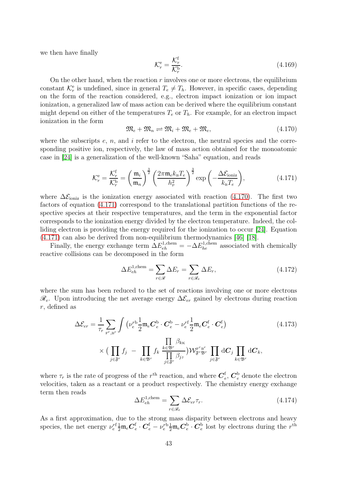we then have finally

$$
\mathcal{K}_r^{\text{e}} = \frac{\mathcal{K}_r^{\text{f}}}{\mathcal{K}_r^{\text{b}}}.\tag{4.169}
$$

On the other hand, when the reaction  $r$  involves one or more electrons, the equilibrium constant  $\mathcal{K}_r^e$  is undefined, since in general  $T_e \neq T_h$ . However, in specific cases, depending on the form of the reaction considered, e.g., electron impact ionization or ion impact ionization, a generalized law of mass action can be derived where the equilibrium constant might depend on either of the temperatures  $T_e$  or  $T_h$ . For example, for an electron impact ionization in the form

<span id="page-42-0"></span>
$$
\mathfrak{M}_e + \mathfrak{M}_n \rightleftharpoons \mathfrak{M}_i + \mathfrak{M}_e + \mathfrak{M}_e,\tag{4.170}
$$

where the subscripts  $e, n$ , and i refer to the electron, the neutral species and the corresponding positive ion, respectively, the law of mass action obtained for the monoatomic case in [\[24\]](#page-63-13) is a generalization of the well-known "Saha" equation, and reads

<span id="page-42-1"></span>
$$
\mathcal{K}_r^{\rm e} = \frac{\mathcal{K}_r^{\rm f}}{\mathcal{K}_r^{\rm b}} = \left(\frac{\mathfrak{m}_i}{\mathfrak{m}_n}\right)^{\frac{3}{2}} \left(\frac{2\pi \mathfrak{m}_e k_{\rm B} T_e}{h_{\rm p}^2}\right)^{\frac{3}{2}} \exp\left(-\frac{\Delta \mathcal{E}_{\rm ionic}}{k_{\rm B} T_e}\right),\tag{4.171}
$$

where  $\Delta \mathcal{E}_{\text{ioniz}}$  is the ionization energy associated with reaction [\(4.170\)](#page-42-0). The first two factors of equation [\(4.171\)](#page-42-1) correspond to the translational partition functions of the respective species at their respective temperatures, and the term in the exponential factor corresponds to the ionization energy divided by the electron temperature. Indeed, the colliding electron is providing the energy required for the ionization to occur [\[24\]](#page-63-13). Equation [\(4.171\)](#page-42-1) can also be derived from non-equilibrium thermodynamics [\[46\]](#page-64-13) [\[18\]](#page-63-14).

Finally, the energy exchange term  $\Delta E_{eh}^{1, \text{chem}} = -\Delta E_{he}^{1, \text{chem}}$  associated with chemically reactive collisions can be decomposed in the form

$$
\Delta E_{eh}^{1,\text{chem}} = \sum_{r \in \mathcal{R}} \Delta E_r = \sum_{r \in \mathcal{R}_e} \Delta E_r,\tag{4.172}
$$

where the sum has been reduced to the set of reactions involving one or more electrons  $\mathcal{R}_e$ . Upon introducing the net average energy  $\Delta \mathcal{E}_{er}$  gained by electrons during reaction r, defined as

$$
\Delta \mathcal{E}_{er} = \frac{1}{\tau_r} \sum_{\mathbf{F}^r, \mathbf{B}^r} \int \left( \nu_e^{r\mathbf{b}} \frac{1}{2} \mathfrak{m}_e \mathbf{C}_e^{\mathbf{b}} \cdot \mathbf{C}_e^{\mathbf{b}} - \nu_e^{r\mathbf{f}} \frac{1}{2} \mathfrak{m}_e \mathbf{C}_e^{\mathbf{f}} \cdot \mathbf{C}_e^{\mathbf{f}} \right) \tag{4.173}
$$
\n
$$
\times \Big( \prod_{j \in \mathfrak{F}^r} f_j \ - \ \prod_{k \in \mathfrak{B}^r} f_k \ \frac{\prod_{\epsilon \in \mathfrak{B}^r} \beta_{k\kappa}}{\prod_{j \in \mathfrak{F}^r} \beta_{j\jmath}} \Big) \mathcal{W}_{\mathfrak{F}^r \mathfrak{B}^r}^{\mathbf{F}^r} \ \prod_{j \in \mathfrak{F}^r} \mathrm{d} \mathbf{C}_j \ \prod_{k \in \mathfrak{B}^r} \mathrm{d} \mathbf{C}_k,
$$

where  $\tau_r$  is the rate of progress of the  $r<sup>th</sup>$  reaction, and where  $\mathbf{C}_{\epsilon}^{\mathsf{f}}$  $_{e}^{\text{f}}$ ,  $\boldsymbol{C}_{e}^{\text{b}}$  denote the electron velocities, taken as a reactant or a product respectively. The chemistry energy exchange term then reads

$$
\Delta E_{eh}^{1,\text{chem}} = \sum_{r \in \mathcal{R}_e} \Delta \mathcal{E}_{er} \tau_r. \tag{4.174}
$$

As a first approximation, due to the strong mass disparity between electrons and heavy species, the net energy  $\nu_e^{rf} \frac{1}{2} \mathfrak{m}_e \mathbf{C}_e^{\mathfrak{f}}$  $e^{\rm f}_{e}\cdot\bm C_{e}^{\rm f}-\nu_e^{r{\rm b}}\frac{1}{2}\mathfrak{m}_e\bm C_{e}^{\rm b}$  $_e^{\rm b} \cdot \bm{C}_e^{\rm b}$  $e^b$  lost by electrons during the  $r<sup>th</sup>$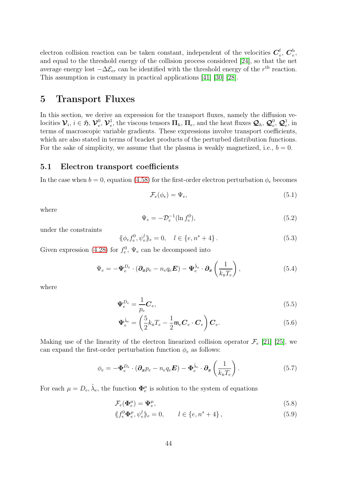electron collision reaction can be taken constant, independent of the velocities  $C_{\epsilon}^{\text{f}}$  $_e^{\rm f},\,\bm{C}_e^{\rm b}$  $_{e}^{\mathrm{,}}$ and equal to the threshold energy of the collision process considered [\[24\]](#page-63-13), so that the net average energy lost  $-\Delta \mathcal{E}_{er}$  can be identified with the threshold energy of the r<sup>th</sup> reaction. This assumption is customary in practical applications [\[41\]](#page-64-14) [\[30\]](#page-63-15) [\[28\]](#page-63-16).

# <span id="page-43-0"></span>5 Transport Fluxes

In this section, we derive an expression for the transport fluxes, namely the diffusion velocities  $\mathcal{V}_i$ ,  $i \in \mathfrak{H}, \mathcal{V}_e^0$ ,  $\mathcal{V}_e^1$ , the viscous tensors  $\mathbf{\Pi}_h$ ,  $\mathbf{\Pi}_e$ , and the heat fluxes  $\mathcal{Q}_h$ ,  $\mathcal{Q}_e^0$ ,  $\mathcal{Q}_e^1$ , in terms of macroscopic variable gradients. These expressions involve transport coefficients, which are also stated in terms of bracket products of the perturbed distribution functions. For the sake of simplicity, we assume that the plasma is weakly magnetized, i.e.,  $b = 0$ .

#### 5.1 Electron transport coefficients

In the case when  $b = 0$ , equation [\(4.58\)](#page-29-0) for the first-order electron perturbation  $\phi_e$  becomes

$$
\mathcal{F}_e(\phi_e) = \Psi_e,\tag{5.1}
$$

where

$$
\Psi_e = -\mathcal{D}_e^{-1} (\ln f_e^0),\tag{5.2}
$$

under the constraints

$$
\langle \phi_e f_e^0, \psi_e^l \rangle_e = 0, \quad l \in \{e, n^s + 4\}.
$$
\n(5.3)

Given expression [\(4.28\)](#page-24-2) for  $f_e^0$ ,  $\Psi_e$  can be decomposed into

$$
\Psi_e = -\Psi_e^{D_e} \cdot (\partial_x p_e - n_e q_e \boldsymbol{E}) - \Psi_e^{\hat{\lambda}_e} \cdot \partial_x \left(\frac{1}{k_B T_e}\right), \qquad (5.4)
$$

where

$$
\Psi_e^{D_e} = \frac{1}{p_e} \mathbf{C}_e,\tag{5.5}
$$

$$
\Psi_e^{\hat{\lambda}_e} = \left(\frac{5}{2}k_{\rm B}T_e - \frac{1}{2}\mathfrak{m}_e \mathbf{C}_e \cdot \mathbf{C}_e\right) \mathbf{C}_e.
$$
\n(5.6)

Making use of the linearity of the electron linearized collision operator  $\mathcal{F}_e$  [\[21\]](#page-63-2) [\[25\]](#page-63-4), we can expand the first-order perturbation function  $\phi_e$  as follows:

$$
\phi_e = -\Phi_e^{D_e} \cdot (\partial_x p_e - n_e q_e \mathbf{E}) - \Phi_e^{\hat{\lambda}_e} \cdot \partial_x \left(\frac{1}{k_{\rm B}T_e}\right). \tag{5.7}
$$

For each  $\mu = D_e, \hat{\lambda}_e$ , the function  $\mathbf{\Phi}_e^{\mu}$  is solution to the system of equations

$$
\mathcal{F}_e(\Phi_e^{\mu}) = \Psi_e^{\mu},\tag{5.8}
$$

$$
\langle f_e^0 \Phi_e^{\mu}, \psi_e^l \rangle_e = 0, \qquad l \in \{e, n^s + 4\}, \tag{5.9}
$$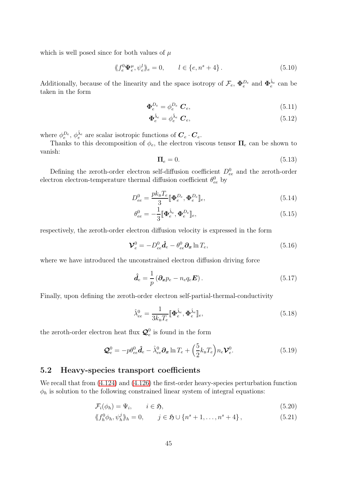which is well posed since for both values of  $\mu$ 

$$
\langle f_e^0 \Psi_e^{\mu}, \psi_e^l \rangle_e = 0, \qquad l \in \{e, n^s + 4\}.
$$
 (5.10)

Additionally, because of the linearity and the space isotropy of  $\mathcal{F}_e$ ,  $\Phi_e^{D_e}$  and  $\Phi_e^{\hat{\lambda}_e}$  can be taken in the form

$$
\Phi_e^{D_e} = \phi_e^{D_e} \mathbf{C}_e,\tag{5.11}
$$

$$
\Phi_e^{\hat{\lambda}_e} = \phi_e^{\hat{\lambda}_e} \mathbf{C}_e,\tag{5.12}
$$

where  $\phi_e^{D_e}$ ,  $\phi_e^{\hat{\lambda}_e}$  are scalar isotropic functions of  $\mathbf{C}_e \cdot \mathbf{C}_e$ .

Thanks to this decomposition of  $\phi_e$ , the electron viscous tensor  $\Pi_e$  can be shown to vanish:

$$
\Pi_e = 0.\tag{5.13}
$$

Defining the zeroth-order electron self-diffusion coefficient  $D_{ee}^0$  and the zeroth-order electron electron-temperature thermal diffusion coefficient  $\theta_{ee}^0$  by

$$
D_{ee}^0 = \frac{pk_{\mathrm{B}}T_e}{3} [\mathbf{\Phi}_e^{D_e}, \mathbf{\Phi}_e^{D_e}]_e, \tag{5.14}
$$

$$
\theta_{ee}^0 = -\frac{1}{3} [\mathbf{\Phi}_e^{\hat{\lambda}_e}, \mathbf{\Phi}_e^{D_e}]_e, \tag{5.15}
$$

respectively, the zeroth-order electron diffusion velocity is expressed in the form

<span id="page-44-0"></span>
$$
\mathbf{\mathcal{V}}_e^0 = -D_{ee}^0 \hat{\mathbf{d}}_e - \theta_{ee}^0 \partial_x \ln T_e, \tag{5.16}
$$

where we have introduced the unconstrained electron diffusion driving force

$$
\hat{\boldsymbol{d}}_e = \frac{1}{p} \left( \boldsymbol{\partial_x p}_e - n_e q_e \boldsymbol{E} \right). \tag{5.17}
$$

Finally, upon defining the zeroth-order electron self-partial-thermal-conductivity

$$
\hat{\lambda}_{ee}^0 = \frac{1}{3k_{\rm B}T_e} [\![\boldsymbol{\Phi}_e^{\hat{\lambda}_e}, \boldsymbol{\Phi}_e^{\hat{\lambda}_e}]\!]_e,\tag{5.18}
$$

the zeroth-order electron heat flux  $\mathcal{Q}_e^0$  is found in the form

<span id="page-44-1"></span>
$$
\mathbf{Q}_e^0 = -p\theta_{ee}^0 \hat{\mathbf{d}}_e - \hat{\lambda}_{ee}^0 \partial_x \ln T_e + \left(\frac{5}{2} k_{\rm B} T_e\right) n_e \mathbf{\mathcal{V}}_e^0. \tag{5.19}
$$

## 5.2 Heavy-species transport coefficients

We recall that from  $(4.124)$  and  $(4.126)$  the first-order heavy-species perturbation function  $\phi_h$  is solution to the following constrained linear system of integral equations:

$$
\mathcal{F}_i(\phi_h) = \Psi_i, \qquad i \in \mathfrak{H}, \tag{5.20}
$$

$$
\langle f_h^0 \phi_h, \psi_h^j \rangle_h = 0, \qquad j \in \mathfrak{H} \cup \{n^s + 1, \dots, n^s + 4\},\tag{5.21}
$$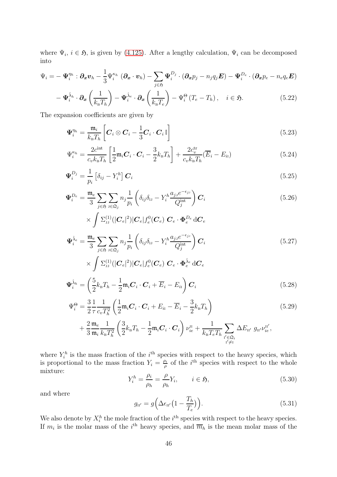where  $\Psi_i$ ,  $i \in \mathfrak{H}$ , is given by [\(4.125\)](#page-37-3). After a lengthy calculation,  $\Psi_i$  can be decomposed into

$$
\Psi_i = -\,\Psi_i^{\eta_h}:\boldsymbol{\partial_x v}_h - \frac{1}{3} \Psi_i^{\kappa_h}\, \left(\boldsymbol{\partial_x \cdot v}_h\right) - \sum_{j\in\mathfrak{H}} \Psi_i^{D_j}\cdot \left(\boldsymbol{\partial_x p}_j - n_j q_j \boldsymbol{E}\right) - \Psi_i^{D_e}\cdot \left(\boldsymbol{\partial_x p}_e - n_e q_e \boldsymbol{E}\right)
$$

$$
-\Psi_i^{\hat{\lambda}_h} \cdot \partial_x \left(\frac{1}{k_B T_h}\right) - \Psi_i^{\hat{\lambda}_e} \cdot \partial_x \left(\frac{1}{k_B T_e}\right) - \Psi_i^{\Theta} \left(T_e - T_h\right), \quad i \in \mathfrak{H}.
$$
 (5.22)

The expansion coefficients are given by

<span id="page-45-0"></span>
$$
\Psi_i^{\eta_h} = \frac{\mathfrak{m}_i}{k_{\rm B}T_h} \left[ \boldsymbol{C}_i \otimes \boldsymbol{C}_i - \frac{1}{3} \boldsymbol{C}_i \cdot \boldsymbol{C}_i \mathbb{I} \right]
$$
\n(5.23)

<span id="page-45-4"></span><span id="page-45-3"></span>
$$
\Psi_i^{\kappa_h} = \frac{2c^{\text{int}}}{c_v k_{\text{B}} T_h} \left[ \frac{1}{2} \mathfrak{m}_i \mathbf{C}_i \cdot \mathbf{C}_i - \frac{3}{2} k_{\text{B}} T_h \right] + \frac{2c_v^{\text{tr}}}{c_v k_{\text{B}} T_h} (\overline{E}_i - E_{i1}) \tag{5.24}
$$

$$
\Psi_i^{D_j} = \frac{1}{p_i} \left[ \delta_{ij} - Y_i^h \right] \mathbf{C}_i \tag{5.25}
$$

<span id="page-45-2"></span>
$$
\Psi_i^{D_e} = \frac{\mathfrak{m}_e}{3} \sum_{j \in \mathfrak{H}} \sum_{j \in \mathfrak{Q}_j} n_j \frac{1}{p_i} \left( \delta_{ij} \delta_{ij} - Y_i^h \frac{a_{jj} e^{-\epsilon_{jj}}}{Q_j^{\text{int}}} \right) \mathbf{C}_i
$$
\n
$$
\times \int \Sigma_{\mathbf{J}}^{(1)} (|\mathbf{C}_e|^2) |\mathbf{C}_e| f_e^0(\mathbf{C}_e) \mathbf{C}_e \cdot \Phi_e^{D_e} d\mathbf{C}_e
$$
\n(5.26)

$$
\Psi_i^{\hat{\lambda}_e} = \frac{\mathfrak{m}_e}{3} \sum_{j \in \mathfrak{H}} \sum_{\mathfrak{J} \in \mathfrak{Q}_j} n_j \frac{1}{p_i} \left( \delta_{ij} \delta_{\mathfrak{U}} - Y_i^h \frac{a_{j\mathfrak{J}} e^{-\epsilon_{j\mathfrak{I}}}}{Q_j^{\text{int}}} \right) \mathbf{C}_i
$$
\n
$$
\int_{\mathcal{L}} (1) \langle \mathfrak{J} \rangle \mathfrak{J} \rangle \mathfrak{J} \rangle \mathfrak{J} \rangle \mathfrak{J} \rangle \mathfrak{J} \mathfrak{J} \mathfrak{J} \mathfrak{J} \mathfrak{J} \mathfrak{J} \mathfrak{J} \mathfrak{J} \mathfrak{J} \mathfrak{J} \mathfrak{J} \mathfrak{J} \mathfrak{J} \mathfrak{J} \mathfrak{J} \mathfrak{J} \mathfrak{J} \mathfrak{J} \mathfrak{J} \mathfrak{J} \mathfrak{J} \mathfrak{J} \mathfrak{J} \mathfrak{J} \mathfrak{J} \mathfrak{J} \mathfrak{J} \mathfrak{J} \mathfrak{J} \mathfrak{J} \mathfrak{J} \mathfrak{J} \mathfrak{J} \mathfrak{J} \mathfrak{J} \mathfrak{J} \mathfrak{J} \mathfrak{J} \mathfrak{J} \mathfrak{J} \mathfrak{J} \mathfrak{J} \mathfrak{J} \mathfrak{J} \mathfrak{J} \mathfrak{J} \mathfrak{J} \mathfrak{J} \mathfrak{J} \mathfrak{J} \mathfrak{J} \mathfrak{J} \mathfrak{J} \mathfrak{J} \mathfrak{J} \mathfrak{J} \mathfrak{J} \mathfrak{J} \mathfrak{J} \mathfrak{J} \mathfrak{J} \mathfrak{J} \mathfrak{J} \mathfrak{J} \mathfrak{J} \mathfrak{J} \mathfrak{J} \mathfrak{J} \mathfrak{J} \mathfrak{J} \mathfrak{J} \mathfrak{J} \mathfrak{J} \mathfrak{J} \mathfrak{J} \mathfrak{J} \mathfrak{J} \mathfrak{J} \mathfrak{J} \
$$

$$
\times \int \Sigma_{\rm JJ}^{(1)}(|\mathbf{C}_e|^2)|\mathbf{C}_e|f_e^0(\mathbf{C}_e) \ \mathbf{C}_e \cdot \Phi_e^{\hat{\lambda}_e} d\mathbf{C}_e
$$
  

$$
\Psi_i^{\hat{\lambda}_h} = \left(\frac{5}{2}k_{\rm B}T_h - \frac{1}{2}\mathfrak{m}_i\mathbf{C}_i \cdot \mathbf{C}_i + \overline{E}_i - E_{ii}\right)\mathbf{C}_i
$$
(5.28)

$$
\Psi_i^{\Theta} = \frac{3}{2} \frac{1}{\tau} \frac{1}{c_v T_h^2} \left( \frac{1}{2} \mathfrak{m}_i \mathbf{C}_i \cdot \mathbf{C}_i + E_{i} - \overline{E}_i - \frac{3}{2} k_{\text{B}} T_h \right)
$$
(5.29)

$$
+\left.\frac{2}{3}\frac{\mathfrak{m}_e}{\mathfrak{m}_i}\frac{1}{k_{\rm B}T_h^2}\left(\frac{3}{2}k_{\rm B}T_h-\frac{1}{2}\mathfrak{m}_i\boldsymbol{C}_i\cdot\boldsymbol{C}_i\right)\nu_{ie}^{\rm II}+\frac{1}{k_{\rm B}T_eT_h}\sum_{\genfrac{}{}{0pt}{}{i'\in\mathfrak{Q}_i}{i'\neq 1}}\Delta E_{\rm II'}\;g_{\rm II'}\nu_{ie}^{\rm II'},
$$

where  $Y_i^h$  is the mass fraction of the  $i^{\text{th}}$  species with respect to the heavy species, which is proportional to the mass fraction  $Y_i = \frac{\rho_i}{\rho_i}$  $\frac{\partial i}{\partial \rho}$  of the *i*<sup>th</sup> species with respect to the whole mixture:

<span id="page-45-5"></span><span id="page-45-1"></span>
$$
Y_i^h = \frac{\rho_i}{\rho_h} = \frac{\rho}{\rho_h} Y_i, \qquad i \in \mathfrak{H}, \tag{5.30}
$$

and where

$$
g_{\mathbf{u}'} = g\left(\Delta\epsilon_{\mathbf{u}'}\left(1 - \frac{T_h}{T_e}\right)\right). \tag{5.31}
$$

We also denote by  $X_i^h$  the mole fraction of the  $i^{\text{th}}$  species with respect to the heavy species. If  $m_i$  is the molar mass of the i<sup>th</sup> heavy species, and  $\overline{m}_h$  is the mean molar mass of the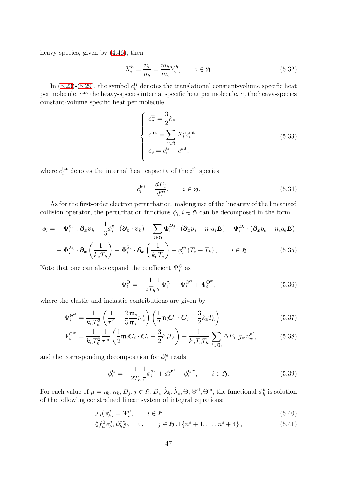heavy species, given by [\(4.46\)](#page-27-0), then

$$
X_i^h = \frac{n_i}{n_h} = \frac{\overline{m}_h}{m_i} Y_i^h, \qquad i \in \mathfrak{H}.
$$
\n(5.32)

In [\(5.23\)](#page-45-0)-[\(5.29\)](#page-45-1), the symbol  $c_v^{\text{tr}}$  denotes the translational constant-volume specific heat per molecule,  $c^{\text{int}}$  the heavy-species internal specific heat per molecule,  $c_v$  the heavy-species constant-volume specific heat per molecule

$$
\begin{cases}\nc_v^{\text{tr}} = \frac{3}{2} k_{\text{B}} \\
c^{\text{int}} = \sum_{i \in \mathfrak{H}} X_i^h c_i^{\text{int}} \\
c_v = c_v^{\text{tr}} + c^{\text{int}},\n\end{cases} \tag{5.33}
$$

where  $c_i^{\text{int}}$  denotes the internal heat capacity of the  $i^{\text{th}}$  species

$$
c_i^{\text{int}} = \frac{d\overline{E}_i}{dT}, \qquad i \in \mathfrak{H}.
$$
 (5.34)

As for the first-order electron perturbation, making use of the linearity of the linearized collision operator, the perturbation functions  $\phi_i, i \in \mathfrak{H}$  can be decomposed in the form

$$
\phi_i = -\boldsymbol{\Phi}_i^{\eta_h} : \boldsymbol{\partial_x v}_h - \frac{1}{3} \phi_i^{\kappa_h} (\boldsymbol{\partial_x \cdot v}_h) - \sum_{j \in \mathfrak{H}} \boldsymbol{\Phi}_i^{D_j} \cdot (\boldsymbol{\partial_x p}_j - n_j q_j \boldsymbol{E}) - \boldsymbol{\Phi}_i^{D_e} \cdot (\boldsymbol{\partial_x p}_e - n_e q_e \boldsymbol{E})
$$

$$
-\boldsymbol{\Phi}_{i}^{\hat{\lambda}_{h}}\cdot\boldsymbol{\partial}_{x}\left(\frac{1}{k_{\mathrm{B}}T_{h}}\right)-\boldsymbol{\Phi}_{i}^{\hat{\lambda}_{e}}\cdot\boldsymbol{\partial}_{x}\left(\frac{1}{k_{\mathrm{B}}T_{e}}\right)-\phi_{i}^{\Theta}\left(T_{e}-T_{h}\right), \qquad i\in\mathfrak{H}.\tag{5.35}
$$

Note that one can also expand the coefficient  $\Psi_i^{\Theta}$  as

$$
\Psi_i^{\Theta} = -\frac{1}{2T_h} \frac{1}{\tau} \Psi_i^{\kappa_h} + \Psi_i^{\Theta^{el}} + \Psi_i^{\Theta^{in}},\tag{5.36}
$$

where the elastic and inelastic contributions are given by

$$
\Psi_i^{\Theta^{el}} = \frac{1}{k_{\mathrm{B}}T_h^2} \left(\frac{1}{\tau^{\mathrm{el}}} - \frac{2}{3} \frac{\mathfrak{m}_e}{\mathfrak{m}_i} \nu_{ie}^{\mathrm{II}}\right) \left(\frac{1}{2} \mathfrak{m}_i \mathbf{C}_i \cdot \mathbf{C}_i - \frac{3}{2} k_{\mathrm{B}} T_h\right)
$$
(5.37)

$$
\Psi_i^{\Theta^{in}} = \frac{1}{k_{\rm B} T_h^2} \frac{1}{\tau^{\rm in}} \left( \frac{1}{2} \mathfrak{m}_i \mathbf{C}_i \cdot \mathbf{C}_i - \frac{3}{2} k_{\rm B} T_h \right) + \frac{1}{k_{\rm B} T_e T_h} \sum_{\mathbf{1}' \in \mathfrak{Q}_i} \Delta E_{\mathbf{1}'} g_{\mathbf{1}'} \nu_{ie}^{\mathbf{1}'} ,\tag{5.38}
$$

and the corresponding decomposition for  $\phi_i^{\Theta}$  reads

<span id="page-46-0"></span>
$$
\phi_i^{\Theta} = -\frac{1}{2T_h} \frac{1}{\tau} \phi_i^{\kappa_h} + \phi_i^{\Theta^{el}} + \phi_i^{\Theta^{in}}, \qquad i \in \mathfrak{H}.
$$
\n(5.39)

For each value of  $\mu = \eta_h, \kappa_h, D_j, j \in \mathfrak{H}, D_e, \hat{\lambda}_h, \hat{\lambda}_e, \Theta, \Theta^{\text{el}}, \Theta^{\text{in}},$  the functional  $\phi_h^{\mu}$  $\frac{\mu}{h}$  is solution of the following constrained linear system of integral equations:

$$
\mathcal{F}_i(\phi_h^{\mu}) = \Psi_i^{\mu}, \qquad i \in \mathfrak{H} \tag{5.40}
$$

$$
\langle f_h^0 \phi_h^{\mu}, \psi_h^j \rangle_h = 0, \qquad j \in \mathfrak{H} \cup \{n^s + 1, \dots, n^s + 4\}, \tag{5.41}
$$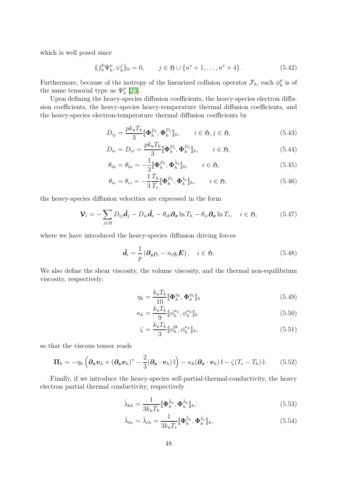which is well posed since

$$
\langle f_h^0 \Psi_h^\mu, \psi_h^j \rangle_h = 0, \qquad j \in \mathfrak{H} \cup \{n^s + 1, \dots, n^s + 4\}.
$$
 (5.42)

Furthermore, because of the isotropy of the linearized collision operator  $\mathcal{F}_h$ , each  $\phi_h^{\mu}$  $_h^{\mu}$  is of the same tensorial type as  $\Psi_h^{\mu}$  $_{h}^{\mu}$  [\[23\]](#page-63-11).

Upon defining the heavy-species diffusion coefficients, the heavy-species electron diffusion coefficients, the heavy-species heavy-temperature thermal diffusion coefficients, and the heavy-species electron-temperature thermal diffusion coefficients by

<span id="page-47-1"></span>
$$
D_{ij} = \frac{pk_{\mathrm{B}}T_h}{3} [\![\boldsymbol{\Phi}_h^{D_i}, \boldsymbol{\Phi}_h^{D_j}]\!]_h, \qquad i \in \mathfrak{H}, j \in \mathfrak{H}, \tag{5.43}
$$

$$
D_{ie} = D_{ei} = \frac{pk_{\rm B}T_h}{3} [\![\boldsymbol{\Phi}_h^{D_i}, \boldsymbol{\Phi}_h^{D_e}]\!]_h, \qquad i \in \mathfrak{H}, \tag{5.44}
$$

<span id="page-47-6"></span>
$$
\theta_{ih} = \theta_{hi} = -\frac{1}{3} [\mathbf{\Phi}_h^{D_i}, \mathbf{\Phi}_h^{\hat{\lambda}_h}]_h, \qquad i \in \mathfrak{H}, \tag{5.45}
$$

<span id="page-47-2"></span>
$$
\theta_{ie} = \theta_{ei} = -\frac{1}{3} \frac{T_h}{T_e} [\mathbf{\Phi}_h^{D_i}, \mathbf{\Phi}_h^{\hat{\lambda}_e} ]_h, \qquad i \in \mathfrak{H}, \tag{5.46}
$$

the heavy-species diffusion velocities are expressed in the form

<span id="page-47-0"></span>
$$
\mathbf{\mathcal{V}}_{i} = -\sum_{j \in \mathfrak{H}} D_{ij} \hat{\mathbf{d}}_{j} - D_{ie} \hat{\mathbf{d}}_{e} - \theta_{ih} \partial_{x} \ln T_{h} - \theta_{ie} \partial_{x} \ln T_{e}, \quad i \in \mathfrak{H}, \tag{5.47}
$$

where we have introduced the heavy-species diffusion driving forces

$$
\hat{\boldsymbol{d}}_i = \frac{1}{p} \left( \boldsymbol{\partial_x} p_i - n_i q_i \boldsymbol{E} \right), \quad i \in \mathfrak{H}.
$$
\n(5.48)

We also define the shear viscosity, the volume viscosity, and the thermal non-equilibrium viscosity, respectively:

<span id="page-47-3"></span>
$$
\eta_h = \frac{k_\text{B} T_h}{10} [\mathbf{\Phi}_h^{\eta_h}, \mathbf{\Phi}_h^{\eta_h}]_h \tag{5.49}
$$

$$
\kappa_h = \frac{k_\text{B} T_h}{9} [\![\phi_h^{\kappa_h}, \phi_h^{\kappa_h}]\!]_h \tag{5.50}
$$

<span id="page-47-4"></span>
$$
\zeta = \frac{k_{\mathrm{B}}T_h}{3} [\![\phi_h^{\Theta}, \phi_h^{\kappa_h}]\!]_h,\tag{5.51}
$$

so that the viscous tensor reads

<span id="page-47-8"></span>
$$
\Pi_h = -\eta_h \left( \partial_x \boldsymbol{v}_h + (\partial_x \boldsymbol{v}_h)^{\mathrm{T}} - \frac{2}{3} (\partial_x \cdot \boldsymbol{v}_h) \mathbb{I} \right) - \kappa_h (\partial_x \cdot \boldsymbol{v}_h) \mathbb{I} - \zeta (T_e - T_h) \mathbb{I}.
$$
 (5.52)

Finally, if we introduce the heavy-species self-partial-thermal-conductivity, the heavy electron partial thermal conductivity, respectively

<span id="page-47-5"></span>
$$
\hat{\lambda}_{hh} = \frac{1}{3k_{\rm B}T_h} [\mathbf{\Phi}_h^{\hat{\lambda}_h}, \mathbf{\Phi}_h^{\hat{\lambda}_h}]_h, \tag{5.53}
$$

<span id="page-47-7"></span>
$$
\hat{\lambda}_{he} = \hat{\lambda}_{eh} = \frac{1}{3k_{\rm B}T_e} [\mathbf{\Phi}_h^{\hat{\lambda}_h}, \mathbf{\Phi}_h^{\hat{\lambda}_e} ]_h, \tag{5.54}
$$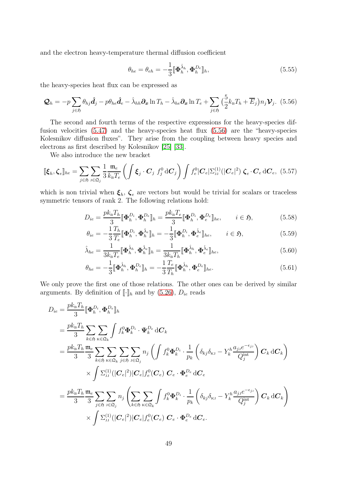and the electron heavy-temperature thermal diffusion coefficient

<span id="page-48-1"></span>
$$
\theta_{he} = \theta_{eh} = -\frac{1}{3} [\mathbf{\Phi}_h^{\hat{\lambda}_h}, \mathbf{\Phi}_h^{De}]_h, \tag{5.55}
$$

the heavy-species heat flux can be expressed as

<span id="page-48-0"></span>
$$
\mathcal{Q}_h = -p \sum_{j \in \mathfrak{H}} \theta_{hj} \hat{\mathbf{d}}_j - p \theta_{he} \hat{\mathbf{d}}_e - \hat{\lambda}_{hh} \partial_x \ln T_h - \hat{\lambda}_{he} \partial_x \ln T_e + \sum_{j \in \mathfrak{H}} \left( \frac{5}{2} k_B T_h + \overline{E}_j \right) n_j \mathbf{V}_j. \tag{5.56}
$$

The second and fourth terms of the respective expressions for the heavy-species diffusion velocities [\(5.47\)](#page-47-0) and the heavy-species heat flux [\(5.56\)](#page-48-0) are the "heavy-species Kolesnikov diffusion fluxes". They arise from the coupling between heavy species and electrons as first described by Kolesnikov [\[25\]](#page-63-4) [\[33\]](#page-64-15).

We also introduce the new bracket

$$
\[\mathbf{\xi}_h, \boldsymbol{\zeta}_e\]_{he} = \sum_{j \in \mathfrak{H}} \sum_{j \in \mathfrak{Q}_j} \frac{1}{3} \frac{\mathfrak{m}_e}{k_\mathrm{B} T_e} \left( \int \boldsymbol{\xi}_j \cdot \boldsymbol{C}_j \ f_j^0 \, \mathrm{d} \boldsymbol{C}_j \right) \int f_e^0 |\boldsymbol{C}_e| \Sigma_{\mathrm{JJ}}^{(1)}(|\boldsymbol{C}_e|^2) \ \boldsymbol{\zeta}_e \cdot \boldsymbol{C}_e \, \mathrm{d} \boldsymbol{C}_e, \tag{5.57}
$$

which is non trivial when  $\xi_h$ ,  $\zeta_e$  are vectors but would be trivial for scalars or traceless symmetric tensors of rank 2. The following relations hold:

$$
D_{ie} = \frac{pk_{\mathrm{B}}T_h}{3} [\![\boldsymbol{\Phi}_h^{D_i}, \boldsymbol{\Phi}_h^{D_e}]\!]_h = \frac{pk_{\mathrm{B}}T_e}{3} [\![\boldsymbol{\Phi}_h^{D_i}, \boldsymbol{\Phi}_e^{D_e}]\!]_{he}, \qquad i \in \mathfrak{H},\tag{5.58}
$$

$$
\theta_{ie} = -\frac{1}{3} \frac{T_h}{T_e} [\mathbf{\Phi}_h^{D_i}, \mathbf{\Phi}_h^{\hat{\lambda}_e} ]_h = -\frac{1}{3} [\mathbf{\Phi}_h^{D_i}, \mathbf{\Phi}_e^{\hat{\lambda}_e} ]_{he}, \qquad i \in \mathfrak{H}, \tag{5.59}
$$

$$
\hat{\lambda}_{he} = \frac{1}{3k_{\mathrm{B}}T_e} [\![\boldsymbol{\Phi}_h^{\hat{\lambda}_h}, \boldsymbol{\Phi}_h^{\hat{\lambda}_e}]\!]_h = \frac{1}{3k_{\mathrm{B}}T_h} [\![\boldsymbol{\Phi}_h^{\hat{\lambda}_h}, \boldsymbol{\Phi}_e^{\hat{\lambda}_e}]\!]_{he},\tag{5.60}
$$

$$
\theta_{he} = -\frac{1}{3} [\mathbf{\Phi}_h^{\hat{\lambda}_h}, \mathbf{\Phi}_h^{De} ]\!h = -\frac{1}{3} \frac{T_e}{T_h} [\mathbf{\Phi}_h^{\hat{\lambda}_h}, \mathbf{\Phi}_e^{De} ]\!h_e. \tag{5.61}
$$

We only prove the first one of those relations. The other ones can be derived by similar arguments. By definition of  $\llbracket \cdot \rrbracket_h$  and by [\(5.26\)](#page-45-2),  $D_{ie}$  reads

$$
D_{ie} = \frac{pk_{\rm B}T_h}{3} [\Phi_h^{D_i}, \Phi_h^{D_e}]_h
$$
  
\n
$$
= \frac{pk_{\rm B}T_h}{3} \sum_{k \in \mathfrak{H}} \sum_{\kappa \in \mathfrak{Q}_k} \int f_k^0 \Phi_k^{D_i} \cdot \Psi_k^{D_e} dC_k
$$
  
\n
$$
= \frac{pk_{\rm B}T_h}{3} \frac{\mathfrak{m}_e}{3} \sum_{k \in \mathfrak{H}} \sum_{\kappa \in \mathfrak{Q}_k} \sum_{j \in \mathfrak{H}} \sum_{j \in \mathfrak{Q}_j} n_j \left( \int f_k^0 \Phi_k^{D_i} \cdot \frac{1}{p_k} \left( \delta_{kj} \delta_{\kappa j} - Y_k^h \frac{a_{jj} e^{-\epsilon_{jj}}}{Q_j^{\text{int}}} \right) C_k dC_k \right)
$$
  
\n
$$
\times \int \Sigma_{\jmath}^{(1)} (|C_e|^2) |C_e| f_e^0 (C_e) C_e \cdot \Phi_e^{D_e} dC_e
$$
  
\n
$$
= \frac{pk_{\rm B}T_h}{3} \frac{\mathfrak{m}_e}{3} \sum_{j \in \mathfrak{H}} \sum_{j \in \mathfrak{Q}_j} \sum_{\kappa \in \mathfrak{Q}_k} \int f_k^0 \Phi_k^{D_i} \cdot \frac{1}{p_k} \left( \delta_{kj} \delta_{\kappa j} - Y_k^h \frac{a_{jj} e^{-\epsilon_{jj}}}{Q_j^{\text{int}}} \right) C_k dC_k
$$
  
\n
$$
\times \int \Sigma_{\jmath}^{(1)} (|C_e|^2) |C_e| f_e^0 (C_e) C_e \cdot \Phi_e^{D_e} dC_e.
$$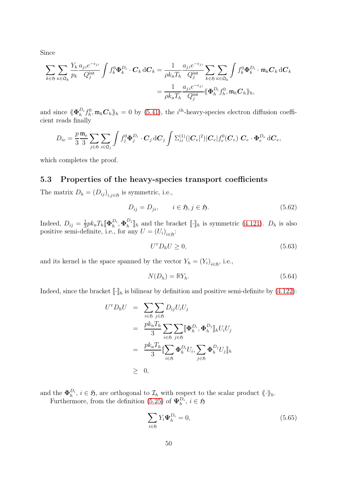Since

$$
\sum_{k \in \mathfrak{H}} \sum_{\kappa \in \mathfrak{Q}_k} \frac{Y_k}{p_k} \frac{a_{j3} e^{-\epsilon_{j3}}}{Q_j^{\text{int}}} \int f_k^0 \Phi_k^{D_i} \cdot \mathbf{C}_k \, \mathrm{d}\mathbf{C}_k = \frac{1}{\rho k_{\text{B}} T_h} \frac{a_{j3} e^{-\epsilon_{j3}}}{Q_j^{\text{int}}} \sum_{k \in \mathfrak{H}} \sum_{\kappa \in \mathfrak{Q}_k} \int f_k^0 \Phi_k^{D_i} \cdot \mathfrak{m}_k \mathbf{C}_k \, \mathrm{d}\mathbf{C}_k
$$

$$
= \frac{1}{\rho k_{\text{B}} T_h} \frac{a_{j3} e^{-\epsilon_{j3}}}{Q_j^{\text{int}}} \langle \Phi_h^{D_i} f_h^0, \mathfrak{m}_h \mathbf{C}_h \rangle_h,
$$

and since  $\langle \! \langle \mathbf{\Phi}_{h}^{D_i} \rangle$  ${}_{h}^{D_i}f_h^0, \mathfrak{m}_h \mathbf{C}_h$ <sub>h</sub> = 0 by [\(5.41\)](#page-46-0), the *i*<sup>th</sup>-heavy-species electron diffusion coefficient reads finally

$$
D_{ie} = \frac{p}{3} \frac{\mathfrak{m}_e}{3} \sum_{j \in \mathfrak{H}} \sum_{\mathfrak{J} \in \mathfrak{Q}_j} \int f_j^0 \Phi_j^{D_i} \cdot \mathbf{C}_j \,\mathrm{d}\mathbf{C}_j \int \Sigma_{\mathfrak{J}}^{(1)}(|\mathbf{C}_e|^2)|\mathbf{C}_e| f_e^0(\mathbf{C}_e) \; \mathbf{C}_e \cdot \Phi_e^{D_e} \,\mathrm{d}\mathbf{C}_e,
$$

which completes the proof.

## 5.3 Properties of the heavy-species transport coefficients

The matrix  $D_h = (D_{ij})_{i,j \in \mathfrak{H}}$  is symmetric, i.e.,

$$
D_{ij} = D_{ji}, \qquad i \in \mathfrak{H}, j \in \mathfrak{H}.\tag{5.62}
$$

Indeed,  $D_{ij} = \frac{1}{3}$  $\frac{1}{3} p k_{\text{\tiny B}} T_h \llbracket \mathbf{\Phi}_h^{D_i}$  $_{h}^{D_{i}},\mathbf{\Phi}_{h}^{D_{j}}$  $\mathbb{E}_{h}^{L_{j}}$  and the bracket  $[\![\cdot]\!]_h$  is symmetric [\(4.121\)](#page-37-4).  $D_h$  is also positive semi-definite, i.e., for any  $U = (U_i)_{i \in \mathfrak{H}}$ :

$$
U^{\mathrm{T}} D_h U \ge 0,\tag{5.63}
$$

and its kernel is the space spanned by the vector  $Y_h = (Y_i)_{i \in \mathfrak{H}}$ , i.e.,

$$
N(D_h) = \mathbb{R}Y_h.
$$
\n<sup>(5.64)</sup>

Indeed, since the bracket  $\llbracket \cdot \rrbracket_h$  is bilinear by definition and positive semi-definite by [\(4.122\)](#page-37-5):

$$
U^{\mathrm{T}} D_h U = \sum_{i \in \mathfrak{H}} \sum_{j \in \mathfrak{H}} D_{ij} U_i U_j
$$
  
= 
$$
\frac{p k_{\mathrm{B}} T_h}{3} \sum_{i \in \mathfrak{H}} \sum_{j \in \mathfrak{H}} [\![ \boldsymbol{\Phi}_h^{D_i}, \boldsymbol{\Phi}_h^{D_j} ]\!]_h U_i U_j
$$
  
= 
$$
\frac{p k_{\mathrm{B}} T_h}{3} [\![ \sum_{i \in \mathfrak{H}} \boldsymbol{\Phi}_h^{D_i} U_i, \sum_{j \in \mathfrak{H}} \boldsymbol{\Phi}_h^{D_j} U_j ]\!]_h
$$
  

$$
\geq 0,
$$

and the  $\pmb{\Phi}_h^{D_i}$  $h_h^{D_i}$ ,  $i \in \mathfrak{H}$ , are orthogonal to  $\mathcal{I}_h$  with respect to the scalar product  $\langle \cdot \rangle_h$ . Furthermore, from the definition [\(5.25\)](#page-45-3) of  $\Psi_h^{D_i}$  $_{h}^{D_{i}}, i \in \mathfrak{H}$ 

$$
\sum_{i \in \mathfrak{H}} Y_i \Psi_h^{D_i} = 0,\tag{5.65}
$$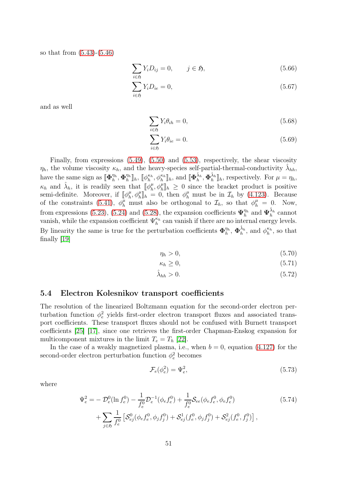so that from [\(5.43\)](#page-47-1)-[\(5.46\)](#page-47-2)

$$
\sum_{i \in \mathfrak{H}} Y_i D_{ij} = 0, \qquad j \in \mathfrak{H}, \tag{5.66}
$$

$$
\sum_{i \in \mathfrak{H}} Y_i D_{ie} = 0,\tag{5.67}
$$

and as well

<span id="page-50-1"></span>
$$
\sum_{i \in \mathfrak{H}} Y_i \theta_{ih} = 0,\tag{5.68}
$$

<span id="page-50-2"></span>
$$
\sum_{i \in \mathfrak{H}} Y_i \theta_{ie} = 0. \tag{5.69}
$$

Finally, from expressions [\(5.49\)](#page-47-3), [\(5.50\)](#page-47-4) and [\(5.53\)](#page-47-5), respectively, the shear viscosity  $\eta_h$ , the volume viscosity  $\kappa_h$ , and the heavy-species self-partial-thermal-conductivity  $\hat{\lambda}_{hh}$ , have the same sign as  $[\![\boldsymbol{\Phi}_h^{\eta_h}]\!]$  $\frac{\eta_h}{h}, \boldsymbol{\Phi}_h^{\eta_h}$  $\begin{bmatrix} \eta_h \\ h \end{bmatrix}$ h,  $\llbracket \phi_h^{\kappa_h}$  $\kappa_h^{\kappa_h}, \phi_h^{\kappa_h}$ <sub>h</sub>, and  $[\![\boldsymbol{\Phi}_h^{\hat{\lambda}_h}, \boldsymbol{\Phi}_h^{\hat{\lambda}_h}]\!]_h$ , respectively. For  $\mu = \eta_h$ ,  $\kappa_h$  and  $\hat{\lambda}_h$ , it is readily seen that  $[\![\phi_h^{\mu}]\!]$  $_h^{\mu}, \phi_h^{\mu}$ <sub>h</sub> $\geq 0$  since the bracket product is positive semi-definite. Moreover, if  $[\![\phi_h^{\mu}]\!]$  $_{h}^{\mu}, \phi_{h}^{\mu}$  = 0, then  $\phi_{h}^{\mu}$  must be in  $\mathcal{I}_{h}$  by [\(4.123\)](#page-37-6). Because of the constraints [\(5.41\)](#page-46-0),  $\phi_h^{\mu}$  must also be orthogonal to  $\mathcal{I}_h$ , so that  $\phi_h^{\mu} = 0$ . Now, from expressions [\(5.23\)](#page-45-0), [\(5.24\)](#page-45-4) and [\(5.28\)](#page-45-5), the expansion coefficients  $\Psi_h^{\eta_h}$  $\frac{\eta_h}{h}$  and  $\Psi_h^{\hat{\lambda}_h}$  cannot vanish, while the expansion coefficient  $\Psi_h^{\kappa_h}$  $\frac{\kappa_h}{h}$  can vanish if there are no internal energy levels. By linearity the same is true for the perturbation coefficients  $\Phi_h^{\eta_h}$  $\eta_h^{\eta_h}$ ,  $\Phi_h^{\hat{\lambda}_h}$ , and  $\phi_h^{\kappa_h}$ , so that finally [\[19\]](#page-63-9)

$$
\eta_h > 0,\tag{5.70}
$$

$$
\kappa_h \ge 0,\tag{5.71}
$$

$$
\hat{\lambda}_{hh} > 0. \tag{5.72}
$$

#### 5.4 Electron Kolesnikov transport coefficients

The resolution of the linearized Boltzmann equation for the second-order electron perturbation function  $\phi_e^2$  yields first-order electron transport fluxes and associated transport coefficients. These transport fluxes should not be confused with Burnett transport coefficients [\[25\]](#page-63-4) [\[17\]](#page-63-0), since one retrieves the first-order Chapman-Enskog expansion for multicomponent mixtures in the limit  $T_e = T_h$  [\[22\]](#page-63-17).

In the case of a weakly magnetized plasma, i.e., when  $b = 0$ , equation [\(4.127\)](#page-38-0) for the second-order electron perturbation function  $\phi_e^2$  becomes

<span id="page-50-0"></span>
$$
\mathcal{F}_e(\phi_e^2) = \Psi_e^2,\tag{5.73}
$$

where

$$
\Psi_e^2 = -\mathcal{D}_e^0(\ln f_e^0) - \frac{1}{f_e^0} \mathcal{D}_e^{-1}(\phi_e f_e^0) + \frac{1}{f_e^0} \mathcal{S}_{ee}(\phi_e f_e^0, \phi_e f_e^0) \n+ \sum_{j \in \mathfrak{H}} \frac{1}{f_e^0} \left[ \mathcal{S}_{ej}^0(\phi_e f_e^0, \phi_j f_j^0) + \mathcal{S}_{ej}^1(f_e^0, \phi_j f_j^0) + \mathcal{S}_{ej}^2(f_e^0, f_j^0) \right],
$$
\n(5.74)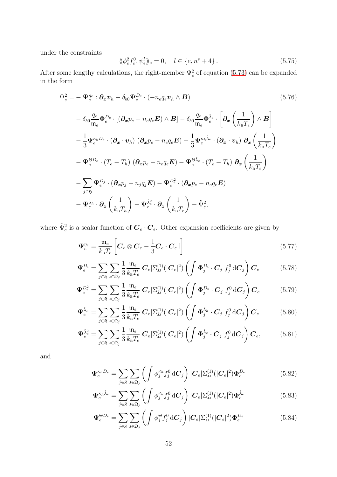under the constraints

$$
\langle \phi_e^2 f_e^0, \psi_e^l \rangle \rangle_e = 0, \quad l \in \{e, n^s + 4\}.
$$
\n(5.75)

After some lengthy calculations, the right-member  $\Psi_e^2$  of equation [\(5.73\)](#page-50-0) can be expanded in the form

$$
\Psi_e^2 = -\Psi_e^{\eta_e} : \partial_x v_h - \delta_{b0} \Psi_e^{D_e} \cdot (-n_e q_e v_h \wedge B) \qquad (5.76)
$$
\n
$$
- \delta_{b0} \frac{q_e}{m_e} \Phi_e^{D_e} \cdot [(\partial_x p_e - n_e q_e E) \wedge B] - \delta_{b0} \frac{q_e}{m_e} \Phi_e^{\hat{\lambda}_e} \cdot \left[ \partial_x \left( \frac{1}{k_{\rm B} T_e} \right) \wedge B \right]
$$
\n
$$
- \frac{1}{3} \Psi_e^{\kappa_h D_e} \cdot (\partial_x \cdot v_h) \left( \partial_x p_e - n_e q_e E \right) - \frac{1}{3} \Psi_e^{\kappa_h \hat{\lambda}_e} \cdot (\partial_x \cdot v_h) \partial_x \left( \frac{1}{k_{\rm B} T_e} \right)
$$
\n
$$
- \Psi_e^{\Theta D_e} \cdot (T_e - T_h) \left( \partial_x p_e - n_e q_e E \right) - \Psi_e^{\Theta \hat{\lambda}_e} \cdot (T_e - T_h) \partial_x \left( \frac{1}{k_{\rm B} T_e} \right)
$$
\n
$$
- \sum_{j \in \mathfrak{H}} \Psi_e^{D_j} \cdot (\partial_x p_j - n_j q_j E) - \Psi_e^{D_e^2} \cdot (\partial_x p_e - n_e q_e E)
$$
\n
$$
- \Psi_e^{\hat{\lambda}_h} \cdot \partial_x \left( \frac{1}{k_{\rm B} T_h} \right) - \Psi_e^{\hat{\lambda}_e^2} \cdot \partial_x \left( \frac{1}{k_{\rm B} T_e} \right) - \tilde{\Psi}_e^2,
$$
\n(10.10)

where  $\tilde{\Psi}_e^2$  is a scalar function of  $\mathbf{C}_e \cdot \mathbf{C}_e$ . Other expansion coefficients are given by

$$
\Psi_e^{\eta_e} = \frac{\mathfrak{m}_e}{k_\text{B}T_e} \left[ \boldsymbol{C}_e \otimes \boldsymbol{C}_e - \frac{1}{3} \boldsymbol{C}_e \cdot \boldsymbol{C}_e \, \mathbb{I} \right] \tag{5.77}
$$

$$
\Psi_e^{D_i} = \sum_{j \in \mathfrak{H}} \sum_{\mathfrak{J} \in \mathfrak{Q}_j} \frac{1}{3} \frac{\mathfrak{m}_e}{k_\mathrm{B} T_e} |C_e| \Sigma_{\mathfrak{J}}^{(1)}(|C_e|^2) \left( \int \Phi_j^{D_i} \cdot C_j \ f_j^0 \,\mathrm{d}C_j \right) C_e \tag{5.78}
$$

$$
\Psi_e^{D_e^2} = \sum_{j \in \mathfrak{H}} \sum_{j \in \mathfrak{L}_j} \frac{1}{3} \frac{\mathfrak{m}_e}{k_\mathrm{B} T_e} |C_e| \Sigma_{\mathrm{JJ}}^{(1)}(|C_e|^2) \left( \int \Phi_j^{D_e} \cdot C_j \ f_j^0 \,\mathrm{d}C_j \right) C_e \tag{5.79}
$$

$$
\Psi_e^{\hat{\lambda}_h} = \sum_{j \in \mathfrak{H}} \sum_{j \in \mathfrak{Q}_j} \frac{1}{3} \frac{\mathfrak{m}_e}{k_\mathrm{B} T_e} |C_e| \Sigma_{\mathrm{JJ}}^{(1)} (|C_e|^2) \left( \int \Phi_j^{\hat{\lambda}_h} \cdot C_j f_j^0 dC_j \right) C_e \tag{5.80}
$$

$$
\Psi_e^{\hat{\lambda}_e^2} = \sum_{j \in \mathfrak{H}} \sum_{\mathfrak{J} \in \mathfrak{Q}_j} \frac{1}{3} \frac{\mathfrak{m}_e}{k_{\rm B} T_e} |C_e| \Sigma_{\mathfrak{J}}^{(1)}(|C_e|^2) \left( \int \Phi_j^{\hat{\lambda}_e} \cdot C_j f_j^0 dC_j \right) C_e, \tag{5.81}
$$

and

$$
\Psi_e^{\kappa_h D_e} = \sum_{j \in \mathfrak{H}} \sum_{\mathfrak{J} \in \mathfrak{Q}_j} \left( \int \phi_j^{\kappa_h} f_j^0 \, \mathrm{d} \mathbf{C}_j \right) |C_e| \Sigma_{\mathfrak{J}}^{(1)}(|C_e|^2) \Phi_e^{D_e} \tag{5.82}
$$

$$
\Psi_e^{\kappa_h \hat{\lambda}_e} = \sum_{j \in \mathfrak{H}} \sum_{\mathfrak{J} \in \mathfrak{Q}_j} \left( \int \phi_j^{\kappa_h} f_j^0 \, d\mathbf{C}_j \right) |C_e| \Sigma_{\mathfrak{J}}^{(1)}(|C_e|^2) \Phi_e^{\hat{\lambda}_e} \tag{5.83}
$$

$$
\Psi_e^{\Theta D_e} = \sum_{j \in \mathfrak{H}} \sum_{\mathfrak{J} \in \mathfrak{Q}_j} \left( \int \phi_j^{\Theta} f_j^0 dC_j \right) |C_e| \Sigma_{\mathfrak{J}}^{(1)}(|C_e|^2) \Phi_e^{D_e} \tag{5.84}
$$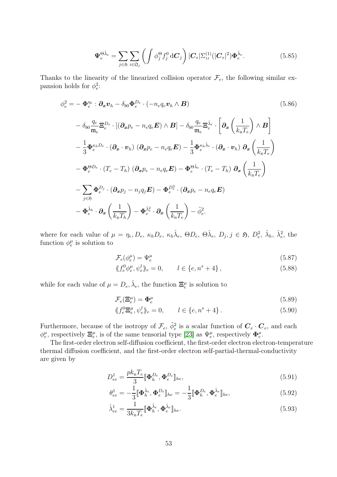$$
\Psi_e^{\Theta \hat{\lambda}_e} = \sum_{j \in \mathfrak{H}} \sum_{\mathfrak{J} \in \mathfrak{Q}_j} \left( \int \phi_j^{\Theta} f_j^0 dC_j \right) |C_e| \Sigma_{\mathfrak{J}}^{(1)}(|C_e|^2) \Phi_e^{\hat{\lambda}_e}.
$$
 (5.85)

Thanks to the linearity of the linearized collision operator  $\mathcal{F}_e$ , the following similar expansion holds for  $\phi_e^2$ :

$$
\phi_e^2 = -\Phi_e^{\eta_e} : \partial_x \mathbf{v}_h - \delta_{b0} \Phi_e^{D_e} \cdot (-n_e q_e \mathbf{v}_h \wedge \mathbf{B}) \qquad (5.86)
$$
\n
$$
- \delta_{b0} \frac{q_e}{m_e} \Xi_e^{D_e} \cdot [(\partial_x p_e - n_e q_e \mathbf{E}) \wedge \mathbf{B}] - \delta_{b0} \frac{q_e}{m_e} \Xi_e^{\hat{\lambda}_e} \cdot \left[ \partial_x \left( \frac{1}{k_B T_e} \right) \wedge \mathbf{B} \right]
$$
\n
$$
- \frac{1}{3} \Phi_e^{\kappa_h D_e} \cdot (\partial_x \cdot \mathbf{v}_h) \left( \partial_x p_e - n_e q_e \mathbf{E} \right) - \frac{1}{3} \Phi_e^{\kappa_h \hat{\lambda}_e} \cdot (\partial_x \cdot v_h) \partial_x \left( \frac{1}{k_B T_e} \right)
$$
\n
$$
- \Phi_e^{\Theta D_e} \cdot (T_e - T_h) \left( \partial_x p_e - n_e q_e \mathbf{E} \right) - \Phi_e^{\Theta \hat{\lambda}_e} \cdot (T_e - T_h) \partial_x \left( \frac{1}{k_B T_e} \right)
$$
\n
$$
- \sum_{j \in \mathfrak{H}} \Phi_e^{D_j} \cdot (\partial_x p_j - n_j q_j \mathbf{E}) - \Phi_e^{D_e^2} \cdot (\partial_x p_e - n_e q_e \mathbf{E})
$$
\n
$$
- \Phi_e^{\hat{\lambda}_h} \cdot \partial_x \left( \frac{1}{k_B T_h} \right) - \Phi_e^{\hat{\lambda}_e^2} \cdot \partial_x \left( \frac{1}{k_B T_e} \right) - \tilde{\phi}_e^2.
$$
\n(5.86)

where for each value of  $\mu = \eta_e, D_e, \ \kappa_h D_e, \ \kappa_h \hat{\lambda}_e, \ \Theta D_e, \ \Theta \hat{\lambda}_e, \ D_j, j \in \mathfrak{H}, \ D_e^2, \ \hat{\lambda}_h, \ \hat{\lambda}_e^2$ , the function  $\phi_e^{\mu}$  is solution to

$$
\mathcal{F}_e(\phi_e^{\mu}) = \Psi_e^{\mu} \tag{5.87}
$$

$$
\langle f_e^0 \phi_e^{\mu}, \psi_e^l \rangle_e = 0, \qquad l \in \{e, n^s + 4\}, \tag{5.88}
$$

while for each value of  $\mu = D_e, \hat{\lambda}_e$ , the function  $\Xi_e^{\mu}$  is solution to

$$
\mathcal{F}_e(\Xi_e^{\mu}) = \Phi_e^{\mu} \tag{5.89}
$$

$$
\langle f_e^0 \Xi_e^{\mu}, \psi_e^l \rangle_e = 0, \qquad l \in \{e, n^s + 4\}.
$$
 (5.90)

Furthermore, because of the isotropy of  $\mathcal{F}_e$ ,  $\tilde{\phi}_e^2$  is a scalar function of  $\mathbf{C}_e \cdot \mathbf{C}_e$ , and each  $\phi_e^{\mu}$ , respectively  $\Xi_e^{\mu}$ , is of the same tensorial type [\[23\]](#page-63-11) as  $\Psi_e^{\mu}$ , respectively  $\Phi_e^{\mu}$ .

The first-order electron self-diffusion coefficient, the first-order electron electron-temperature thermal diffusion coefficient, and the first-order electron self-partial-thermal-conductivity are given by

$$
D_{ee}^1 = \frac{pk_{\mathrm{B}}T_e}{3} [\![\boldsymbol{\Phi}_h^{De}, \boldsymbol{\Phi}_e^{De}]\!]_{he},\tag{5.91}
$$

<span id="page-52-0"></span>
$$
\theta_{ee}^1 = -\frac{1}{3} [\![\boldsymbol{\Phi}_h^{\hat{\lambda}_e}, \boldsymbol{\Phi}_e^{D_e}]\!]_{he} = -\frac{1}{3} [\![\boldsymbol{\Phi}_h^{D_e}, \boldsymbol{\Phi}_e^{\hat{\lambda}_e}]\!]_{he},\tag{5.92}
$$

<span id="page-52-1"></span>
$$
\hat{\lambda}_{ee}^1 = \frac{1}{3k_{\rm B}T_e} [\![\boldsymbol{\Phi}_h^{\hat{\lambda}_e}, \boldsymbol{\Phi}_e^{\hat{\lambda}_e}]\!]_{he}.
$$
\n(5.93)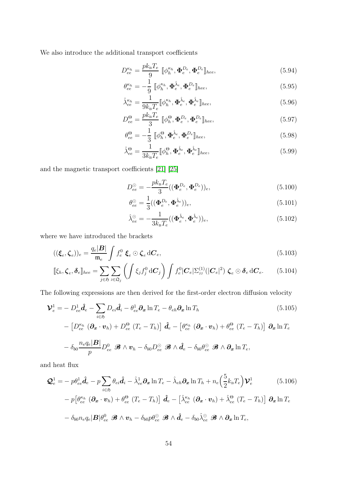We also introduce the additional transport coefficients

$$
D_{ee}^{\kappa_h} = \frac{p k_{\rm B} T_e}{9} \left[ \phi_h^{\kappa_h}, \Phi_e^{D_e}, \Phi_e^{D_e} \right]_{hee},\tag{5.94}
$$

$$
\theta_{ee}^{\kappa_h} = -\frac{1}{9} \left[ \phi_h^{\kappa_h}, \boldsymbol{\Phi}_e^{\hat{\lambda}_e}, \boldsymbol{\Phi}_e^{De} \right]_{hee}, \tag{5.95}
$$

<span id="page-53-2"></span>
$$
\hat{\lambda}_{ee}^{\kappa_h} = \frac{1}{9k_{\rm B}T_e} [\![\phi_h^{\kappa_h}, \boldsymbol{\Phi}_e^{\hat{\lambda}_e}, \boldsymbol{\Phi}_e^{\hat{\lambda}_e}]\!]_{hee},
$$
\n(5.96)

$$
D_{ee}^{\Theta} = \frac{p k_{\rm B} T_e}{3} \left[ \phi_h^{\Theta}, \Phi_e^{D_e}, \Phi_e^{D_e} \right]_{hee},
$$
\n(5.97)

$$
\theta_{ee}^{\Theta} = -\frac{1}{3} \left[ \phi_h^{\Theta}, \Phi_e^{\hat{\lambda}_e}, \Phi_e^{D_e} \right]_{hee}, \tag{5.98}
$$

$$
\hat{\lambda}_{ee}^{\Theta} = \frac{1}{3k_{\rm B}T_e} [\![\phi_h^{\Theta}, \boldsymbol{\Phi}_e^{\hat{\lambda}_e}, \boldsymbol{\Phi}_e^{\hat{\lambda}_e}]\!]_{hee},
$$
\n(5.99)

and the magnetic transport coefficients [\[21\]](#page-63-2) [\[25\]](#page-63-4)

<span id="page-53-3"></span>
$$
D_{ee}^{\odot} = -\frac{pk_{\rm B}T_e}{3}((\Phi_e^{D_e}, \Phi_e^{D_e}))_e, \tag{5.100}
$$

$$
\theta_{ee}^{\odot} = \frac{1}{3} ((\boldsymbol{\Phi}_e^{D_e}, \boldsymbol{\Phi}_e^{\hat{\lambda}_e}))_e, \tag{5.101}
$$

<span id="page-53-1"></span><span id="page-53-0"></span>
$$
\hat{\lambda}_{ee}^{\odot} = -\frac{1}{3k_{\rm B}T_e} \left( (\boldsymbol{\Phi}_e^{\hat{\lambda}_e}, \boldsymbol{\Phi}_e^{\hat{\lambda}_e}) \right)_e,\tag{5.102}
$$

where we have introduced the brackets

$$
((\boldsymbol{\xi}_e, \boldsymbol{\zeta}_e))_e = \frac{q_e|\boldsymbol{B}|}{\mathfrak{m}_e} \int f_e^0 \boldsymbol{\xi}_e \odot \boldsymbol{\zeta}_e d\boldsymbol{C}_e, \qquad (5.103)
$$

$$
[\![\xi_h, \boldsymbol{\zeta}_e, \boldsymbol{\delta}_e]\!]_{\text{hee}} = \sum_{j \in \mathfrak{H}} \sum_{j \in \mathfrak{Q}_j} \left( \int \xi_j f_j^0 \, \mathrm{d} \mathbf{C}_j \right) \int f_e^0 |\mathbf{C}_e| \Sigma_{\text{JJ}}^{(1)}(|\mathbf{C}_e|^2) \, \boldsymbol{\zeta}_e \odot \boldsymbol{\delta}_e \, \mathrm{d} \mathbf{C}_e. \tag{5.104}
$$

The following expressions are then derived for the first-order electron diffusion velocity

$$
\mathbf{\mathcal{V}}_{e}^{1} = -D_{ee}^{1} \hat{\mathbf{d}}_{e} - \sum_{i \in \mathfrak{H}} D_{ei} \hat{\mathbf{d}}_{i} - \theta_{ee}^{1} \partial_{x} \ln T_{e} - \theta_{eh} \partial_{x} \ln T_{h}
$$
(5.105)  

$$
- \left[ D_{ee}^{\kappa_{h}} \left( \partial_{x} \cdot \mathbf{v}_{h} \right) + D_{ee}^{\Theta} \left( T_{e} - T_{h} \right) \right] \hat{\mathbf{d}}_{e} - \left[ \theta_{ee}^{\kappa_{h}} \left( \partial_{x} \cdot \mathbf{v}_{h} \right) + \theta_{ee}^{\Theta} \left( T_{e} - T_{h} \right) \right] \partial_{x} \ln T_{e}
$$

$$
- \delta_{b0} \frac{n_{e} q_{e} |\mathbf{B}|}{p} D_{ee}^{0} \mathcal{B} \wedge \mathbf{v}_{h} - \delta_{b0} D_{ee}^{\odot} \mathcal{B} \wedge \hat{\mathbf{d}}_{e} - \delta_{b0} \theta_{ee}^{\odot} \mathcal{B} \wedge \partial_{x} \ln T_{e},
$$

and heat flux

$$
\mathcal{Q}_e^1 = -p\theta_{ee}^1 \hat{\mathbf{d}}_e - p \sum_{i \in \mathfrak{H}} \theta_{ei} \hat{\mathbf{d}}_i - \hat{\lambda}_{ee}^1 \partial_x \ln T_e - \hat{\lambda}_{eh} \partial_x \ln T_h + n_e \left(\frac{5}{2} k_B T_e\right) \mathcal{V}_e^1 \qquad (5.106)
$$

$$
-p \left[\theta_{ee}^{\kappa_h} \left(\partial_x \cdot \mathbf{v}_h\right) + \theta_{ee}^\Theta \left(T_e - T_h\right)\right] \hat{\mathbf{d}}_e - \left[\hat{\lambda}_{ee}^{\kappa_h} \left(\partial_x \cdot \mathbf{v}_h\right) + \hat{\lambda}_{ee}^\Theta \left(T_e - T_h\right)\right] \partial_x \ln T_e
$$

$$
- \delta_{b0} n_e q_e |\mathbf{B}| \theta_{ee}^0 \mathcal{B} \wedge \mathbf{v}_h - \delta_{b0} p \theta_{ee}^\odot \mathcal{B} \wedge \hat{\mathbf{d}}_e - \delta_{b0} \hat{\lambda}_{ee}^\odot \mathcal{B} \wedge \partial_x \ln T_e,
$$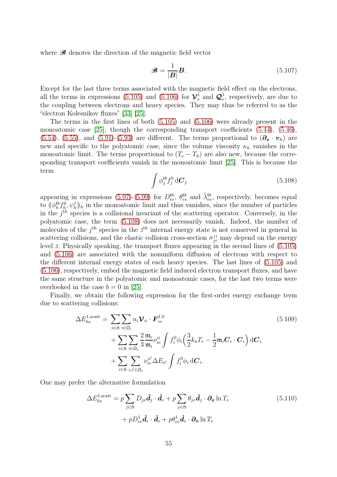where  $\mathcal{B}$  denotes the direction of the magnetic field vector

$$
\mathcal{B} = \frac{1}{|\mathbf{B}|} \mathbf{B}.\tag{5.107}
$$

Except for the last three terms associated with the magnetic field effect on the electrons, all the terms in expressions [\(5.105\)](#page-53-0) and [\(5.106\)](#page-53-1) for  $\mathcal{V}_e^1$  $e^1_e$  and  $\mathcal{Q}_e^1$ , respectively, are due to the coupling between electrons and heavy species. They may thus be referred to as the "electron Kolesnikov fluxes" [\[33\]](#page-64-15) [\[25\]](#page-63-4).

The terms in the first lines of both [\(5.105\)](#page-53-0) and [\(5.106\)](#page-53-1) were already present in the monoatomic case [\[25\]](#page-63-4), though the corresponding transport coefficients [\(5.44\)](#page-47-6), [\(5.46\)](#page-47-2), [\(5.54\)](#page-47-7), [\(5.55\)](#page-48-1), and [\(5.91\)](#page-52-0)-[\(5.93\)](#page-52-1) are different. The terms proportional to  $(\partial_x \cdot v_h)$  are new and specific to the polyatomic case, since the volume viscosity  $\kappa_h$  vanishes in the monoatomic limit. The terms proportional to  $(T_e - T_h)$  are also new, because the corresponding transport coefficients vanish in the monoatomic limit [\[25\]](#page-63-4). This is because the term

<span id="page-54-0"></span>
$$
\int \phi_j^{\Theta} f_j^0 d\mathbf{C}_j \tag{5.108}
$$

appearing in expressions [\(5.97\)](#page-53-2)-[\(5.99\)](#page-53-3) for  $D_{ee}^{\Theta}$ ,  $\theta_{ee}^{\Theta}$  and  $\hat{\lambda}_{ee}^{\Theta}$ , respectively, becomes equal to  $\langle \phi_h^{\Theta} f_h^0, \psi_h^j \rangle_h$  in the monoatomic limit and thus vanishes, since the number of particles in the  $j<sup>th</sup>$  species is a collisional invariant of the scattering operator. Conversely, in the polyatomic case, the term [\(5.108\)](#page-54-0) does not necessarily vanish. Indeed, the number of molecules of the  $j<sup>th</sup>$  species in the  $J<sup>th</sup>$  internal energy state is not conserved in general in scattering collisions, and the elastic collision cross-section  $\sigma_{je}^{_{JJ}}$  may depend on the energy level j. Physically speaking, the transport fluxes appearing in the second lines of [\(5.105\)](#page-53-0) and [\(5.106\)](#page-53-1) are associated with the nonuniform diffusion of electrons with respect to the different internal energy states of each heavy species. The last lines of [\(5.105\)](#page-53-0) and [\(5.106\)](#page-53-1), respectively, embed the magnetic field induced electron transport fluxes, and have the same structure in the polyatomic and monoatomic cases, for the last two terms were overlooked in the case  $b = 0$  in [\[25\]](#page-63-4).

Finally, we obtain the following expression for the first-order energy exchange term due to scattering collisions:

$$
\Delta E_{he}^{1, \text{scatt}} = \sum_{i \in \mathfrak{H}} \sum_{\mathfrak{l} \in \mathfrak{Q}_i} n_i \mathcal{V}_{i\mathfrak{l}} \cdot \boldsymbol{F}_{ie}^{I,0}
$$
\n
$$
+ \sum_{i \in \mathfrak{H}} \sum_{\mathfrak{l} \in \mathfrak{Q}_i} \frac{2}{3} \frac{\mathfrak{m}_e}{\mathfrak{m}_i} \nu_{ie}^{\mathfrak{l}\mathfrak{l}} \int f_i^0 \phi_i \left(\frac{3}{2} k_{\mathfrak{B}} T_e - \frac{1}{2} \mathfrak{m}_i \boldsymbol{C}_i \cdot \boldsymbol{C}_i\right) d\boldsymbol{C}_i
$$
\n
$$
+ \sum_{i \in \mathfrak{H}} \sum_{\mathfrak{l}, \mathfrak{l}' \in \mathfrak{Q}_i} \nu_{ie}^{\mathfrak{l} \mathfrak{l}'} \Delta E_{\mathfrak{l} \mathfrak{l}'} \int f_i^0 \phi_i d\boldsymbol{C}_i.
$$
\n
$$
(5.109)
$$

One may prefer the alternative formulation

$$
\Delta E_{he}^{1, \text{scatt}} = p \sum_{j \in \mathfrak{H}} D_{je} \hat{\mathbf{d}}_j \cdot \hat{\mathbf{d}}_e + p \sum_{j \in \mathfrak{H}} \theta_{je} \hat{\mathbf{d}}_j \cdot \partial_x \ln T_e
$$
\n
$$
+ p D_{ee}^1 \hat{\mathbf{d}}_e \cdot \hat{\mathbf{d}}_e + p \theta_{ee}^1 \hat{\mathbf{d}}_e \cdot \partial_x \ln T_e
$$
\n(5.110)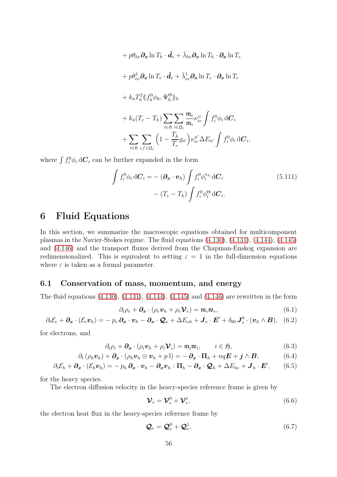$$
+ p\theta_{he}\partial_x \ln T_h \cdot \hat{d}_e + \hat{\lambda}_{he}\partial_x \ln T_h \cdot \partial_x \ln T_e
$$
  
+  $p\theta_{ee}^1 \partial_x \ln T_e \cdot \hat{d}_e + \hat{\lambda}_{ee}^1 \partial_x \ln T_e \cdot \partial_x \ln T_e$   
+  $k_B T_h^2 \langle\!\langle f_h^0 \phi_h, \Psi_h^{\Theta} \rangle\!\rangle_h$   
+  $k_B (T_e - T_h) \sum_{i \in \mathfrak{H}} \sum_{\mathbf{i} \in \mathfrak{Q}_i} \frac{\mathfrak{m}_e}{\mathfrak{m}_i} \nu_{ie}^{\mathbf{I}I} \int f_i^0 \phi_i dC_i$   
+  $\sum_{i \in \mathfrak{H}} \sum_{\mathbf{i}, \mathbf{i}' \in \mathfrak{Q}_i} \left(1 - \frac{T_h}{T_e} g_{\mathbf{i} \mathbf{i}'}\right) \nu_{ie}^{\mathbf{I} \mathbf{i}'} \Delta E_{\mathbf{i} \mathbf{i}'} \int f_i^0 \phi_i dC_i$ ,

where  $\int f_i^0 \phi_i \, d\mathbf{C}_i$  can be further expanded in the form

$$
\int f_i^0 \phi_i d\mathbf{C}_i = -(\partial_{\mathbf{x}} \cdot \mathbf{v}_h) \int f_i^0 \phi_i^{\kappa_h} d\mathbf{C}_i
$$
\n
$$
-(T_e - T_h) \int f_i^0 \phi_i^{\Theta} d\mathbf{C}_i.
$$
\n(5.111)

# <span id="page-55-0"></span>6 Fluid Equations

In this section, we summarize the macroscopic equations obtained for multicomponent plasmas in the Navier-Stokes regime. The fluid equations [\(4.130\)](#page-38-1), [\(4.131\)](#page-38-2), [\(4.144\)](#page-39-0), [\(4.145\)](#page-39-1) and [\(4.146\)](#page-39-2) and the transport fluxes derived from the Chapman-Enskog expansion are redimensionalized. This is equivalent to setting  $\varepsilon = 1$  in the full-dimension equations where  $\varepsilon$  is taken as a formal parameter.

## 6.1 Conservation of mass, momentum, and energy

The fluid equations [\(4.130\)](#page-38-1), [\(4.131\)](#page-38-2), [\(4.144\)](#page-39-0), [\(4.145\)](#page-39-1) and [\(4.146\)](#page-39-2) are rewritten in the form

$$
\partial_t \rho_e + \partial_x \cdot (\rho_e \mathbf{v}_h + \rho_e \mathbf{V}_e) = \mathfrak{m}_e \mathfrak{w}_e,\tag{6.1}
$$

$$
\partial_t \mathcal{E}_e + \partial_x \cdot (\mathcal{E}_e \mathbf{v}_h) = -p_e \, \partial_x \cdot \mathbf{v}_h - \partial_x \cdot \mathbf{Q}_e + \Delta E_{eh} + \mathbf{J}_e \cdot \mathbf{E}' + \delta_{b0} \, \mathbf{J}_e^0 \cdot (\mathbf{v}_h \wedge \mathbf{B}), \quad (6.2)
$$

for electrons, and

$$
\partial_t \rho_i + \partial_x \cdot (\rho_i \boldsymbol{v}_h + \rho_i \boldsymbol{\mathcal{V}}_i) = \mathfrak{m}_i \mathfrak{m}_i, \qquad i \in \mathfrak{H}, \tag{6.3}
$$

$$
\partial_t \left( \rho_h \boldsymbol{v}_h \right) + \boldsymbol{\partial_x} \cdot \left( \rho_h \boldsymbol{v}_h \otimes \boldsymbol{v}_h + p \, \mathbb{I} \right) = - \, \boldsymbol{\partial_x} \cdot \boldsymbol{\Pi}_h + n q \boldsymbol{E} + \boldsymbol{j} \wedge \boldsymbol{B}, \tag{6.4}
$$

$$
\partial_t \mathcal{E}_h + \partial_x \cdot (\mathcal{E}_h \mathbf{v}_h) = -p_h \partial_x \cdot \mathbf{v}_h - \partial_x \mathbf{v}_h : \Pi_h - \partial_x \cdot \mathbf{Q}_h + \Delta E_{he} + \mathbf{J}_h \cdot \mathbf{E}', \qquad (6.5)
$$

for the heavy species.

The electron diffusion velocity in the heavy-species reference frame is given by

<span id="page-55-4"></span><span id="page-55-3"></span><span id="page-55-2"></span><span id="page-55-1"></span>
$$
\mathcal{V}_e = \mathcal{V}_e^0 + \mathcal{V}_e^1, \tag{6.6}
$$

the electron heat flux in the heavy-species reference frame by

$$
\mathcal{Q}_e = \mathcal{Q}_e^0 + \mathcal{Q}_e^1, \tag{6.7}
$$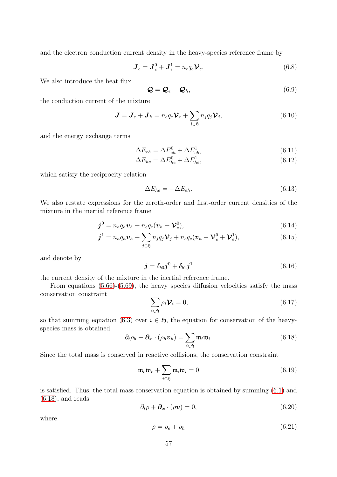and the electron conduction current density in the heavy-species reference frame by

$$
\mathbf{J}_e = \mathbf{J}_e^0 + \mathbf{J}_e^1 = n_e q_e \mathbf{\mathcal{V}}_e. \tag{6.8}
$$

We also introduce the heat flux

$$
\mathbf{Q} = \mathbf{Q}_e + \mathbf{Q}_h, \tag{6.9}
$$

the conduction current of the mixture

$$
\mathbf{J} = \mathbf{J}_e + \mathbf{J}_h = n_e q_e \mathbf{\mathcal{V}}_e + \sum_{j \in \mathfrak{H}} n_j q_j \mathbf{\mathcal{V}}_j,\tag{6.10}
$$

and the energy exchange terms

$$
\Delta E_{eh} = \Delta E_{eh}^0 + \Delta E_{eh}^1,\tag{6.11}
$$

$$
\Delta E_{he} = \Delta E_{he}^0 + \Delta E_{he}^1,\tag{6.12}
$$

which satisfy the reciprocity relation

$$
\Delta E_{he} = -\Delta E_{eh}.\tag{6.13}
$$

We also restate expressions for the zeroth-order and first-order current densities of the mixture in the inertial reference frame

$$
\boldsymbol{j}^0 = n_h q_h \boldsymbol{v}_h + n_e q_e (\boldsymbol{v}_h + \boldsymbol{\mathcal{V}}_e^0), \qquad (6.14)
$$

$$
\boldsymbol{j}^{1} = n_h q_h \boldsymbol{v}_h + \sum_{j \in \mathfrak{H}} n_j q_j \boldsymbol{\mathcal{V}}_j + n_e q_e (\boldsymbol{v}_h + \boldsymbol{\mathcal{V}}_e^0 + \boldsymbol{\mathcal{V}}_e^1), \qquad (6.15)
$$

and denote by

$$
\boldsymbol{j} = \delta_{b0} \boldsymbol{j}^0 + \delta_{b1} \boldsymbol{j}^1 \tag{6.16}
$$

the current density of the mixture in the inertial reference frame.

From equations [\(5.66\)](#page-50-1)-[\(5.69\)](#page-50-2), the heavy species diffusion velocities satisfy the mass conservation constraint

$$
\sum_{i \in \mathfrak{H}} \rho_i \mathcal{V}_i = 0, \tag{6.17}
$$

so that summing equation [\(6.3\)](#page-55-1) over  $i \in \mathfrak{H}$ , the equation for conservation of the heavyspecies mass is obtained

<span id="page-56-0"></span>
$$
\partial_t \rho_h + \partial_x \cdot (\rho_h \boldsymbol{v}_h) = \sum_{i \in \mathfrak{H}} \mathfrak{m}_i \mathfrak{w}_i.
$$
 (6.18)

Since the total mass is conserved in reactive collisions, the conservation constraint

$$
\mathfrak{m}_e \mathfrak{w}_e + \sum_{i \in \mathfrak{H}} \mathfrak{m}_i \mathfrak{w}_i = 0 \tag{6.19}
$$

is satisfied. Thus, the total mass conservation equation is obtained by summing [\(6.1\)](#page-55-2) and  $(6.18)$ , and reads

$$
\partial_t \rho + \partial_x \cdot (\rho \mathbf{v}) = 0, \tag{6.20}
$$

where

$$
\rho = \rho_e + \rho_h \tag{6.21}
$$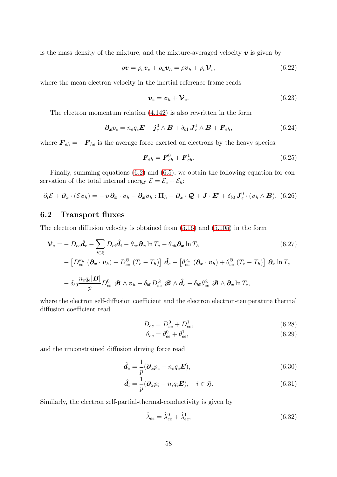is the mass density of the mixture, and the mixture-averaged velocity  $\boldsymbol{v}$  is given by

<span id="page-57-0"></span>
$$
\rho \mathbf{v} = \rho_e \mathbf{v}_e + \rho_h \mathbf{v}_h = \rho \mathbf{v}_h + \rho_e \mathbf{V}_e, \qquad (6.22)
$$

where the mean electron velocity in the inertial reference frame reads

$$
\boldsymbol{v}_e = \boldsymbol{v}_h + \boldsymbol{\mathcal{V}}_e. \tag{6.23}
$$

The electron momentum relation [\(4.142\)](#page-39-3) is also rewritten in the form

$$
\partial_x p_e = n_e q_e \boldsymbol{E} + \boldsymbol{j}_e^0 \wedge \boldsymbol{B} + \delta_{b1} \boldsymbol{J}_e^1 \wedge \boldsymbol{B} + \boldsymbol{F}_{eh},
$$
(6.24)

where  $\mathbf{F}_{eh} = -\mathbf{F}_{he}$  is the average force exerted on electrons by the heavy species:

$$
\boldsymbol{F}_{eh} = \boldsymbol{F}_{eh}^0 + \boldsymbol{F}_{eh}^1. \tag{6.25}
$$

Finally, summing equations [\(6.2\)](#page-55-3) and [\(6.5\)](#page-55-4), we obtain the following equation for conservation of the total internal energy  $\mathcal{E} = \mathcal{E}_e + \mathcal{E}_h$ :

$$
\partial_t \mathcal{E} + \partial_x \cdot (\mathcal{E} \boldsymbol{v}_h) = -p \, \partial_x \cdot \boldsymbol{v}_h - \partial_x \boldsymbol{v}_h : \Pi_h - \partial_x \cdot \mathcal{Q} + \boldsymbol{J} \cdot \boldsymbol{E}' + \delta_{b0} \, \boldsymbol{J}_e^0 \cdot (\boldsymbol{v}_h \wedge \boldsymbol{B}). \tag{6.26}
$$

## 6.2 Transport fluxes

The electron diffusion velocity is obtained from [\(5.16\)](#page-44-0) and [\(5.105\)](#page-53-0) in the form

$$
\mathbf{V}_e = -D_{ee}\hat{\mathbf{d}}_e - \sum_{i \in \mathfrak{H}} D_{ei}\hat{\mathbf{d}}_i - \theta_{ee}\partial_x \ln T_e - \theta_{eh}\partial_x \ln T_h
$$
(6.27)  

$$
- \left[ D_{ee}^{\kappa_h} (\partial_x \cdot \mathbf{v}_h) + D_{ee}^{\Theta} (T_e - T_h) \right] \hat{\mathbf{d}}_e - \left[ \theta_{ee}^{\kappa_h} (\partial_x \cdot \mathbf{v}_h) + \theta_{ee}^{\Theta} (T_e - T_h) \right] \partial_x \ln T_e
$$

$$
- \delta_{b0} \frac{n_e q_e |\mathbf{B}|}{p} D_{ee}^0 \mathcal{B} \wedge \mathbf{v}_h - \delta_{b0} D_{ee}^{\odot} \mathcal{B} \wedge \hat{\mathbf{d}}_e - \delta_{b0} \theta_{ee}^{\odot} \mathcal{B} \wedge \partial_x \ln T_e,
$$

where the electron self-diffusion coefficient and the electron electron-temperature thermal diffusion coefficient read

$$
D_{ee} = D_{ee}^0 + D_{ee}^1,\tag{6.28}
$$

$$
\theta_{ee} = \theta_{ee}^0 + \theta_{ee}^1,\tag{6.29}
$$

and the unconstrained diffusion driving force read

$$
\hat{\boldsymbol{d}}_e = \frac{1}{p} (\boldsymbol{\partial_x p}_e - n_e q_e \boldsymbol{E}),\tag{6.30}
$$

$$
\hat{\boldsymbol{d}}_i = \frac{1}{p}(\partial_x p_i - n_i q_i \boldsymbol{E}), \quad i \in \mathfrak{H}.
$$
\n(6.31)

Similarly, the electron self-partial-thermal-conductivity is given by

$$
\hat{\lambda}_{ee} = \hat{\lambda}_{ee}^0 + \hat{\lambda}_{ee}^1,\tag{6.32}
$$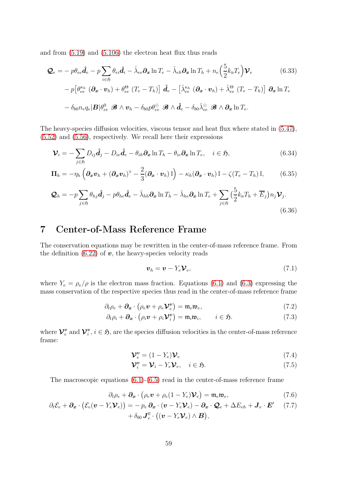and from [\(5.19\)](#page-44-1) and [\(5.106\)](#page-53-1) the electron heat flux thus reads

$$
\mathcal{Q}_e = -p\theta_{ee}\hat{\mathbf{d}}_e - p\sum_{i \in \mathfrak{H}} \theta_{ei}\hat{\mathbf{d}}_i - \hat{\lambda}_{ee}\partial_x \ln T_e - \hat{\lambda}_{eh}\partial_x \ln T_h + n_e \left(\frac{5}{2}k_\text{B}T_e\right)\mathcal{V}_e
$$
(6.33)  

$$
-p\left[\theta_{ee}^{\kappa_h} \left(\partial_x \cdot \mathbf{v}_h\right) + \theta_{ee}^\Theta \left(T_e - T_h\right)\right] \hat{\mathbf{d}}_e - \left[\hat{\lambda}_{ee}^{\kappa_h} \left(\partial_x \cdot \mathbf{v}_h\right) + \hat{\lambda}_{ee}^\Theta \left(T_e - T_h\right)\right] \partial_x \ln T_e
$$

$$
- \delta_{b0}n_e q_e |\mathbf{B}|\theta_{ee}^0 \mathcal{B} \wedge \mathbf{v}_h - \delta_{b0}p\theta_{ee}^\Theta \mathcal{B} \wedge \hat{\mathbf{d}}_e - \delta_{b0}\hat{\lambda}_{ee}^\Theta \mathcal{B} \wedge \partial_x \ln T_e.
$$

The heavy-species diffusion velocities, viscous tensor and heat flux where stated in [\(5.47\)](#page-47-0), [\(5.52\)](#page-47-8) and [\(5.56\)](#page-48-0), respectively. We recall here their expressions

$$
\mathbf{\mathcal{V}}_{i} = -\sum_{j \in \mathfrak{H}} D_{ij} \hat{\mathbf{d}}_{j} - D_{ie} \hat{\mathbf{d}}_{e} - \theta_{ih} \partial_{x} \ln T_{h} - \theta_{ie} \partial_{x} \ln T_{e}, \quad i \in \mathfrak{H}, \tag{6.34}
$$

$$
\Pi_h = -\eta_h \left( \partial_x \boldsymbol{v}_h + (\partial_x \boldsymbol{v}_h)^{\mathrm{T}} - \frac{2}{3} (\partial_x \cdot \boldsymbol{v}_h) \mathbb{I} \right) - \kappa_h (\partial_x \cdot \boldsymbol{v}_h) \mathbb{I} - \zeta (T_e - T_h) \mathbb{I}, \tag{6.35}
$$

$$
\mathcal{Q}_h = -p \sum_{j \in \mathfrak{H}} \theta_{hj} \hat{\mathbf{d}}_j - p \theta_{he} \hat{\mathbf{d}}_e - \hat{\lambda}_{hh} \partial_x \ln T_h - \hat{\lambda}_{he} \partial_x \ln T_e + \sum_{j \in \mathfrak{H}} \left( \frac{5}{2} k_B T_h + \overline{E}_j \right) n_j \mathcal{V}_j.
$$
\n(6.36)

# 7 Center-of-Mass Reference Frame

The conservation equations may be rewritten in the center-of-mass reference frame. From the definition [\(6.22\)](#page-57-0) of  $v$ , the heavy-species velocity reads

$$
\boldsymbol{v}_h = \boldsymbol{v} - Y_e \boldsymbol{\mathcal{V}}_e,\tag{7.1}
$$

where  $Y_e = \rho_e/\rho$  is the electron mass fraction. Equations [\(6.1\)](#page-55-2) and [\(6.3\)](#page-55-1) expressing the mass conservation of the respective species thus read in the center-of-mass reference frame

$$
\partial_t \rho_e + \partial_x \cdot (\rho_e \boldsymbol{v} + \rho_e \boldsymbol{\mathcal{V}}_e^{\boldsymbol{v}}) = \mathfrak{m}_e \mathfrak{w}_e, \qquad (7.2)
$$

$$
\partial_t \rho_i + \partial_x \cdot (\rho_i \boldsymbol{v} + \rho_i \mathcal{V}_i^{\boldsymbol{v}}) = \mathfrak{m}_i \mathfrak{w}_i, \qquad i \in \mathfrak{H}.
$$
 (7.3)

where  $\mathcal{V}^v_e$  $\frac{v}{e}$  and  $\mathcal{V}^v_i$  $i, i \in \mathfrak{H}$ , are the species diffusion velocities in the center-of-mass reference frame:

$$
\mathbf{\mathcal{V}}_e^v = (1 - Y_e)\mathbf{\mathcal{V}}_e \tag{7.4}
$$

$$
\mathbf{\mathcal{V}}_i^v = \mathbf{\mathcal{V}}_i - Y_e \mathbf{\mathcal{V}}_e, \quad i \in \mathfrak{H}.\tag{7.5}
$$

The macroscopic equations [\(6.1\)](#page-55-2)-[\(6.5\)](#page-55-4) read in the center-of-mass reference frame

$$
\partial_t \rho_e + \partial_x \cdot (\rho_e \mathbf{v} + \rho_e (1 - Y_e) \mathbf{V}_e) = \mathfrak{m}_e \mathfrak{w}_e, \tag{7.6}
$$

$$
\partial_t \mathcal{E}_e + \partial_x \cdot (\mathcal{E}_e(\boldsymbol{v} - Y_e \boldsymbol{\mathcal{V}}_e)) = -p_e \, \partial_x \cdot (\boldsymbol{v} - Y_e \boldsymbol{\mathcal{V}}_e) - \partial_x \cdot \mathcal{Q}_e + \Delta E_{eh} + \boldsymbol{J}_e \cdot \boldsymbol{E}' \qquad (7.7) + \delta_{b0} \, \boldsymbol{J}_e^0 \cdot ((\boldsymbol{v} - Y_e \boldsymbol{\mathcal{V}}_e) \wedge \boldsymbol{B}),
$$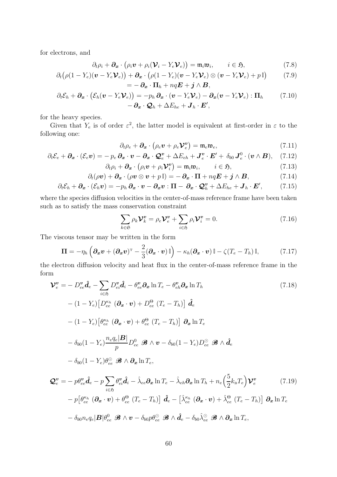for electrons, and

$$
\partial_t \rho_i + \partial_x \cdot (\rho_i \boldsymbol{v} + \rho_i (\boldsymbol{\mathcal{V}}_i - Y_e \boldsymbol{\mathcal{V}}_e)) = \mathfrak{m}_i \mathfrak{m}_i, \qquad i \in \mathfrak{H}, \tag{7.8}
$$

$$
\partial_t (\rho (1 - Y_e)(\boldsymbol{v} - Y_e \boldsymbol{V}_e)) + \partial_x \cdot (\rho (1 - Y_e)(\boldsymbol{v} - Y_e \boldsymbol{V}_e) \otimes (\boldsymbol{v} - Y_e \boldsymbol{V}_e) + p \, \mathbb{I}) \tag{7.9}
$$
\n
$$
= - \partial_x \cdot \Pi_h + nq \boldsymbol{E} + \boldsymbol{j} \wedge \boldsymbol{B},
$$

$$
\partial_t \mathcal{E}_h + \partial_x \cdot (\mathcal{E}_h(v - Y_e \mathcal{V}_e)) = -p_h \partial_x \cdot (v - Y_e \mathcal{V}_e) - \partial_x (v - Y_e \mathcal{V}_e) : \Pi_h \qquad (7.10)
$$

$$
- \partial_x \cdot \mathcal{Q}_h + \Delta E_{he} + \mathbf{J}_h \cdot \mathbf{E}',
$$

for the heavy species.

Given that  $Y_e$  is of order  $\varepsilon^2$ , the latter model is equivalent at first-order in  $\varepsilon$  to the following one:

$$
\partial_t \rho_e + \partial_x \cdot (\rho_e \mathbf{v} + \rho_e \mathbf{\mathcal{V}}_e^{\mathbf{v}}) = \mathfrak{m}_e \mathfrak{w}_e, \tag{7.11}
$$

$$
\partial_t \mathcal{E}_e + \partial_x \cdot (\mathcal{E}_e \mathbf{v}) = -p_e \, \partial_x \cdot \mathbf{v} - \partial_x \cdot \mathbf{Q}_e^{\mathbf{v}} + \Delta E_{eh} + \mathbf{J}_e^{\mathbf{v}} \cdot \mathbf{E}' + \delta_{b0} \, \mathbf{J}_e^0 \cdot (\mathbf{v} \wedge \mathbf{B}), \quad (7.12)
$$

$$
\partial_t \rho_i + \partial_x \cdot (\rho_i \boldsymbol{v} + \rho_i \mathcal{V}_i^{\boldsymbol{v}}) = \mathfrak{m}_i \mathfrak{w}_i, \qquad i \in \mathfrak{H}, \tag{7.13}
$$

$$
\partial_t(\rho \boldsymbol{v}) + \boldsymbol{\partial}_{\boldsymbol{x}} \cdot (\rho \boldsymbol{v} \otimes \boldsymbol{v} + p \mathbb{I}) = - \boldsymbol{\partial}_{\boldsymbol{x}} \cdot \boldsymbol{\Pi} + nq\boldsymbol{E} + \boldsymbol{j} \wedge \boldsymbol{B}, \qquad (7.14)
$$

$$
\partial_t \mathcal{E}_h + \partial_x \cdot (\mathcal{E}_h \boldsymbol{v}) = -p_h \, \partial_x \cdot \boldsymbol{v} - \partial_x \boldsymbol{v} : \boldsymbol{\Pi} - \partial_x \cdot \mathcal{Q}_h^{\boldsymbol{v}} + \Delta E_{he} + \boldsymbol{J}_h \cdot \boldsymbol{E}', \tag{7.15}
$$

where the species diffusion velocities in the center-of-mass reference frame have been taken such as to satisfy the mass conservation constraint

$$
\sum_{k \in \mathfrak{S}} \rho_k \mathcal{V}_k^v = \rho_e \mathcal{V}_e^v + \sum_{i \in \mathfrak{H}} \rho_i \mathcal{V}_i^v = 0.
$$
 (7.16)

The viscous tensor may be written in the form

$$
\mathbf{\Pi} = -\eta_h \left( \boldsymbol{\partial}_x \boldsymbol{v} + (\boldsymbol{\partial}_x \boldsymbol{v})^{\mathrm{T}} - \frac{2}{3} (\boldsymbol{\partial}_x \cdot \boldsymbol{v}) \mathbb{I} \right) - \kappa_h (\boldsymbol{\partial}_x \cdot \boldsymbol{v}) \mathbb{I} - \zeta (T_e - T_h) \mathbb{I}, \tag{7.17}
$$

the electron diffusion velocity and heat flux in the center-of-mass reference frame in the form

$$
\mathbf{\mathcal{V}}_{e}^{\mathbf{v}} = -D_{ee}^{\mathbf{v}} \hat{\mathbf{d}}_{e} - \sum_{i \in \mathfrak{H}} D_{ei}^{\mathbf{v}} \hat{\mathbf{d}}_{i} - \theta_{ee}^{\mathbf{v}} \partial_{x} \ln T_{e} - \theta_{eh}^{\mathbf{v}} \partial_{x} \ln T_{h}
$$
(7.18)  
\n
$$
- (1 - Y_{e}) \Big[ D_{ee}^{\kappa_{h}} (\partial_{x} \cdot \mathbf{v}) + D_{ee}^{\Theta} (T_{e} - T_{h}) \Big] \hat{\mathbf{d}}_{e}
$$
  
\n
$$
- (1 - Y_{e}) \Big[ \theta_{ee}^{\kappa_{h}} (\partial_{x} \cdot \mathbf{v}) + \theta_{ee}^{\Theta} (T_{e} - T_{h}) \Big] \partial_{x} \ln T_{e}
$$
  
\n
$$
- \delta_{b0} (1 - Y_{e}) \frac{n_{e} q_{e} |\mathbf{B}|}{p} D_{ee}^0 \mathcal{B} \wedge \mathbf{v} - \delta_{b0} (1 - Y_{e}) D_{ee}^{\odot} \mathcal{B} \wedge \hat{\mathbf{d}}_{e}
$$
  
\n
$$
- \delta_{b0} (1 - Y_{e}) \theta_{ee}^{\odot} \mathcal{B} \wedge \partial_{x} \ln T_{e},
$$
  
\n
$$
\mathcal{Q}_{e}^{\mathbf{v}} = - p \theta_{ee}^{\mathbf{v}} \hat{\mathbf{d}}_{e} - p \sum_{i \in \mathfrak{H}} \theta_{ei}^{\mathbf{v}} \hat{\mathbf{d}}_{i} - \hat{\lambda}_{ee} \partial_{x} \ln T_{e} - \hat{\lambda}_{eh} \partial_{x} \ln T_{h} + n_{e} \Big( \frac{5}{2} k_{\mathrm{B}} T_{e} \Big) \mathbf{V}_{e}^{\mathbf{v}} \qquad (7.19)
$$
  
\n
$$
- p \Big[ \theta_{ee}^{\kappa_{h}} (\partial_{x} \cdot \mathbf{v}) + \theta_{ee}^{\Theta} (T_{e} - T_{h}) \Big] \hat{\mathbf{d}}_{e} - \Big[ \hat{\lambda}_{ee}^{\kappa_{h}} (\partial_{x} \cdot \mathbf{v}) + \hat{\lambda}_{ee}^{\Theta} (T_{e} -
$$

$$
-\,\delta_{b0} n_e q_e|\boldsymbol{B}| \theta_{ee}^0\,\,\mathscr{B}\wedge\boldsymbol{v}-\delta_{b0} p \theta_{ee}^\odot\,\,\mathscr{B}\wedge\hat{\boldsymbol{d}_e}-\delta_{b0}\hat{\lambda}_{ee}^\odot\,\,\mathscr{B}\wedge\boldsymbol{\partial_x}\ln T_e,
$$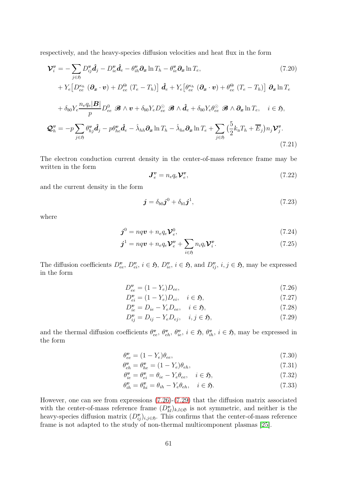respectively, and the heavy-species diffusion velocities and heat flux in the form

$$
\mathbf{\mathcal{V}}_{i}^{\mathbf{v}} = -\sum_{j \in \mathfrak{H}} D_{ij}^{\mathbf{v}} \hat{\mathbf{d}}_{j} - D_{ie}^{\mathbf{v}} \hat{\mathbf{d}}_{e} - \theta_{ih}^{\mathbf{v}} \partial_{x} \ln T_{h} - \theta_{ie}^{\mathbf{v}} \partial_{x} \ln T_{e},
$$
\n
$$
+ Y_{e} \left[ D_{ee}^{\kappa_{h}} \left( \partial_{x} \cdot \mathbf{v} \right) + D_{ee}^{\Theta} \left( T_{e} - T_{h} \right) \right] \hat{\mathbf{d}}_{e} + Y_{e} \left[ \theta_{ee}^{\kappa_{h}} \left( \partial_{x} \cdot \mathbf{v} \right) + \theta_{ee}^{\Theta} \left( T_{e} - T_{h} \right) \right] \partial_{x} \ln T_{e}
$$
\n
$$
+ \delta_{b0} Y_{e} \frac{n_{e} q_{e} |\mathbf{B}|}{p} D_{ee}^{0} \mathcal{B} \wedge \mathbf{v} + \delta_{b0} Y_{e} D_{ee}^{\odot} \mathcal{B} \wedge \hat{\mathbf{d}}_{e} + \delta_{b0} Y_{e} \theta_{ee}^{\odot} \mathcal{B} \wedge \partial_{x} \ln T_{e}, \quad i \in \mathfrak{H},
$$
\n
$$
\mathbf{Q}_{h}^{\mathbf{v}} = -p \sum_{j \in \mathfrak{H}} \theta_{hj}^{\mathbf{v}} \hat{\mathbf{d}}_{j} - p \theta_{he}^{\mathbf{v}} \hat{\mathbf{d}}_{e} - \hat{\lambda}_{hh} \partial_{x} \ln T_{h} - \hat{\lambda}_{he} \partial_{x} \ln T_{e} + \sum_{j \in \mathfrak{H}} \left( \frac{5}{2} k_{\mathrm{B}} T_{h} + \overline{E}_{j} \right) n_{j} \mathbf{V}_{j}^{\mathbf{v}}.
$$
\n(7.21)

The electron conduction current density in the center-of-mass reference frame may be written in the form

$$
\mathbf{J}_e^v = n_e q_e \mathbf{\mathcal{V}}_e^v,\tag{7.22}
$$

and the current density in the form

$$
\boldsymbol{j} = \delta_{b0} \boldsymbol{j}^0 + \delta_{b1} \boldsymbol{j}^1,\tag{7.23}
$$

where

$$
\boldsymbol{j}^0 = nq\boldsymbol{v} + n_e q_e \mathcal{V}_e^0, \tag{7.24}
$$

$$
\boldsymbol{j}^{1} = nq\boldsymbol{v} + n_{e}q_{e}\boldsymbol{\mathcal{V}}_{e}^{\boldsymbol{v}} + \sum_{i \in \mathfrak{H}} n_{i}q_{i}\boldsymbol{\mathcal{V}}_{i}^{\boldsymbol{v}}.
$$
\n(7.25)

The diffusion coefficients  $D_{ee}^v$ ,  $D_{ei}^v$ ,  $i \in \mathfrak{H}$ ,  $D_{ie}^v$ ,  $i \in \mathfrak{H}$ , and  $D_{ij}^v$ ,  $i, j \in \mathfrak{H}$ , may be expressed in the form

<span id="page-60-0"></span>
$$
D_{ee}^v = (1 - Y_e)D_{ee},\tag{7.26}
$$

$$
D_{ei}^v = (1 - Y_e)D_{ei}, \quad i \in \mathfrak{H}, \tag{7.27}
$$

$$
D_{ie}^{\mathbf{v}} = D_{ie} - Y_e D_{ee}, \quad i \in \mathfrak{H}, \tag{7.28}
$$

<span id="page-60-1"></span>
$$
D_{ij}^{\mathbf{v}} = D_{ij} - Y_e D_{ej}, \quad i, j \in \mathfrak{H}, \tag{7.29}
$$

and the thermal diffusion coefficients  $\theta_{ee}^v$ ,  $\theta_{eh}^v$ ,  $\theta_{ie}^v$ ,  $i \in \mathfrak{H}$ ,  $\theta_{ih}^v$ ,  $i \in \mathfrak{H}$ , may be expressed in the form

$$
\theta_{ee}^{\mathbf{v}} = (1 - Y_e)\theta_{ee},\tag{7.30}
$$

$$
\theta_{eh}^{\mathbf{v}} = \theta_{he}^{\mathbf{v}} = (1 - Y_e)\theta_{eh},\tag{7.31}
$$

$$
\theta_{ie}^{\mathbf{v}} = \theta_{ei}^{\mathbf{v}} = \theta_{ie} - Y_e \theta_{ee}, \quad i \in \mathfrak{H}, \tag{7.32}
$$

$$
\theta_{ih}^{\mathbf{v}} = \theta_{hi}^{\mathbf{v}} = \theta_{ih} - Y_e \theta_{eh}, \quad i \in \mathfrak{H}.
$$
 (7.33)

However, one can see from expressions [\(7.26\)](#page-60-0)-[\(7.29\)](#page-60-1) that the diffusion matrix associated with the center-of-mass reference frame  $(D_{kl}^{\nu})_{k,l\in\mathfrak{S}}$  is not symmetric, and neither is the heavy-species diffusion matrix  $(D_{ij}^{\boldsymbol{v}})_{i,j\in\mathfrak{H}}$ . This confirms that the center-of-mass reference frame is not adapted to the study of non-thermal multicomponent plasmas [\[25\]](#page-63-4).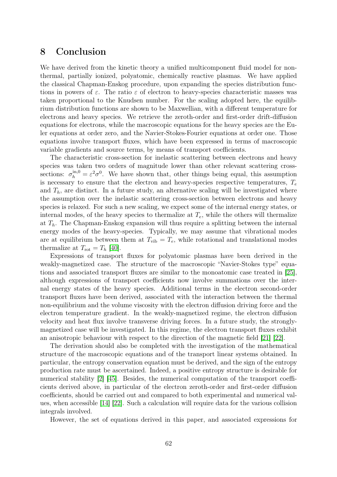# 8 Conclusion

We have derived from the kinetic theory a unified multicomponent fluid model for nonthermal, partially ionized, polyatomic, chemically reactive plasmas. We have applied the classical Chapman-Enskog procedure, upon expanding the species distribution functions in powers of  $\varepsilon$ . The ratio  $\varepsilon$  of electron to heavy-species characteristic masses was taken proportional to the Knudsen number. For the scaling adopted here, the equilibrium distribution functions are shown to be Maxwellian, with a different temperature for electrons and heavy species. We retrieve the zeroth-order and first-order drift-diffusion equations for electrons, while the macroscopic equations for the heavy species are the Euler equations at order zero, and the Navier-Stokes-Fourier equations at order one. Those equations involve transport fluxes, which have been expressed in terms of macroscopic variable gradients and source terms, by means of transport coefficients.

The characteristic cross-section for inelastic scattering between electrons and heavy species was taken two orders of magnitude lower than other relevant scattering crosssections:  $\sigma_h^{\text{in},0} = \varepsilon^2 \sigma^0$ . We have shown that, other things being equal, this assumption is necessary to ensure that the electron and heavy-species respective temperatures,  $T_e$ and  $T_h$ , are distinct. In a future study, an alternative scaling will be investigated where the assumption over the inelastic scattering cross-section between electrons and heavy species is relaxed. For such a new scaling, we expect some of the internal energy states, or internal modes, of the heavy species to thermalize at  $T_e$ , while the others will thermalize at  $T<sub>h</sub>$ . The Chapman-Enskog expansion will thus require a splitting between the internal energy modes of the heavy-species. Typically, we may assume that vibrational modes are at equilibrium between them at  $T_{\text{vib}} = T_e$ , while rotational and translational modes thermalize at  $T_{\rm rot} = T_h$  [\[40\]](#page-64-16).

Expressions of transport fluxes for polyatomic plasmas have been derived in the weakly-magnetized case. The structure of the macroscopic "Navier-Stokes type" equations and associated transport fluxes are similar to the monoatomic case treated in [\[25\]](#page-63-4), although expressions of transport coefficients now involve summations over the internal energy states of the heavy species. Additional terms in the electron second-order transport fluxes have been derived, associated with the interaction between the thermal non-equilibrium and the volume viscosity with the electron diffusion driving force and the electron temperature gradient. In the weakly-magnetized regime, the electron diffusion velocity and heat flux involve transverse driving forces. In a future study, the stronglymagnetized case will be investigated. In this regime, the electron transport fluxes exhibit an anisotropic behaviour with respect to the direction of the magnetic field [\[21\]](#page-63-2) [\[22\]](#page-63-17).

The derivation should also be completed with the investigation of the mathematical structure of the macroscopic equations and of the transport linear systems obtained. In particular, the entropy conservation equation must be derived, and the sign of the entropy production rate must be ascertained. Indeed, a positive entropy structure is desirable for numerical stability [\[2\]](#page-62-11) [\[45\]](#page-64-17). Besides, the numerical computation of the transport coefficients derived above, in particular of the electron zeroth-order and first-order diffusion coefficients, should be carried out and compared to both experimental and numerical values, when accessible [\[14\]](#page-63-6) [\[22\]](#page-63-17). Such a calculation will require data for the various collision integrals involved.

However, the set of equations derived in this paper, and associated expressions for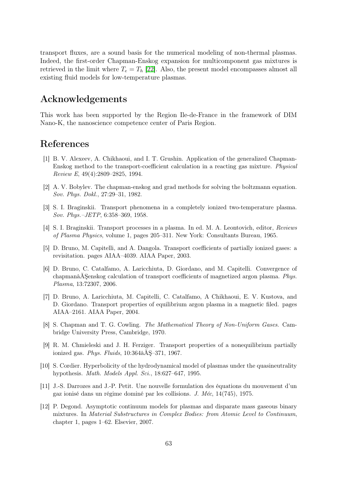transport fluxes, are a sound basis for the numerical modeling of non-thermal plasmas. Indeed, the first-order Chapman-Enskog expansion for multicomponent gas mixtures is retrieved in the limit where  $T_e = T_h$  [\[22\]](#page-63-17). Also, the present model encompasses almost all existing fluid models for low-temperature plasmas.

# Acknowledgements

This work has been supported by the Region Ile-de-France in the framework of DIM Nano-K, the nanoscience competence center of Paris Region.

# <span id="page-62-10"></span>References

- [1] B. V. Alexeev, A. Chikhaoui, and I. T. Grushin. Application of the generalized Chapman-Enskog method to the transport-coefficient calculation in a reacting gas mixture. Physical Review E, 49(4):2809–2825, 1994.
- <span id="page-62-11"></span><span id="page-62-5"></span>[2] A. V. Bobylev. The chapman-enskog and grad methods for solving the boltzmann equation. Sov. Phys. Dokl., 27:29–31, 1982.
- <span id="page-62-6"></span>[3] S. I. Braginskii. Transport phenomena in a completely ionized two-temperature plasma. Sov. Phys.–JETP, 6:358–369, 1958.
- <span id="page-62-1"></span>[4] S. I. Braginskii. Transport processes in a plasma. In ed. M. A. Leontovich, editor, Reviews of Plasma Physics, volume 1, pages 205–311. New York: Consultants Bureau, 1965.
- <span id="page-62-3"></span>[5] D. Bruno, M. Capitelli, and A. Dangola. Transport coefficients of partially ionized gases: a revisitation. pages AIAA–4039. AIAA Paper, 2003.
- [6] D. Bruno, C. Catalfamo, A. Laricchiuta, D. Giordano, and M. Capitelli. Convergence of chapmanâĂŞenskog calculation of transport coefficients of magnetized argon plasma. Phys. Plasma, 13:72307, 2006.
- <span id="page-62-2"></span>[7] D. Bruno, A. Laricchiuta, M. Capitelli, C. Catalfamo, A Chikhaoui, E. V. Kustova, and D. Giordano. Transport properties of equilibrium argon plasma in a magnetic filed. pages AIAA–2161. AIAA Paper, 2004.
- <span id="page-62-0"></span>[8] S. Chapman and T. G. Cowling. The Mathematical Theory of Non-Uniform Gases. Cambridge University Press, Cambridge, 1970.
- <span id="page-62-4"></span>[9] R. M. Chmieleski and J. H. Ferziger. Transport properties of a nonequilibrium partially ionized gas. Phys. Fluids,  $10:364$ â $\rm{\AA}S-371$ , 1967.
- <span id="page-62-9"></span>[10] S. Cordier. Hyperbolicity of the hydrodynamical model of plasmas under the quasineutrality hypothesis. Math. Models Appl. Sci., 18:627–647, 1995.
- <span id="page-62-7"></span>[11] J.-S. Darrozes and J.-P. Petit. Une nouvelle formulation des équations du mouvement d'un gaz ionisé dans un régime dominé par les collisions. J. Méc, 14(745), 1975.
- <span id="page-62-8"></span>[12] P. Degond. Asymptotic continuum models for plasmas and disparate mass gaseous binary mixtures. In Material Substructures in Complex Bodies: from Atomic Level to Continuum, chapter 1, pages 1–62. Elsevier, 2007.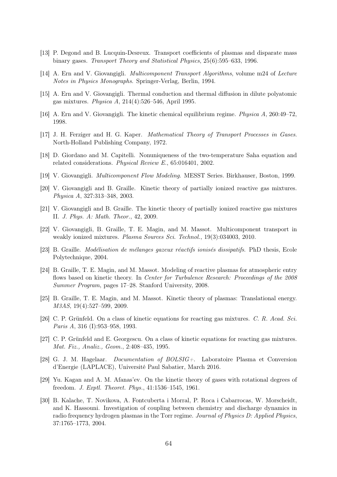- <span id="page-63-6"></span><span id="page-63-3"></span>[13] P. Degond and B. Lucquin-Desreux. Transport coefficients of plasmas and disparate mass binary gases. Transport Theory and Statistical Physics, 25(6):595–633, 1996.
- <span id="page-63-5"></span>[14] A. Ern and V. Giovangigli. Multicomponent Transport Algorithms, volume m24 of Lecture Notes in Physics Monographs. Springer-Verlag, Berlin, 1994.
- <span id="page-63-7"></span>[15] A. Ern and V. Giovangigli. Thermal conduction and thermal diffusion in dilute polyatomic gas mixtures. Physica A, 214(4):526–546, April 1995.
- <span id="page-63-0"></span>[16] A. Ern and V. Giovangigli. The kinetic chemical equilibrium regime. Physica A, 260:49–72, 1998.
- <span id="page-63-14"></span>[17] J. H. Ferziger and H. G. Kaper. Mathematical Theory of Transport Processes in Gases. North-Holland Publishing Company, 1972.
- <span id="page-63-9"></span>[18] D. Giordano and M. Capitelli. Nonuniqueness of the two-temperature Saha equation and related considerations. Physical Review E., 65:016401, 2002.
- <span id="page-63-1"></span>[19] V. Giovangigli. Multicomponent Flow Modeling. MESST Series. Birkhauser, Boston, 1999.
- <span id="page-63-2"></span>[20] V. Giovangigli and B. Graille. Kinetic theory of partially ionized reactive gas mixtures. Physica A, 327:313–348, 2003.
- <span id="page-63-17"></span>[21] V. Giovangigli and B. Graille. The kinetic theory of partially ionized reactive gas mixtures II. J. Phys. A: Math. Theor., 42, 2009.
- [22] V. Giovangigli, B. Graille, T. E. Magin, and M. Massot. Multicomponent transport in weakly ionized mixtures. Plasma Sources Sci. Technol., 19(3):034003, 2010.
- <span id="page-63-13"></span><span id="page-63-11"></span>[23] B. Graille. Modélisation de mélanges gazeux réactifs ionisés dissipatifs. PhD thesis, Ecole Polytechnique, 2004.
- [24] B. Graille, T. E. Magin, and M. Massot. Modeling of reactive plasmas for atmospheric entry flows based on kinetic theory. In Center for Turbulence Research: Proceedings of the 2008 Summer Program, pages 17–28. Stanford University, 2008.
- <span id="page-63-4"></span>[25] B. Graille, T. E. Magin, and M. Massot. Kinetic theory of plasmas: Translational energy. M3AS, 19(4):527–599, 2009.
- <span id="page-63-8"></span>[26] C. P. Grünfeld. On a class of kinetic equations for reacting gas mixtures. C. R. Acad. Sci. Paris A, 316 (I):953–958, 1993.
- <span id="page-63-10"></span>[27] C. P. Grünfeld and E. Georgescu. On a class of kinetic equations for reacting gas mixtures. Mat. Fiz., Analiz., Geom., 2:408–435, 1995.
- <span id="page-63-16"></span>[28] G. J. M. Hagelaar. Documentation of BOLSIG+. Laboratoire Plasma et Conversion d'Energie (LAPLACE), Université Paul Sabatier, March 2016.
- <span id="page-63-12"></span>[29] Yu. Kagan and A. M. Afanas'ev. On the kinetic theory of gases with rotational degrees of freedom. J. Exptl. Theoret. Phys., 41:1536–1545, 1961.
- <span id="page-63-15"></span>[30] B. Kalache, T. Novikova, A. Fontcuberta i Morral, P. Roca i Cabarrocas, W. Morscheidt, and K. Hassouni. Investigation of coupling between chemistry and discharge dynamics in radio frequency hydrogen plasmas in the Torr regime. Journal of Physics D: Applied Physics, 37:1765–1773, 2004.